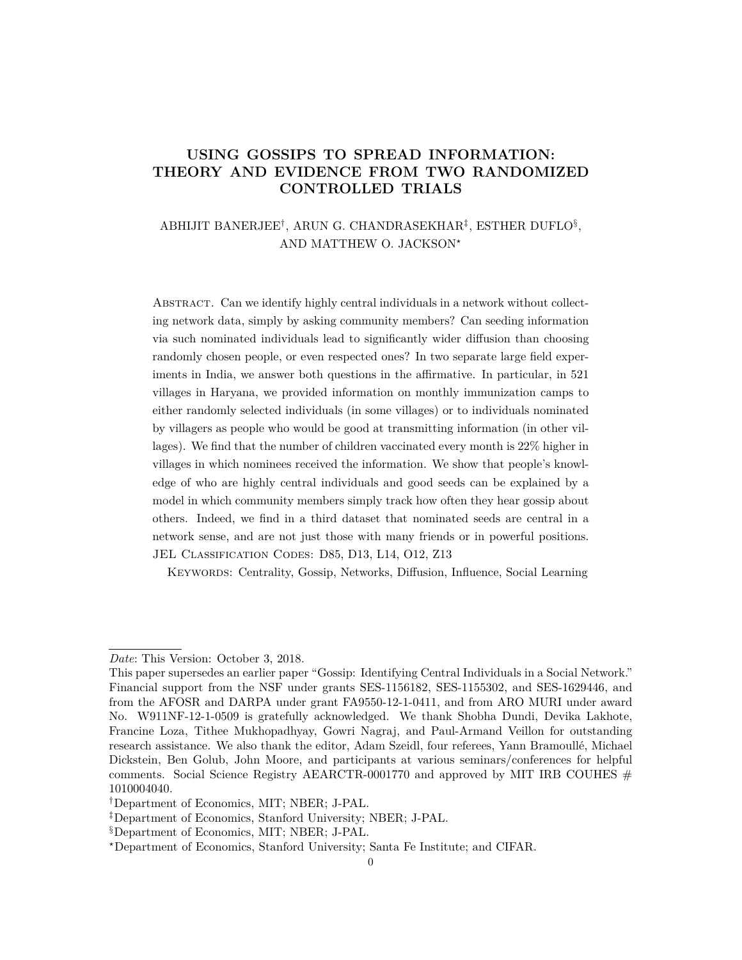# **USING GOSSIPS TO SPREAD INFORMATION: THEORY AND EVIDENCE FROM TWO RANDOMIZED CONTROLLED TRIALS**

# ABHIJIT BANERJEE<sup>†</sup>, ARUN G. CHANDRASEKHAR<sup>‡</sup>, ESTHER DUFLO<sup>§</sup>, AND MATTHEW O. JACKSON*?*

Abstract. Can we identify highly central individuals in a network without collecting network data, simply by asking community members? Can seeding information via such nominated individuals lead to significantly wider diffusion than choosing randomly chosen people, or even respected ones? In two separate large field experiments in India, we answer both questions in the affirmative. In particular, in 521 villages in Haryana, we provided information on monthly immunization camps to either randomly selected individuals (in some villages) or to individuals nominated by villagers as people who would be good at transmitting information (in other villages). We find that the number of children vaccinated every month is 22% higher in villages in which nominees received the information. We show that people's knowledge of who are highly central individuals and good seeds can be explained by a model in which community members simply track how often they hear gossip about others. Indeed, we find in a third dataset that nominated seeds are central in a network sense, and are not just those with many friends or in powerful positions. JEL Classification Codes: D85, D13, L14, O12, Z13

Keywords: Centrality, Gossip, Networks, Diffusion, Influence, Social Learning

*Date*: This Version: October 3, 2018.

This paper supersedes an earlier paper "Gossip: Identifying Central Individuals in a Social Network." Financial support from the NSF under grants SES-1156182, SES-1155302, and SES-1629446, and from the AFOSR and DARPA under grant FA9550-12-1-0411, and from ARO MURI under award No. W911NF-12-1-0509 is gratefully acknowledged. We thank Shobha Dundi, Devika Lakhote, Francine Loza, Tithee Mukhopadhyay, Gowri Nagraj, and Paul-Armand Veillon for outstanding research assistance. We also thank the editor, Adam Szeidl, four referees, Yann Bramoullé, Michael Dickstein, Ben Golub, John Moore, and participants at various seminars/conferences for helpful comments. Social Science Registry AEARCTR-0001770 and approved by MIT IRB COUHES  $#$ 1010004040.

<sup>†</sup>Department of Economics, MIT; NBER; J-PAL.

<sup>‡</sup>Department of Economics, Stanford University; NBER; J-PAL.

<sup>§</sup>Department of Economics, MIT; NBER; J-PAL.

*<sup>?</sup>*Department of Economics, Stanford University; Santa Fe Institute; and CIFAR.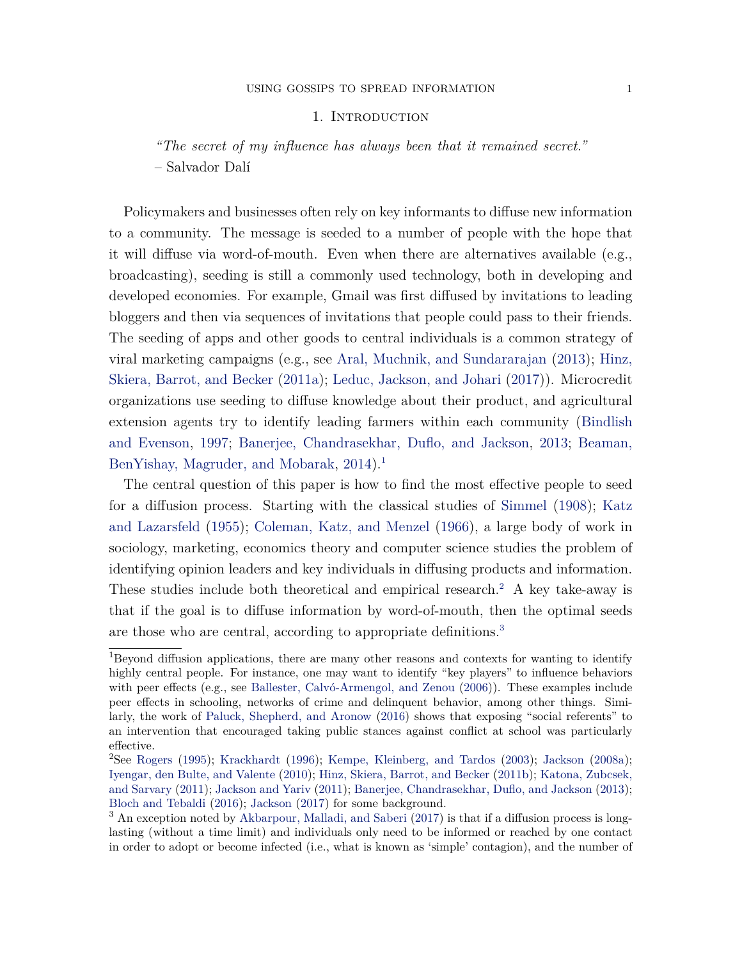#### USING GOSSIPS TO SPREAD INFORMATION 1

#### 1. INTRODUCTION

*"The secret of my influence has always been that it remained secret."*

– Salvador Dal´ı

Policymakers and businesses often rely on key informants to diffuse new information to a community. The message is seeded to a number of people with the hope that it will diffuse via word-of-mouth. Even when there are alternatives available (e.g., broadcasting), seeding is still a commonly used technology, both in developing and developed economies. For example, Gmail was first diffused by invitations to leading bloggers and then via sequences of invitations that people could pass to their friends. The seeding of apps and other goods to central individuals is a common strategy of viral marketing campaigns (e.g., see [Aral, Muchnik, and Sundararajan](#page-37-0) [\(2013\)](#page-37-0); [Hinz,](#page-39-0) [Skiera, Barrot, and Becker](#page-39-0) [\(2011a\)](#page-39-0); [Leduc, Jackson, and Johari](#page-41-0) [\(2017\)](#page-41-0)). Microcredit organizations use seeding to diffuse knowledge about their product, and agricultural extension agents try to identify leading farmers within each community [\(Bindlish](#page-38-0) [and Evenson,](#page-38-0) [1997;](#page-38-0) [Banerjee, Chandrasekhar, Duflo, and Jackson,](#page-38-1) [2013;](#page-38-1) [Beaman,](#page-38-2) [BenYishay, Magruder, and Mobarak,](#page-38-2) [2014\)](#page-38-2).<sup>[1](#page-1-0)</sup>

The central question of this paper is how to find the most effective people to seed for a diffusion process. Starting with the classical studies of [Simmel](#page-41-1) [\(1908\)](#page-41-1); [Katz](#page-40-0) [and Lazarsfeld](#page-40-0) [\(1955\)](#page-40-0); [Coleman, Katz, and Menzel](#page-39-1) [\(1966\)](#page-39-1), a large body of work in sociology, marketing, economics theory and computer science studies the problem of identifying opinion leaders and key individuals in diffusing products and information. These studies include both theoretical and empirical research.<sup>[2](#page-1-1)</sup> A key take-away is that if the goal is to diffuse information by word-of-mouth, then the optimal seeds are those who are central, according to appropriate definitions.<sup>[3](#page-1-2)</sup>

<span id="page-1-0"></span><sup>&</sup>lt;sup>1</sup>Beyond diffusion applications, there are many other reasons and contexts for wanting to identify highly central people. For instance, one may want to identify "key players" to influence behaviors with peer effects (e.g., see Ballester, Calvó-Armengol, and Zenou  $(2006)$ ). These examples include peer effects in schooling, networks of crime and delinquent behavior, among other things. Similarly, the work of [Paluck, Shepherd, and Aronow](#page-41-2) [\(2016\)](#page-41-2) shows that exposing "social referents" to an intervention that encouraged taking public stances against conflict at school was particularly effective.

<span id="page-1-1"></span><sup>2</sup>See [Rogers](#page-41-3) [\(1995\)](#page-41-3); [Krackhardt](#page-40-1) [\(1996\)](#page-40-1); [Kempe, Kleinberg, and Tardos](#page-40-2) [\(2003\)](#page-40-2); [Jackson](#page-39-2) [\(2008a\)](#page-39-2); [Iyengar, den Bulte, and Valente](#page-39-3) [\(2010\)](#page-39-3); [Hinz, Skiera, Barrot, and Becker](#page-39-4) [\(2011b\)](#page-39-4); [Katona, Zubcsek,](#page-40-3) [and Sarvary](#page-40-3) [\(2011\)](#page-40-3); [Jackson and Yariv](#page-40-4) [\(2011\)](#page-40-4); [Banerjee, Chandrasekhar, Duflo, and Jackson](#page-38-1) [\(2013\)](#page-38-1); [Bloch and Tebaldi](#page-38-4) [\(2016\)](#page-38-4); [Jackson](#page-40-5) [\(2017\)](#page-40-5) for some background.

<span id="page-1-2"></span><sup>&</sup>lt;sup>3</sup> An exception noted by [Akbarpour, Malladi, and Saberi](#page-37-1) [\(2017\)](#page-37-1) is that if a diffusion process is longlasting (without a time limit) and individuals only need to be informed or reached by one contact in order to adopt or become infected (i.e., what is known as 'simple' contagion), and the number of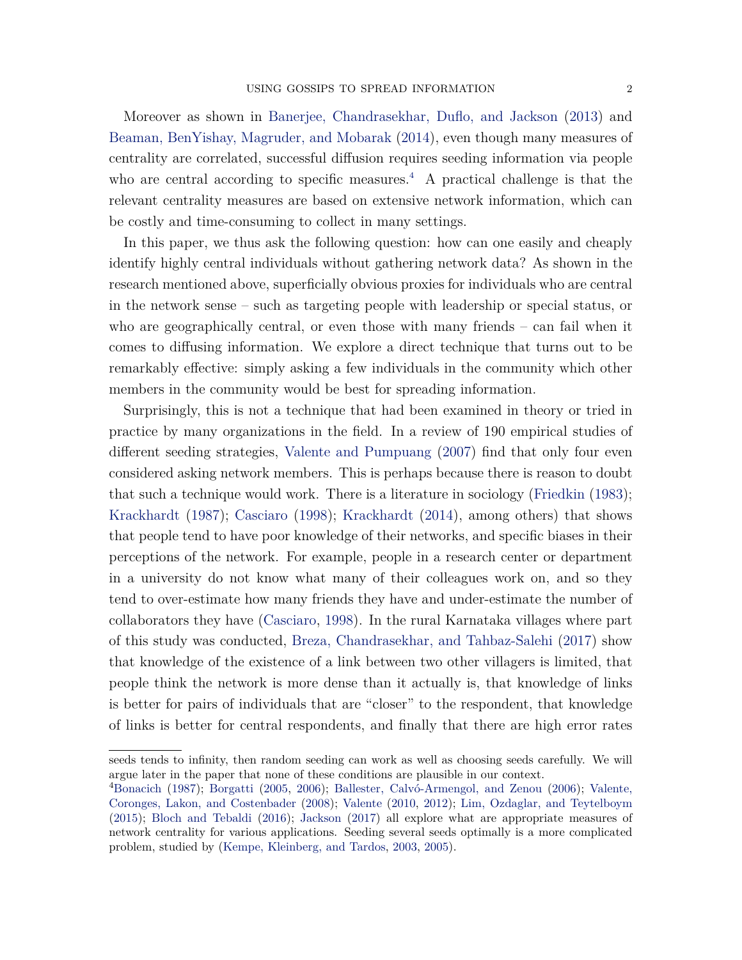Moreover as shown in [Banerjee, Chandrasekhar, Duflo, and Jackson](#page-38-1) [\(2013\)](#page-38-1) and [Beaman, BenYishay, Magruder, and Mobarak](#page-38-2) [\(2014\)](#page-38-2), even though many measures of centrality are correlated, successful diffusion requires seeding information via people who are central according to specific measures.<sup>[4](#page-2-0)</sup> A practical challenge is that the relevant centrality measures are based on extensive network information, which can be costly and time-consuming to collect in many settings.

In this paper, we thus ask the following question: how can one easily and cheaply identify highly central individuals without gathering network data? As shown in the research mentioned above, superficially obvious proxies for individuals who are central in the network sense – such as targeting people with leadership or special status, or who are geographically central, or even those with many friends – can fail when it comes to diffusing information. We explore a direct technique that turns out to be remarkably effective: simply asking a few individuals in the community which other members in the community would be best for spreading information.

Surprisingly, this is not a technique that had been examined in theory or tried in practice by many organizations in the field. In a review of 190 empirical studies of different seeding strategies, [Valente and Pumpuang](#page-41-4) [\(2007\)](#page-41-4) find that only four even considered asking network members. This is perhaps because there is reason to doubt that such a technique would work. There is a literature in sociology [\(Friedkin](#page-39-5) [\(1983\)](#page-39-5); [Krackhardt](#page-40-6) [\(1987\)](#page-40-6); [Casciaro](#page-39-6) [\(1998\)](#page-39-6); [Krackhardt](#page-40-7) [\(2014\)](#page-40-7), among others) that shows that people tend to have poor knowledge of their networks, and specific biases in their perceptions of the network. For example, people in a research center or department in a university do not know what many of their colleagues work on, and so they tend to over-estimate how many friends they have and under-estimate the number of collaborators they have [\(Casciaro,](#page-39-6) [1998\)](#page-39-6). In the rural Karnataka villages where part of this study was conducted, [Breza, Chandrasekhar, and Tahbaz-Salehi](#page-39-7) [\(2017\)](#page-39-7) show that knowledge of the existence of a link between two other villagers is limited, that people think the network is more dense than it actually is, that knowledge of links is better for pairs of individuals that are "closer" to the respondent, that knowledge of links is better for central respondents, and finally that there are high error rates

seeds tends to infinity, then random seeding can work as well as choosing seeds carefully. We will argue later in the paper that none of these conditions are plausible in our context.

<span id="page-2-0"></span><sup>&</sup>lt;sup>4</sup>[Bonacich](#page-38-5) [\(1987\)](#page-38-5); [Borgatti](#page-39-8) [\(2005,](#page-39-8) [2006\)](#page-39-9); Ballester, Calvó-Armengol, and Zenou [\(2006\)](#page-38-3); [Valente,](#page-41-5) [Coronges, Lakon, and Costenbader](#page-41-5) [\(2008\)](#page-41-5); [Valente](#page-41-6) [\(2010,](#page-41-6) [2012\)](#page-41-7); [Lim, Ozdaglar, and Teytelboym](#page-41-8) [\(2015\)](#page-41-8); [Bloch and Tebaldi](#page-38-4) [\(2016\)](#page-38-4); [Jackson](#page-40-5) [\(2017\)](#page-40-5) all explore what are appropriate measures of network centrality for various applications. Seeding several seeds optimally is a more complicated problem, studied by [\(Kempe, Kleinberg, and Tardos,](#page-40-2) [2003,](#page-40-2) [2005\)](#page-40-8).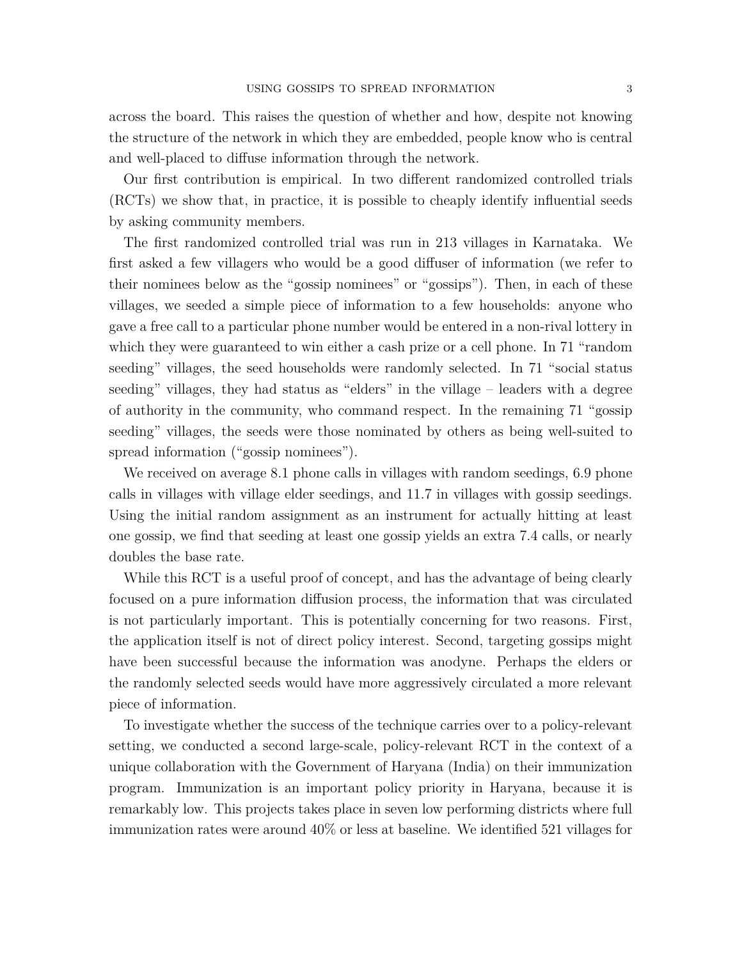across the board. This raises the question of whether and how, despite not knowing the structure of the network in which they are embedded, people know who is central and well-placed to diffuse information through the network.

Our first contribution is empirical. In two different randomized controlled trials (RCTs) we show that, in practice, it is possible to cheaply identify influential seeds by asking community members.

The first randomized controlled trial was run in 213 villages in Karnataka. We first asked a few villagers who would be a good diffuser of information (we refer to their nominees below as the "gossip nominees" or "gossips"). Then, in each of these villages, we seeded a simple piece of information to a few households: anyone who gave a free call to a particular phone number would be entered in a non-rival lottery in which they were guaranteed to win either a cash prize or a cell phone. In 71 "random seeding" villages, the seed households were randomly selected. In 71 "social status seeding" villages, they had status as "elders" in the village – leaders with a degree of authority in the community, who command respect. In the remaining 71 "gossip seeding" villages, the seeds were those nominated by others as being well-suited to spread information ("gossip nominees").

We received on average 8.1 phone calls in villages with random seedings, 6.9 phone calls in villages with village elder seedings, and 11.7 in villages with gossip seedings. Using the initial random assignment as an instrument for actually hitting at least one gossip, we find that seeding at least one gossip yields an extra 7.4 calls, or nearly doubles the base rate.

While this RCT is a useful proof of concept, and has the advantage of being clearly focused on a pure information diffusion process, the information that was circulated is not particularly important. This is potentially concerning for two reasons. First, the application itself is not of direct policy interest. Second, targeting gossips might have been successful because the information was anodyne. Perhaps the elders or the randomly selected seeds would have more aggressively circulated a more relevant piece of information.

To investigate whether the success of the technique carries over to a policy-relevant setting, we conducted a second large-scale, policy-relevant RCT in the context of a unique collaboration with the Government of Haryana (India) on their immunization program. Immunization is an important policy priority in Haryana, because it is remarkably low. This projects takes place in seven low performing districts where full immunization rates were around 40% or less at baseline. We identified 521 villages for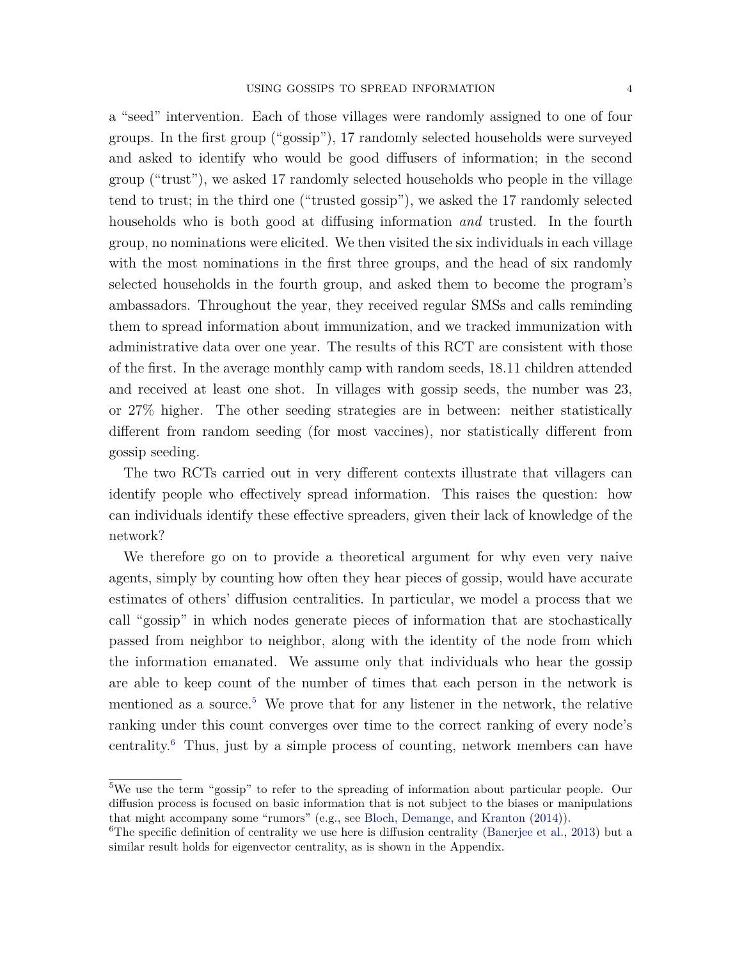a "seed" intervention. Each of those villages were randomly assigned to one of four groups. In the first group ("gossip"), 17 randomly selected households were surveyed and asked to identify who would be good diffusers of information; in the second group ("trust"), we asked 17 randomly selected households who people in the village tend to trust; in the third one ("trusted gossip"), we asked the 17 randomly selected households who is both good at diffusing information *and* trusted. In the fourth group, no nominations were elicited. We then visited the six individuals in each village with the most nominations in the first three groups, and the head of six randomly selected households in the fourth group, and asked them to become the program's ambassadors. Throughout the year, they received regular SMSs and calls reminding them to spread information about immunization, and we tracked immunization with administrative data over one year. The results of this RCT are consistent with those of the first. In the average monthly camp with random seeds, 18.11 children attended and received at least one shot. In villages with gossip seeds, the number was 23, or 27% higher. The other seeding strategies are in between: neither statistically different from random seeding (for most vaccines), nor statistically different from gossip seeding.

The two RCTs carried out in very different contexts illustrate that villagers can identify people who effectively spread information. This raises the question: how can individuals identify these effective spreaders, given their lack of knowledge of the network?

We therefore go on to provide a theoretical argument for why even very naive agents, simply by counting how often they hear pieces of gossip, would have accurate estimates of others' diffusion centralities. In particular, we model a process that we call "gossip" in which nodes generate pieces of information that are stochastically passed from neighbor to neighbor, along with the identity of the node from which the information emanated. We assume only that individuals who hear the gossip are able to keep count of the number of times that each person in the network is mentioned as a source.<sup>[5](#page-4-0)</sup> We prove that for any listener in the network, the relative ranking under this count converges over time to the correct ranking of every node's centrality.[6](#page-4-1) Thus, just by a simple process of counting, network members can have

<span id="page-4-0"></span><sup>5</sup>We use the term "gossip" to refer to the spreading of information about particular people. Our diffusion process is focused on basic information that is not subject to the biases or manipulations that might accompany some "rumors" (e.g., see [Bloch, Demange, and Kranton](#page-38-6) [\(2014\)](#page-38-6)).

<span id="page-4-1"></span> ${}^{6}$ The specific definition of centrality we use here is diffusion centrality [\(Banerjee et al.,](#page-38-1) [2013\)](#page-38-1) but a similar result holds for eigenvector centrality, as is shown in the Appendix.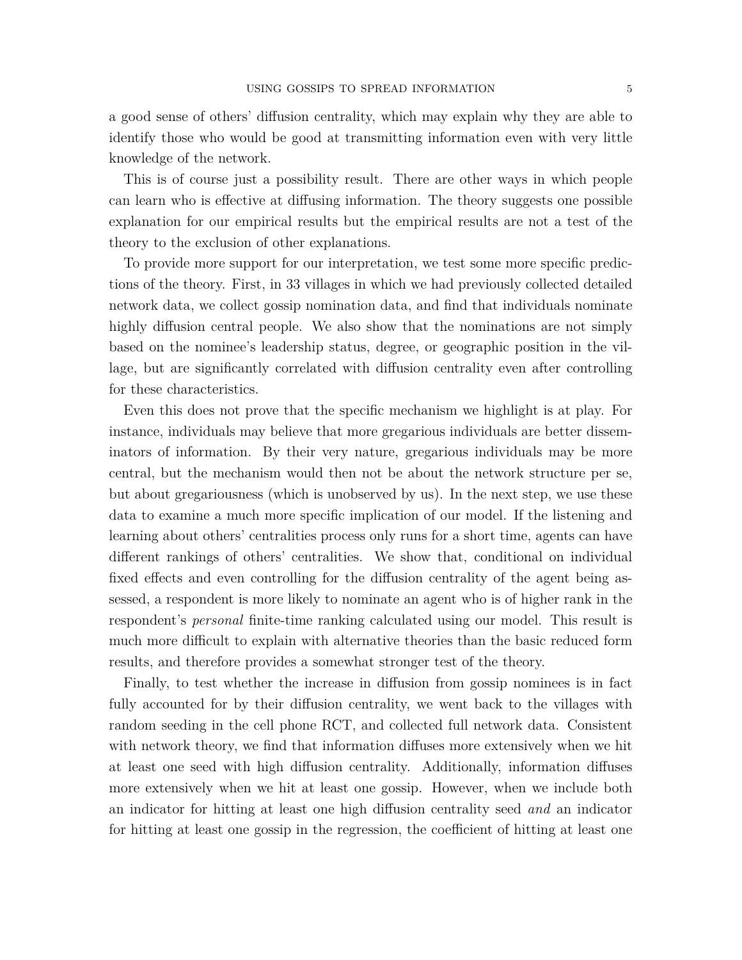a good sense of others' diffusion centrality, which may explain why they are able to identify those who would be good at transmitting information even with very little knowledge of the network.

This is of course just a possibility result. There are other ways in which people can learn who is effective at diffusing information. The theory suggests one possible explanation for our empirical results but the empirical results are not a test of the theory to the exclusion of other explanations.

To provide more support for our interpretation, we test some more specific predictions of the theory. First, in 33 villages in which we had previously collected detailed network data, we collect gossip nomination data, and find that individuals nominate highly diffusion central people. We also show that the nominations are not simply based on the nominee's leadership status, degree, or geographic position in the village, but are significantly correlated with diffusion centrality even after controlling for these characteristics.

Even this does not prove that the specific mechanism we highlight is at play. For instance, individuals may believe that more gregarious individuals are better disseminators of information. By their very nature, gregarious individuals may be more central, but the mechanism would then not be about the network structure per se, but about gregariousness (which is unobserved by us). In the next step, we use these data to examine a much more specific implication of our model. If the listening and learning about others' centralities process only runs for a short time, agents can have different rankings of others' centralities. We show that, conditional on individual fixed effects and even controlling for the diffusion centrality of the agent being assessed, a respondent is more likely to nominate an agent who is of higher rank in the respondent's *personal* finite-time ranking calculated using our model. This result is much more difficult to explain with alternative theories than the basic reduced form results, and therefore provides a somewhat stronger test of the theory.

Finally, to test whether the increase in diffusion from gossip nominees is in fact fully accounted for by their diffusion centrality, we went back to the villages with random seeding in the cell phone RCT, and collected full network data. Consistent with network theory, we find that information diffuses more extensively when we hit at least one seed with high diffusion centrality. Additionally, information diffuses more extensively when we hit at least one gossip. However, when we include both an indicator for hitting at least one high diffusion centrality seed *and* an indicator for hitting at least one gossip in the regression, the coefficient of hitting at least one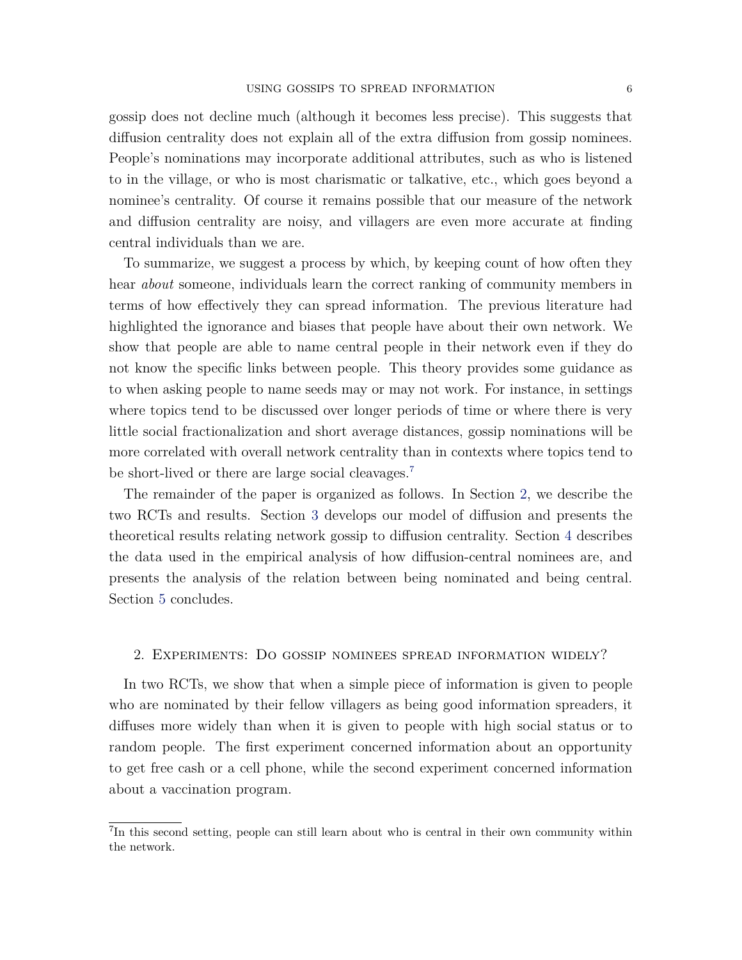gossip does not decline much (although it becomes less precise). This suggests that diffusion centrality does not explain all of the extra diffusion from gossip nominees. People's nominations may incorporate additional attributes, such as who is listened to in the village, or who is most charismatic or talkative, etc., which goes beyond a nominee's centrality. Of course it remains possible that our measure of the network and diffusion centrality are noisy, and villagers are even more accurate at finding central individuals than we are.

To summarize, we suggest a process by which, by keeping count of how often they hear *about* someone, individuals learn the correct ranking of community members in terms of how effectively they can spread information. The previous literature had highlighted the ignorance and biases that people have about their own network. We show that people are able to name central people in their network even if they do not know the specific links between people. This theory provides some guidance as to when asking people to name seeds may or may not work. For instance, in settings where topics tend to be discussed over longer periods of time or where there is very little social fractionalization and short average distances, gossip nominations will be more correlated with overall network centrality than in contexts where topics tend to be short-lived or there are large social cleavages.<sup>[7](#page-6-0)</sup>

The remainder of the paper is organized as follows. In Section [2,](#page-6-1) we describe the two RCTs and results. Section [3](#page-20-0) develops our model of diffusion and presents the theoretical results relating network gossip to diffusion centrality. Section [4](#page-27-0) describes the data used in the empirical analysis of how diffusion-central nominees are, and presents the analysis of the relation between being nominated and being central. Section [5](#page-35-0) concludes.

#### <span id="page-6-1"></span>2. Experiments: Do gossip nominees spread information widely?

In two RCTs, we show that when a simple piece of information is given to people who are nominated by their fellow villagers as being good information spreaders, it diffuses more widely than when it is given to people with high social status or to random people. The first experiment concerned information about an opportunity to get free cash or a cell phone, while the second experiment concerned information about a vaccination program.

<span id="page-6-0"></span><sup>&</sup>lt;sup>7</sup>In this second setting, people can still learn about who is central in their own community within the network.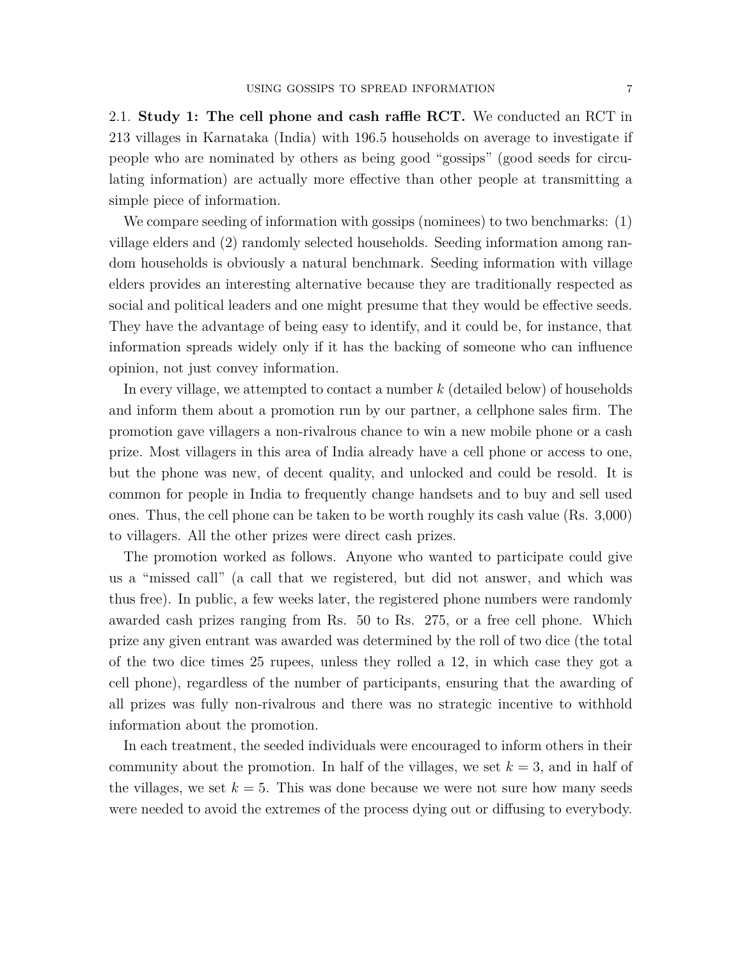2.1. **Study 1: The cell phone and cash raffle RCT.** We conducted an RCT in

213 villages in Karnataka (India) with 196.5 households on average to investigate if people who are nominated by others as being good "gossips" (good seeds for circulating information) are actually more effective than other people at transmitting a simple piece of information.

We compare seeding of information with gossips (nominees) to two benchmarks: (1) village elders and (2) randomly selected households. Seeding information among random households is obviously a natural benchmark. Seeding information with village elders provides an interesting alternative because they are traditionally respected as social and political leaders and one might presume that they would be effective seeds. They have the advantage of being easy to identify, and it could be, for instance, that information spreads widely only if it has the backing of someone who can influence opinion, not just convey information.

In every village, we attempted to contact a number *k* (detailed below) of households and inform them about a promotion run by our partner, a cellphone sales firm. The promotion gave villagers a non-rivalrous chance to win a new mobile phone or a cash prize. Most villagers in this area of India already have a cell phone or access to one, but the phone was new, of decent quality, and unlocked and could be resold. It is common for people in India to frequently change handsets and to buy and sell used ones. Thus, the cell phone can be taken to be worth roughly its cash value (Rs. 3,000) to villagers. All the other prizes were direct cash prizes.

The promotion worked as follows. Anyone who wanted to participate could give us a "missed call" (a call that we registered, but did not answer, and which was thus free). In public, a few weeks later, the registered phone numbers were randomly awarded cash prizes ranging from Rs. 50 to Rs. 275, or a free cell phone. Which prize any given entrant was awarded was determined by the roll of two dice (the total of the two dice times 25 rupees, unless they rolled a 12, in which case they got a cell phone), regardless of the number of participants, ensuring that the awarding of all prizes was fully non-rivalrous and there was no strategic incentive to withhold information about the promotion.

In each treatment, the seeded individuals were encouraged to inform others in their community about the promotion. In half of the villages, we set  $k = 3$ , and in half of the villages, we set  $k = 5$ . This was done because we were not sure how many seeds were needed to avoid the extremes of the process dying out or diffusing to everybody.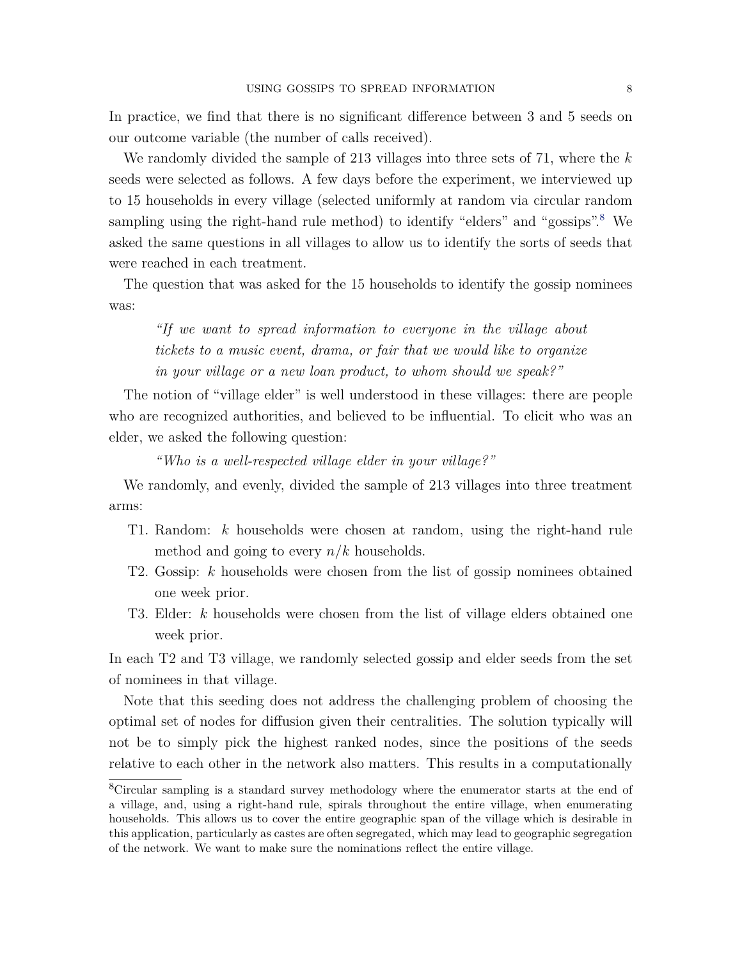In practice, we find that there is no significant difference between 3 and 5 seeds on our outcome variable (the number of calls received).

We randomly divided the sample of 213 villages into three sets of 71, where the *k* seeds were selected as follows. A few days before the experiment, we interviewed up to 15 households in every village (selected uniformly at random via circular random sampling using the right-hand rule method) to identify "elders" and "gossips".<sup>[8](#page-8-0)</sup> We asked the same questions in all villages to allow us to identify the sorts of seeds that were reached in each treatment.

The question that was asked for the 15 households to identify the gossip nominees was:

*"If we want to spread information to everyone in the village about tickets to a music event, drama, or fair that we would like to organize in your village or a new loan product, to whom should we speak?"*

The notion of "village elder" is well understood in these villages: there are people who are recognized authorities, and believed to be influential. To elicit who was an elder, we asked the following question:

*"Who is a well-respected village elder in your village?"*

We randomly, and evenly, divided the sample of 213 villages into three treatment arms:

- T1. Random: *k* households were chosen at random, using the right-hand rule method and going to every *n/k* households.
- T2. Gossip: *k* households were chosen from the list of gossip nominees obtained one week prior.
- T3. Elder: *k* households were chosen from the list of village elders obtained one week prior.

In each T2 and T3 village, we randomly selected gossip and elder seeds from the set of nominees in that village.

Note that this seeding does not address the challenging problem of choosing the optimal set of nodes for diffusion given their centralities. The solution typically will not be to simply pick the highest ranked nodes, since the positions of the seeds relative to each other in the network also matters. This results in a computationally

<span id="page-8-0"></span><sup>8</sup>Circular sampling is a standard survey methodology where the enumerator starts at the end of a village, and, using a right-hand rule, spirals throughout the entire village, when enumerating households. This allows us to cover the entire geographic span of the village which is desirable in this application, particularly as castes are often segregated, which may lead to geographic segregation of the network. We want to make sure the nominations reflect the entire village.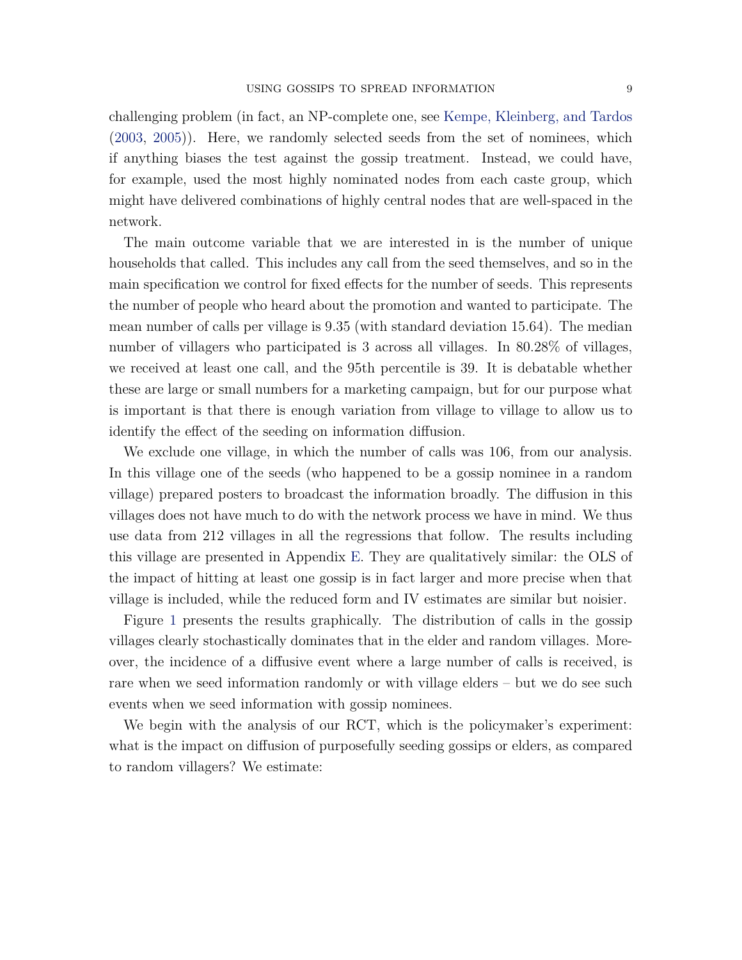challenging problem (in fact, an NP-complete one, see [Kempe, Kleinberg, and Tardos](#page-40-2) [\(2003,](#page-40-2) [2005\)](#page-40-8)). Here, we randomly selected seeds from the set of nominees, which if anything biases the test against the gossip treatment. Instead, we could have, for example, used the most highly nominated nodes from each caste group, which might have delivered combinations of highly central nodes that are well-spaced in the network.

The main outcome variable that we are interested in is the number of unique households that called. This includes any call from the seed themselves, and so in the main specification we control for fixed effects for the number of seeds. This represents the number of people who heard about the promotion and wanted to participate. The mean number of calls per village is 9.35 (with standard deviation 15.64). The median number of villagers who participated is 3 across all villages. In 80.28% of villages, we received at least one call, and the 95th percentile is 39. It is debatable whether these are large or small numbers for a marketing campaign, but for our purpose what is important is that there is enough variation from village to village to allow us to identify the effect of the seeding on information diffusion.

We exclude one village, in which the number of calls was 106, from our analysis. In this village one of the seeds (who happened to be a gossip nominee in a random village) prepared posters to broadcast the information broadly. The diffusion in this villages does not have much to do with the network process we have in mind. We thus use data from 212 villages in all the regressions that follow. The results including this village are presented in Appendix [E.](#page-70-0) They are qualitatively similar: the OLS of the impact of hitting at least one gossip is in fact larger and more precise when that village is included, while the reduced form and IV estimates are similar but noisier.

Figure [1](#page-42-0) presents the results graphically. The distribution of calls in the gossip villages clearly stochastically dominates that in the elder and random villages. Moreover, the incidence of a diffusive event where a large number of calls is received, is rare when we seed information randomly or with village elders – but we do see such events when we seed information with gossip nominees.

We begin with the analysis of our RCT, which is the policymaker's experiment: what is the impact on diffusion of purposefully seeding gossips or elders, as compared to random villagers? We estimate: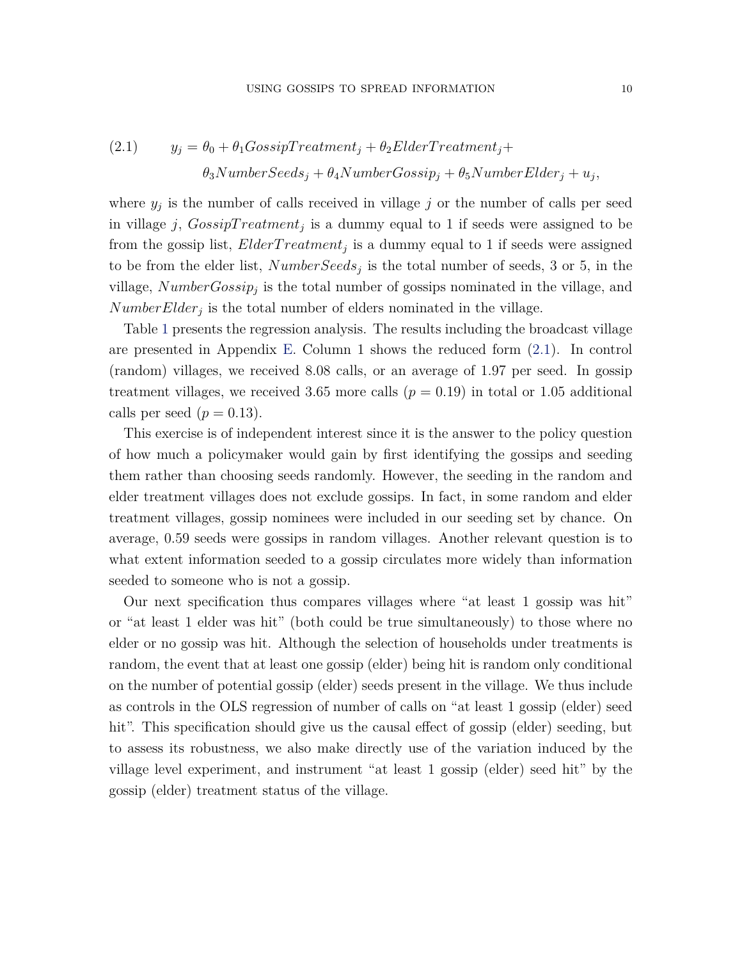<span id="page-10-0"></span>(2.1) 
$$
y_j = \theta_0 + \theta_1 GossipTreatment_j + \theta_2ElderTreatment_j +
$$

$$
\theta_3NumberSeeds_j + \theta_4NumberGossip_j + \theta_5NumberElder_j + u_j,
$$

where  $y_j$  is the number of calls received in village  $j$  or the number of calls per seed in village *j*, *GossipT reatment<sup>j</sup>* is a dummy equal to 1 if seeds were assigned to be from the gossip list, *ElderT reatment<sup>j</sup>* is a dummy equal to 1 if seeds were assigned to be from the elder list, *NumberSeeds<sup>j</sup>* is the total number of seeds, 3 or 5, in the village, *NumberGossip<sup>j</sup>* is the total number of gossips nominated in the village, and *NumberElder<sup>j</sup>* is the total number of elders nominated in the village.

Table [1](#page-47-0) presents the regression analysis. The results including the broadcast village are presented in Appendix [E.](#page-70-0) Column 1 shows the reduced form [\(2.1\)](#page-10-0). In control (random) villages, we received 8.08 calls, or an average of 1.97 per seed. In gossip treatment villages, we received 3.65 more calls  $(p = 0.19)$  in total or 1.05 additional calls per seed  $(p = 0.13)$ .

This exercise is of independent interest since it is the answer to the policy question of how much a policymaker would gain by first identifying the gossips and seeding them rather than choosing seeds randomly. However, the seeding in the random and elder treatment villages does not exclude gossips. In fact, in some random and elder treatment villages, gossip nominees were included in our seeding set by chance. On average, 0.59 seeds were gossips in random villages. Another relevant question is to what extent information seeded to a gossip circulates more widely than information seeded to someone who is not a gossip.

Our next specification thus compares villages where "at least 1 gossip was hit" or "at least 1 elder was hit" (both could be true simultaneously) to those where no elder or no gossip was hit. Although the selection of households under treatments is random, the event that at least one gossip (elder) being hit is random only conditional on the number of potential gossip (elder) seeds present in the village. We thus include as controls in the OLS regression of number of calls on "at least 1 gossip (elder) seed hit". This specification should give us the causal effect of gossip (elder) seeding, but to assess its robustness, we also make directly use of the variation induced by the village level experiment, and instrument "at least 1 gossip (elder) seed hit" by the gossip (elder) treatment status of the village.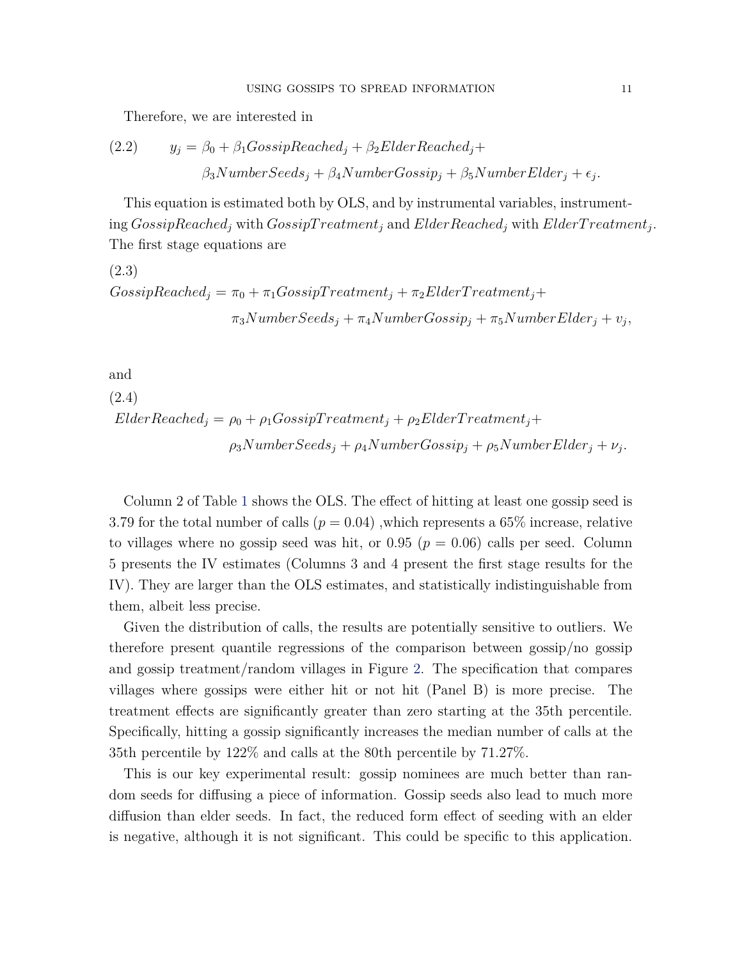Therefore, we are interested in

(2.2) 
$$
y_j = \beta_0 + \beta_1 GossipReached_j + \beta_2 ElderReached_j +
$$

$$
\beta_3 NumberSeeds_j + \beta_4 NumberGossip_j + \beta_5 NumberElder_j + \epsilon_j.
$$

This equation is estimated both by OLS, and by instrumental variables, instrument- $\log G$ ossip $Reached_j$  with  $G$ ossip $Treatment_j$  and  $ElderReached_j$  with  $Elder Treatment_j$ . The first stage equations are

(2.3)

$$
GossipReached_j = \pi_0 + \pi_1 GossipTreatment_j + \pi_2ElderTreatment_j +
$$

$$
\pi_3NumberSeeds_j + \pi_4NumberGossip_j + \pi_5NumberElder_j + v_j,
$$

and

(2.4)  
\n
$$
Elder Reached_j = \rho_0 + \rho_1 GossipTreatment_j + \rho_2 ElderTreatment_j + \rho_3 NumberSeeds_j + \rho_4 NumberGossip_j + \rho_5 NumberElder_j + \nu_j
$$

Column 2 of Table [1](#page-47-0) shows the OLS. The effect of hitting at least one gossip seed is 3.79 for the total number of calls  $(p = 0.04)$ , which represents a 65% increase, relative to villages where no gossip seed was hit, or  $0.95$  ( $p = 0.06$ ) calls per seed. Column 5 presents the IV estimates (Columns 3 and 4 present the first stage results for the IV). They are larger than the OLS estimates, and statistically indistinguishable from them, albeit less precise.

Given the distribution of calls, the results are potentially sensitive to outliers. We therefore present quantile regressions of the comparison between gossip/no gossip and gossip treatment/random villages in Figure [2.](#page-43-0) The specification that compares villages where gossips were either hit or not hit (Panel B) is more precise. The treatment effects are significantly greater than zero starting at the 35th percentile. Specifically, hitting a gossip significantly increases the median number of calls at the 35th percentile by 122% and calls at the 80th percentile by 71.27%.

This is our key experimental result: gossip nominees are much better than random seeds for diffusing a piece of information. Gossip seeds also lead to much more diffusion than elder seeds. In fact, the reduced form effect of seeding with an elder is negative, although it is not significant. This could be specific to this application.

*.*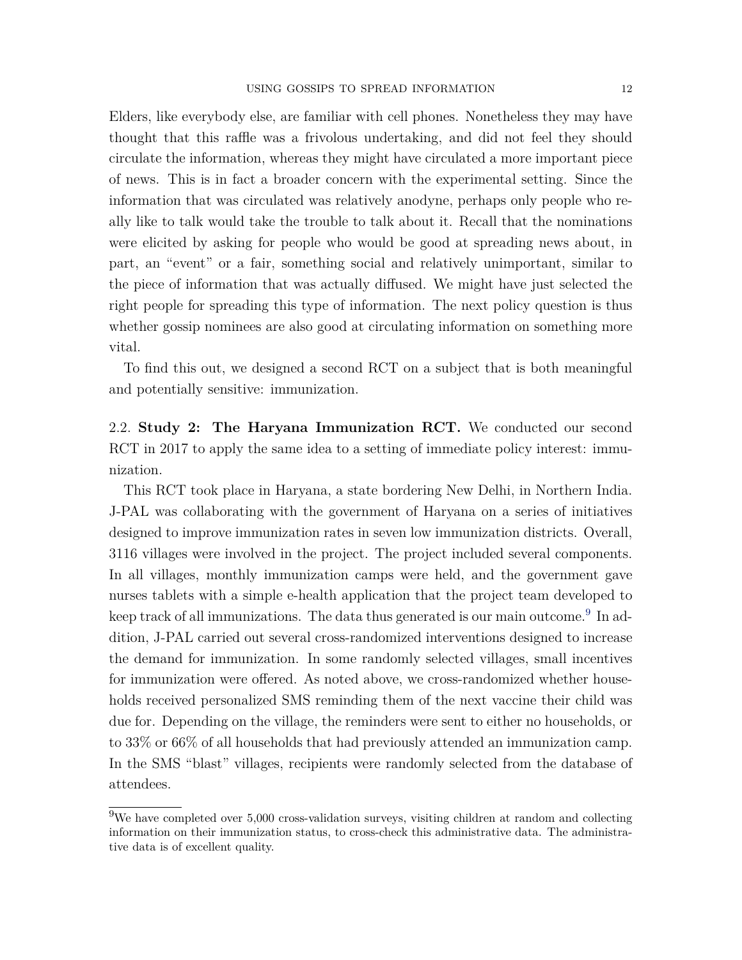Elders, like everybody else, are familiar with cell phones. Nonetheless they may have thought that this raffle was a frivolous undertaking, and did not feel they should circulate the information, whereas they might have circulated a more important piece of news. This is in fact a broader concern with the experimental setting. Since the information that was circulated was relatively anodyne, perhaps only people who really like to talk would take the trouble to talk about it. Recall that the nominations were elicited by asking for people who would be good at spreading news about, in part, an "event" or a fair, something social and relatively unimportant, similar to the piece of information that was actually diffused. We might have just selected the right people for spreading this type of information. The next policy question is thus whether gossip nominees are also good at circulating information on something more vital.

To find this out, we designed a second RCT on a subject that is both meaningful and potentially sensitive: immunization.

2.2. **Study 2: The Haryana Immunization RCT.** We conducted our second RCT in 2017 to apply the same idea to a setting of immediate policy interest: immunization.

This RCT took place in Haryana, a state bordering New Delhi, in Northern India. J-PAL was collaborating with the government of Haryana on a series of initiatives designed to improve immunization rates in seven low immunization districts. Overall, 3116 villages were involved in the project. The project included several components. In all villages, monthly immunization camps were held, and the government gave nurses tablets with a simple e-health application that the project team developed to keep track of all immunizations. The data thus generated is our main outcome.<sup>[9](#page-12-0)</sup> In addition, J-PAL carried out several cross-randomized interventions designed to increase the demand for immunization. In some randomly selected villages, small incentives for immunization were offered. As noted above, we cross-randomized whether households received personalized SMS reminding them of the next vaccine their child was due for. Depending on the village, the reminders were sent to either no households, or to 33% or 66% of all households that had previously attended an immunization camp. In the SMS "blast" villages, recipients were randomly selected from the database of attendees.

<span id="page-12-0"></span><sup>&</sup>lt;sup>9</sup>We have completed over 5,000 cross-validation surveys, visiting children at random and collecting information on their immunization status, to cross-check this administrative data. The administrative data is of excellent quality.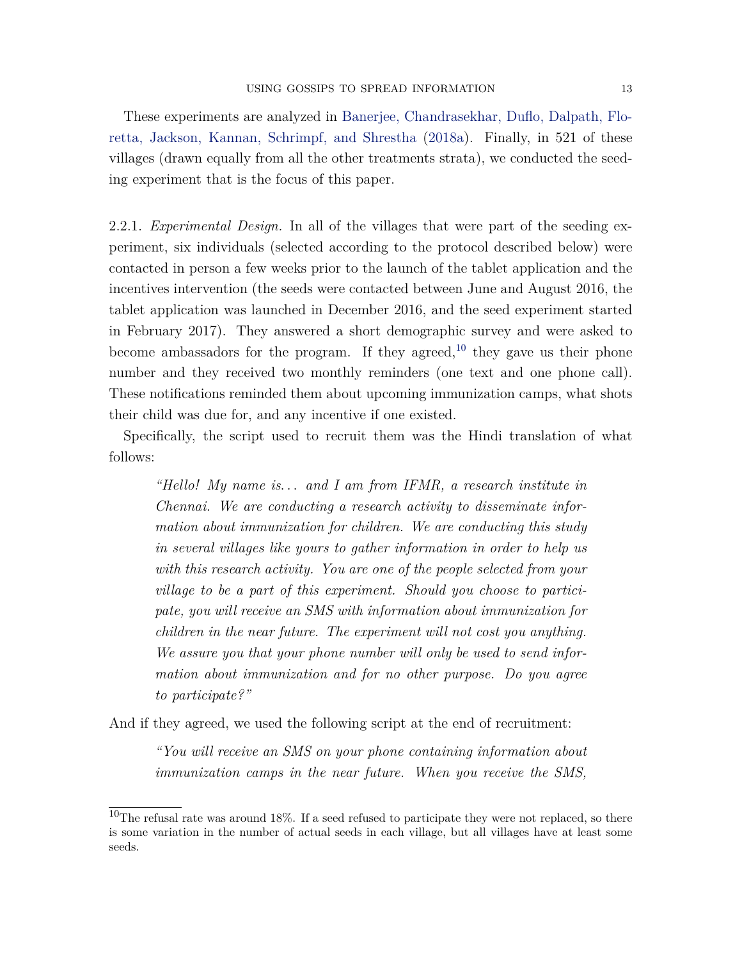These experiments are analyzed in [Banerjee, Chandrasekhar, Duflo, Dalpath, Flo](#page-38-7)[retta, Jackson, Kannan, Schrimpf, and Shrestha](#page-38-7) [\(2018a\)](#page-38-7). Finally, in 521 of these villages (drawn equally from all the other treatments strata), we conducted the seeding experiment that is the focus of this paper.

2.2.1. *Experimental Design.* In all of the villages that were part of the seeding experiment, six individuals (selected according to the protocol described below) were contacted in person a few weeks prior to the launch of the tablet application and the incentives intervention (the seeds were contacted between June and August 2016, the tablet application was launched in December 2016, and the seed experiment started in February 2017). They answered a short demographic survey and were asked to become ambassadors for the program. If they agreed,<sup>[10](#page-13-0)</sup> they gave us their phone number and they received two monthly reminders (one text and one phone call). These notifications reminded them about upcoming immunization camps, what shots their child was due for, and any incentive if one existed.

Specifically, the script used to recruit them was the Hindi translation of what follows:

*"Hello! My name is. . . and I am from IFMR, a research institute in Chennai. We are conducting a research activity to disseminate information about immunization for children. We are conducting this study in several villages like yours to gather information in order to help us with this research activity. You are one of the people selected from your village to be a part of this experiment. Should you choose to participate, you will receive an SMS with information about immunization for children in the near future. The experiment will not cost you anything. We assure you that your phone number will only be used to send information about immunization and for no other purpose. Do you agree to participate?"*

And if they agreed, we used the following script at the end of recruitment:

*"You will receive an SMS on your phone containing information about immunization camps in the near future. When you receive the SMS,*

<span id="page-13-0"></span><sup>&</sup>lt;sup>10</sup>The refusal rate was around 18%. If a seed refused to participate they were not replaced, so there is some variation in the number of actual seeds in each village, but all villages have at least some seeds.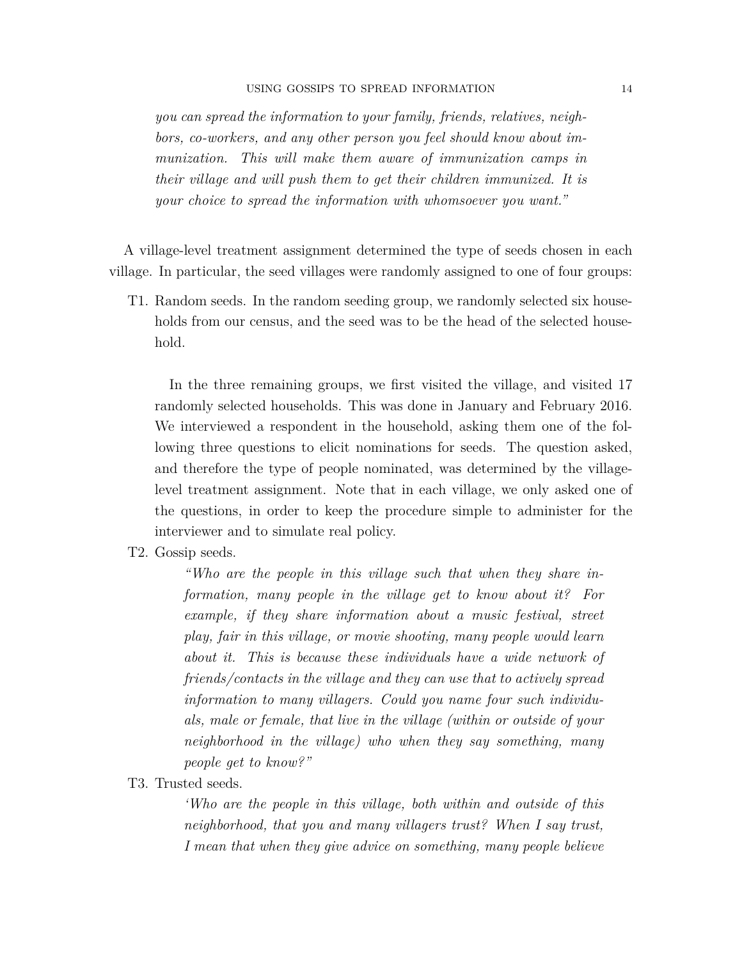*you can spread the information to your family, friends, relatives, neighbors, co-workers, and any other person you feel should know about immunization. This will make them aware of immunization camps in their village and will push them to get their children immunized. It is your choice to spread the information with whomsoever you want."*

A village-level treatment assignment determined the type of seeds chosen in each village. In particular, the seed villages were randomly assigned to one of four groups:

T1. Random seeds. In the random seeding group, we randomly selected six households from our census, and the seed was to be the head of the selected household.

In the three remaining groups, we first visited the village, and visited 17 randomly selected households. This was done in January and February 2016. We interviewed a respondent in the household, asking them one of the following three questions to elicit nominations for seeds. The question asked, and therefore the type of people nominated, was determined by the villagelevel treatment assignment. Note that in each village, we only asked one of the questions, in order to keep the procedure simple to administer for the interviewer and to simulate real policy.

T2. Gossip seeds.

*"Who are the people in this village such that when they share information, many people in the village get to know about it? For example, if they share information about a music festival, street play, fair in this village, or movie shooting, many people would learn about it. This is because these individuals have a wide network of friends/contacts in the village and they can use that to actively spread information to many villagers. Could you name four such individuals, male or female, that live in the village (within or outside of your neighborhood in the village) who when they say something, many people get to know?"*

T3. Trusted seeds.

*'Who are the people in this village, both within and outside of this neighborhood, that you and many villagers trust? When I say trust, I mean that when they give advice on something, many people believe*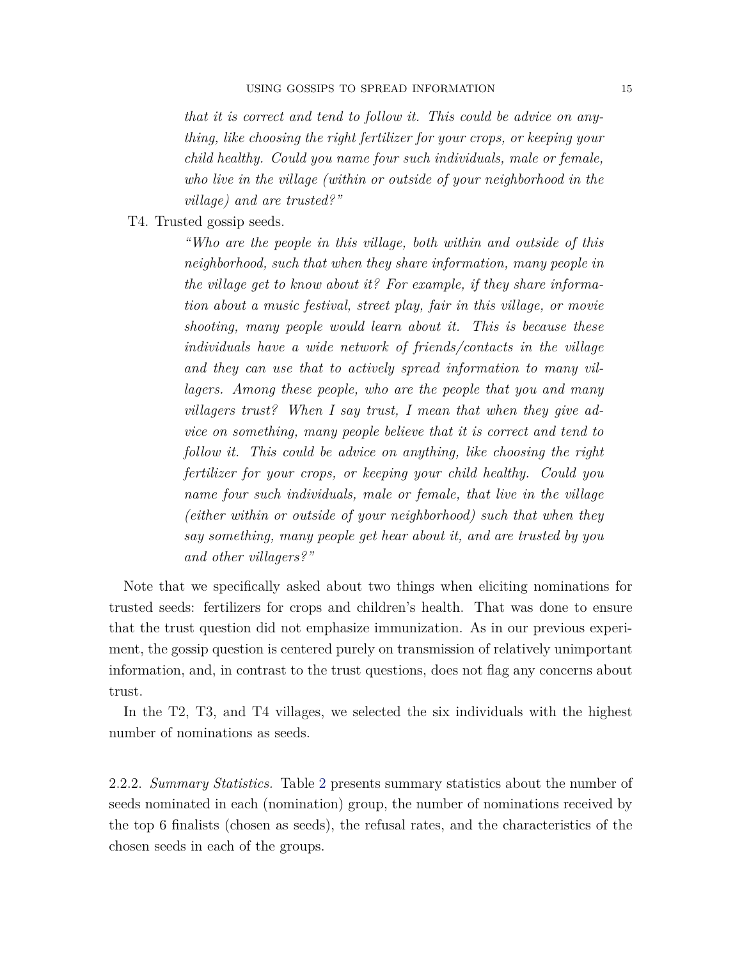*that it is correct and tend to follow it. This could be advice on anything, like choosing the right fertilizer for your crops, or keeping your child healthy. Could you name four such individuals, male or female, who live in the village (within or outside of your neighborhood in the village) and are trusted?"*

## T4. Trusted gossip seeds.

*"Who are the people in this village, both within and outside of this neighborhood, such that when they share information, many people in the village get to know about it? For example, if they share information about a music festival, street play, fair in this village, or movie shooting, many people would learn about it. This is because these individuals have a wide network of friends/contacts in the village and they can use that to actively spread information to many villagers. Among these people, who are the people that you and many villagers trust? When I say trust, I mean that when they give advice on something, many people believe that it is correct and tend to follow it. This could be advice on anything, like choosing the right fertilizer for your crops, or keeping your child healthy. Could you name four such individuals, male or female, that live in the village (either within or outside of your neighborhood) such that when they say something, many people get hear about it, and are trusted by you and other villagers?"*

Note that we specifically asked about two things when eliciting nominations for trusted seeds: fertilizers for crops and children's health. That was done to ensure that the trust question did not emphasize immunization. As in our previous experiment, the gossip question is centered purely on transmission of relatively unimportant information, and, in contrast to the trust questions, does not flag any concerns about trust.

In the T2, T3, and T4 villages, we selected the six individuals with the highest number of nominations as seeds.

2.2.2. *Summary Statistics.* Table [2](#page-48-0) presents summary statistics about the number of seeds nominated in each (nomination) group, the number of nominations received by the top 6 finalists (chosen as seeds), the refusal rates, and the characteristics of the chosen seeds in each of the groups.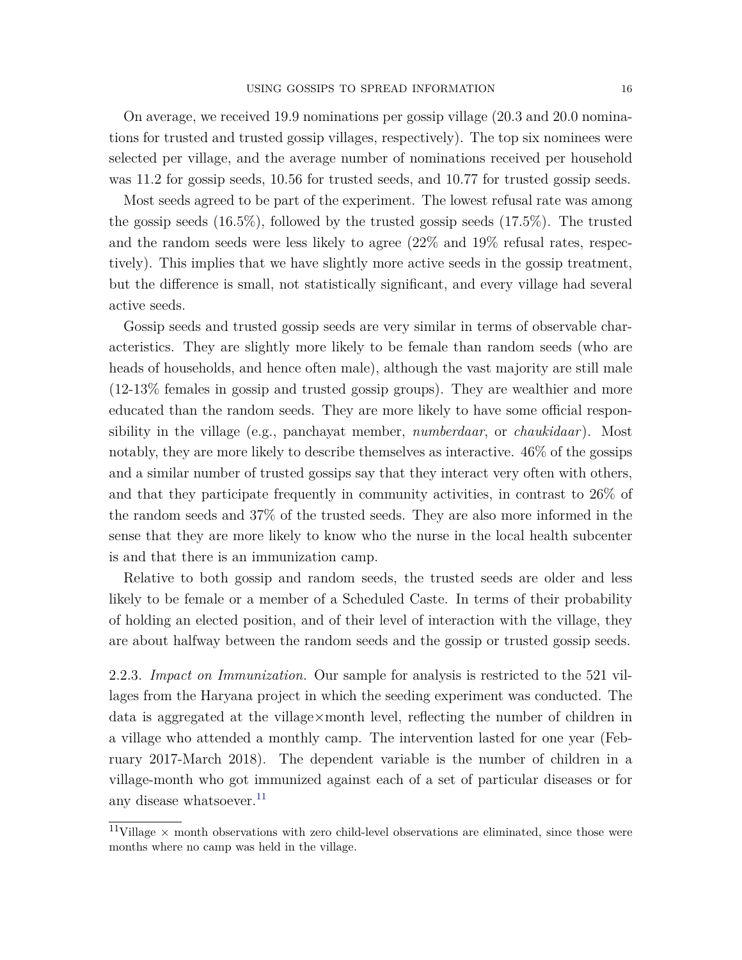On average, we received 19.9 nominations per gossip village (20.3 and 20.0 nominations for trusted and trusted gossip villages, respectively). The top six nominees were selected per village, and the average number of nominations received per household was 11.2 for gossip seeds, 10.56 for trusted seeds, and 10.77 for trusted gossip seeds.

Most seeds agreed to be part of the experiment. The lowest refusal rate was among the gossip seeds (16.5%), followed by the trusted gossip seeds (17.5%). The trusted and the random seeds were less likely to agree (22% and 19% refusal rates, respectively). This implies that we have slightly more active seeds in the gossip treatment, but the difference is small, not statistically significant, and every village had several active seeds.

Gossip seeds and trusted gossip seeds are very similar in terms of observable characteristics. They are slightly more likely to be female than random seeds (who are heads of households, and hence often male), although the vast majority are still male (12-13% females in gossip and trusted gossip groups). They are wealthier and more educated than the random seeds. They are more likely to have some official responsibility in the village (e.g., panchayat member, *numberdaar*, or *chaukidaar*). Most notably, they are more likely to describe themselves as interactive. 46% of the gossips and a similar number of trusted gossips say that they interact very often with others, and that they participate frequently in community activities, in contrast to 26% of the random seeds and 37% of the trusted seeds. They are also more informed in the sense that they are more likely to know who the nurse in the local health subcenter is and that there is an immunization camp.

Relative to both gossip and random seeds, the trusted seeds are older and less likely to be female or a member of a Scheduled Caste. In terms of their probability of holding an elected position, and of their level of interaction with the village, they are about halfway between the random seeds and the gossip or trusted gossip seeds.

2.2.3. *Impact on Immunization.* Our sample for analysis is restricted to the 521 villages from the Haryana project in which the seeding experiment was conducted. The data is aggregated at the village×month level, reflecting the number of children in a village who attended a monthly camp. The intervention lasted for one year (February 2017-March 2018). The dependent variable is the number of children in a village-month who got immunized against each of a set of particular diseases or for any disease whatsoever. $11$ 

<span id="page-16-0"></span><sup>&</sup>lt;sup>11</sup>Village  $\times$  month observations with zero child-level observations are eliminated, since those were months where no camp was held in the village.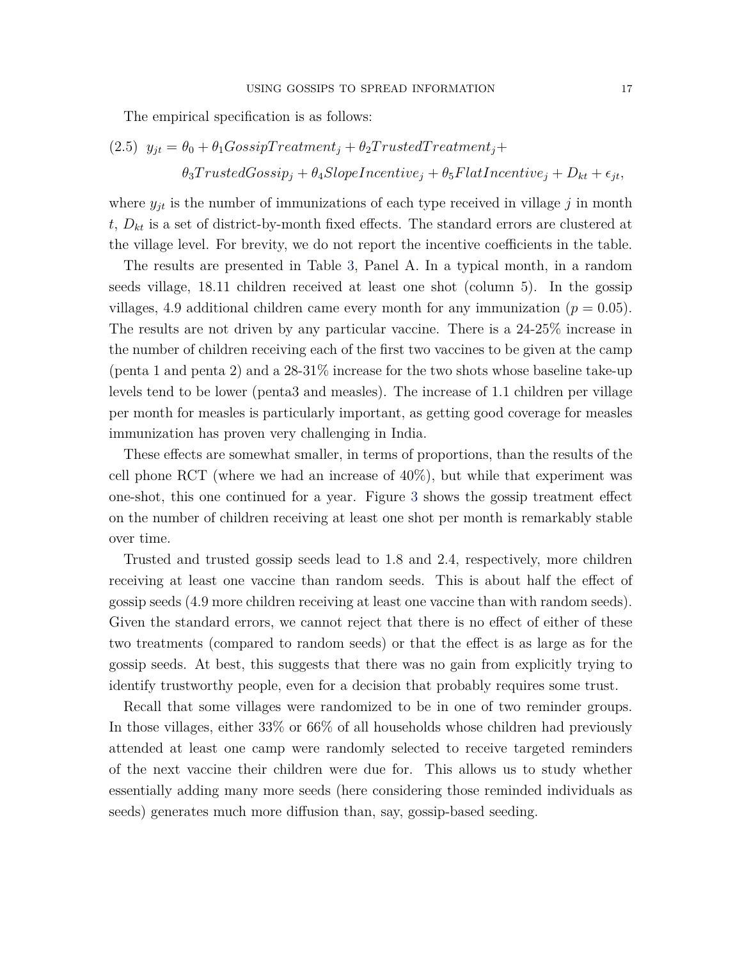The empirical specification is as follows:

(2.5) 
$$
y_{jt} = \theta_0 + \theta_1 G \text{ossip} T \text{reatment}_j + \theta_2 T \text{rusted} T \text{reatment}_j +
$$
  
 $\theta_3 T \text{rusted} G \text{ossip}_j + \theta_4 S \text{lope} \text{I} \text{ncentive}_j + \theta_5 F \text{I} \text{at} \text{I} \text{ncentive}_j + D_{kt} + \epsilon_{jt},$ 

where  $y_{jt}$  is the number of immunizations of each type received in village  $j$  in month *t*, *Dkt* is a set of district-by-month fixed effects. The standard errors are clustered at the village level. For brevity, we do not report the incentive coefficients in the table.

The results are presented in Table [3,](#page-49-0) Panel A. In a typical month, in a random seeds village, 18.11 children received at least one shot (column 5). In the gossip villages, 4.9 additional children came every month for any immunization  $(p = 0.05)$ . The results are not driven by any particular vaccine. There is a 24-25% increase in the number of children receiving each of the first two vaccines to be given at the camp (penta 1 and penta 2) and a 28-31% increase for the two shots whose baseline take-up levels tend to be lower (penta3 and measles). The increase of 1.1 children per village per month for measles is particularly important, as getting good coverage for measles immunization has proven very challenging in India.

These effects are somewhat smaller, in terms of proportions, than the results of the cell phone RCT (where we had an increase of 40%), but while that experiment was one-shot, this one continued for a year. Figure [3](#page-44-0) shows the gossip treatment effect on the number of children receiving at least one shot per month is remarkably stable over time.

Trusted and trusted gossip seeds lead to 1.8 and 2.4, respectively, more children receiving at least one vaccine than random seeds. This is about half the effect of gossip seeds (4.9 more children receiving at least one vaccine than with random seeds). Given the standard errors, we cannot reject that there is no effect of either of these two treatments (compared to random seeds) or that the effect is as large as for the gossip seeds. At best, this suggests that there was no gain from explicitly trying to identify trustworthy people, even for a decision that probably requires some trust.

Recall that some villages were randomized to be in one of two reminder groups. In those villages, either 33% or 66% of all households whose children had previously attended at least one camp were randomly selected to receive targeted reminders of the next vaccine their children were due for. This allows us to study whether essentially adding many more seeds (here considering those reminded individuals as seeds) generates much more diffusion than, say, gossip-based seeding.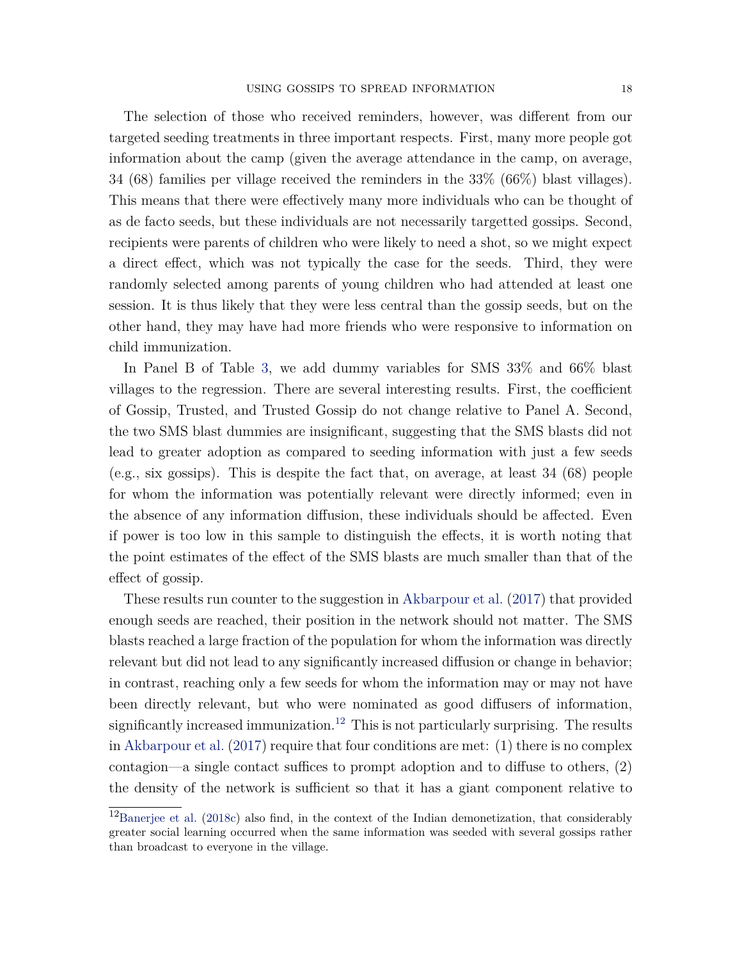The selection of those who received reminders, however, was different from our targeted seeding treatments in three important respects. First, many more people got information about the camp (given the average attendance in the camp, on average, 34 (68) families per village received the reminders in the 33% (66%) blast villages). This means that there were effectively many more individuals who can be thought of as de facto seeds, but these individuals are not necessarily targetted gossips. Second, recipients were parents of children who were likely to need a shot, so we might expect a direct effect, which was not typically the case for the seeds. Third, they were randomly selected among parents of young children who had attended at least one session. It is thus likely that they were less central than the gossip seeds, but on the other hand, they may have had more friends who were responsive to information on child immunization.

In Panel B of Table [3,](#page-49-0) we add dummy variables for SMS 33% and 66% blast villages to the regression. There are several interesting results. First, the coefficient of Gossip, Trusted, and Trusted Gossip do not change relative to Panel A. Second, the two SMS blast dummies are insignificant, suggesting that the SMS blasts did not lead to greater adoption as compared to seeding information with just a few seeds (e.g., six gossips). This is despite the fact that, on average, at least 34 (68) people for whom the information was potentially relevant were directly informed; even in the absence of any information diffusion, these individuals should be affected. Even if power is too low in this sample to distinguish the effects, it is worth noting that the point estimates of the effect of the SMS blasts are much smaller than that of the effect of gossip.

These results run counter to the suggestion in [Akbarpour et al.](#page-37-1) [\(2017\)](#page-37-1) that provided enough seeds are reached, their position in the network should not matter. The SMS blasts reached a large fraction of the population for whom the information was directly relevant but did not lead to any significantly increased diffusion or change in behavior; in contrast, reaching only a few seeds for whom the information may or may not have been directly relevant, but who were nominated as good diffusers of information, significantly increased immunization.<sup>[12](#page-18-0)</sup> This is not particularly surprising. The results in [Akbarpour et al.](#page-37-1) [\(2017\)](#page-37-1) require that four conditions are met: (1) there is no complex contagion—a single contact suffices to prompt adoption and to diffuse to others, (2) the density of the network is sufficient so that it has a giant component relative to

<span id="page-18-0"></span> $12$ [Banerjee et al.](#page-38-8) [\(2018c\)](#page-38-8) also find, in the context of the Indian demonetization, that considerably greater social learning occurred when the same information was seeded with several gossips rather than broadcast to everyone in the village.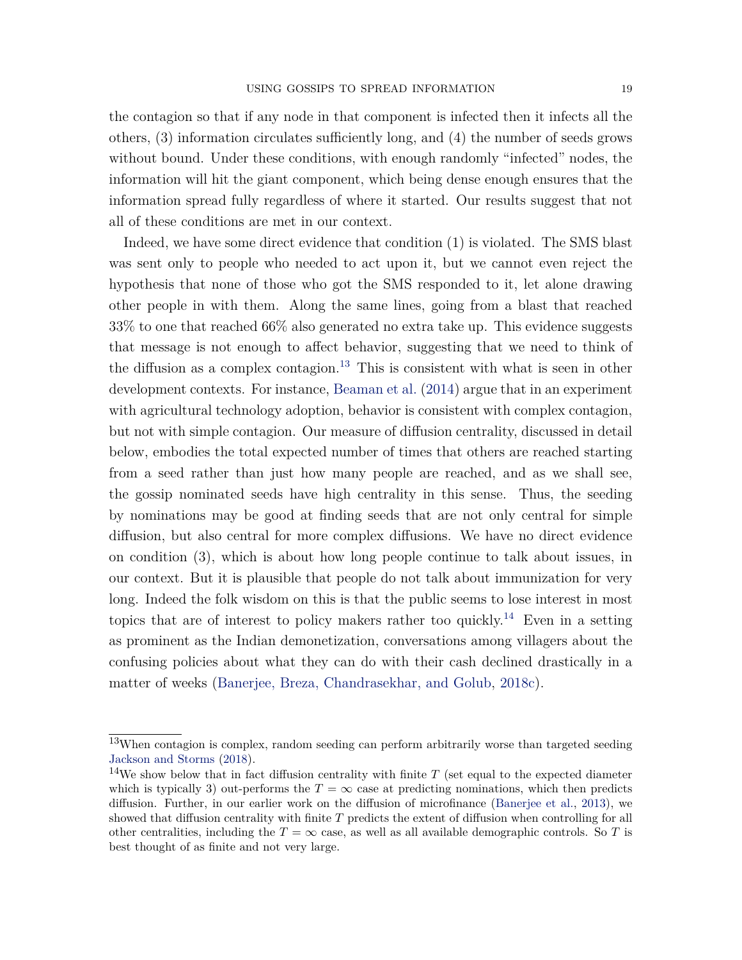the contagion so that if any node in that component is infected then it infects all the others, (3) information circulates sufficiently long, and (4) the number of seeds grows without bound. Under these conditions, with enough randomly "infected" nodes, the information will hit the giant component, which being dense enough ensures that the information spread fully regardless of where it started. Our results suggest that not all of these conditions are met in our context.

Indeed, we have some direct evidence that condition (1) is violated. The SMS blast was sent only to people who needed to act upon it, but we cannot even reject the hypothesis that none of those who got the SMS responded to it, let alone drawing other people in with them. Along the same lines, going from a blast that reached 33% to one that reached 66% also generated no extra take up. This evidence suggests that message is not enough to affect behavior, suggesting that we need to think of the diffusion as a complex contagion.<sup>[13](#page-19-0)</sup> This is consistent with what is seen in other development contexts. For instance, [Beaman et al.](#page-38-2) [\(2014\)](#page-38-2) argue that in an experiment with agricultural technology adoption, behavior is consistent with complex contagion, but not with simple contagion. Our measure of diffusion centrality, discussed in detail below, embodies the total expected number of times that others are reached starting from a seed rather than just how many people are reached, and as we shall see, the gossip nominated seeds have high centrality in this sense. Thus, the seeding by nominations may be good at finding seeds that are not only central for simple diffusion, but also central for more complex diffusions. We have no direct evidence on condition (3), which is about how long people continue to talk about issues, in our context. But it is plausible that people do not talk about immunization for very long. Indeed the folk wisdom on this is that the public seems to lose interest in most topics that are of interest to policy makers rather too quickly.<sup>[14](#page-19-1)</sup> Even in a setting as prominent as the Indian demonetization, conversations among villagers about the confusing policies about what they can do with their cash declined drastically in a matter of weeks [\(Banerjee, Breza, Chandrasekhar, and Golub,](#page-38-8) [2018c\)](#page-38-8).

<span id="page-19-0"></span> $13$ When contagion is complex, random seeding can perform arbitrarily worse than targeted seeding [Jackson and Storms](#page-40-9) [\(2018\)](#page-40-9).

<span id="page-19-1"></span><sup>&</sup>lt;sup>14</sup>We show below that in fact diffusion centrality with finite  $T$  (set equal to the expected diameter which is typically 3) out-performs the  $T = \infty$  case at predicting nominations, which then predicts diffusion. Further, in our earlier work on the diffusion of microfinance [\(Banerjee et al.,](#page-38-1) [2013\)](#page-38-1), we showed that diffusion centrality with finite *T* predicts the extent of diffusion when controlling for all other centralities, including the  $T = \infty$  case, as well as all available demographic controls. So *T* is best thought of as finite and not very large.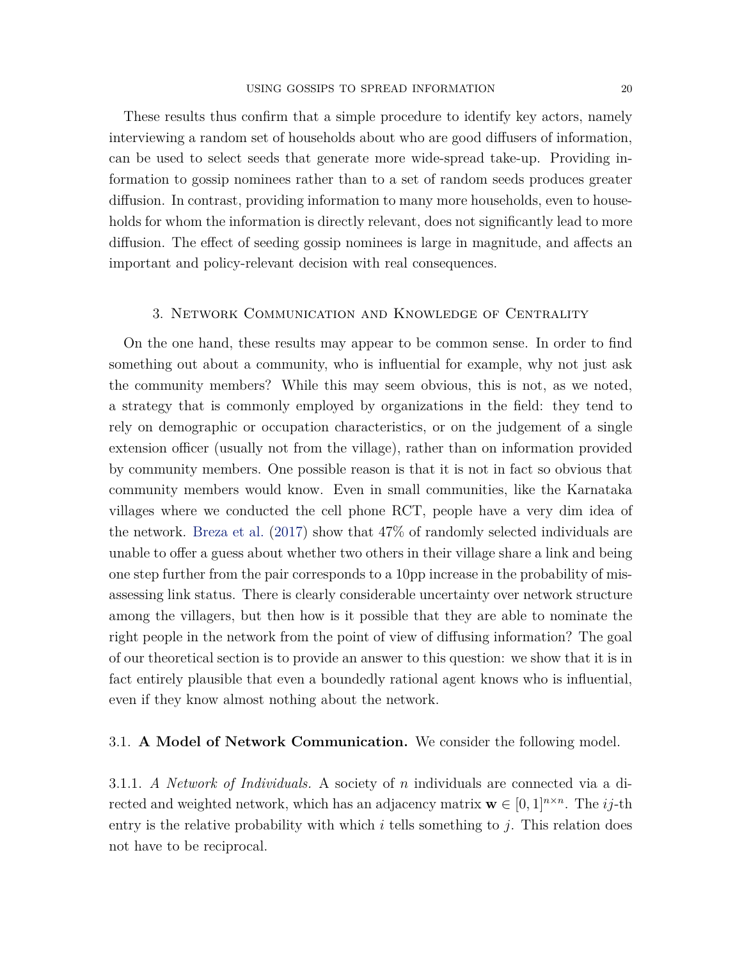These results thus confirm that a simple procedure to identify key actors, namely interviewing a random set of households about who are good diffusers of information, can be used to select seeds that generate more wide-spread take-up. Providing information to gossip nominees rather than to a set of random seeds produces greater diffusion. In contrast, providing information to many more households, even to households for whom the information is directly relevant, does not significantly lead to more diffusion. The effect of seeding gossip nominees is large in magnitude, and affects an important and policy-relevant decision with real consequences.

## 3. Network Communication and Knowledge of Centrality

<span id="page-20-0"></span>On the one hand, these results may appear to be common sense. In order to find something out about a community, who is influential for example, why not just ask the community members? While this may seem obvious, this is not, as we noted, a strategy that is commonly employed by organizations in the field: they tend to rely on demographic or occupation characteristics, or on the judgement of a single extension officer (usually not from the village), rather than on information provided by community members. One possible reason is that it is not in fact so obvious that community members would know. Even in small communities, like the Karnataka villages where we conducted the cell phone RCT, people have a very dim idea of the network. [Breza et al.](#page-39-7) [\(2017\)](#page-39-7) show that 47% of randomly selected individuals are unable to offer a guess about whether two others in their village share a link and being one step further from the pair corresponds to a 10pp increase in the probability of misassessing link status. There is clearly considerable uncertainty over network structure among the villagers, but then how is it possible that they are able to nominate the right people in the network from the point of view of diffusing information? The goal of our theoretical section is to provide an answer to this question: we show that it is in fact entirely plausible that even a boundedly rational agent knows who is influential, even if they know almost nothing about the network.

#### 3.1. **A Model of Network Communication.** We consider the following model.

3.1.1. *A Network of Individuals.* A society of *n* individuals are connected via a directed and weighted network, which has an adjacency matrix  $\mathbf{w} \in [0,1]^{n \times n}$ . The *ij*-th entry is the relative probability with which *i* tells something to *j*. This relation does not have to be reciprocal.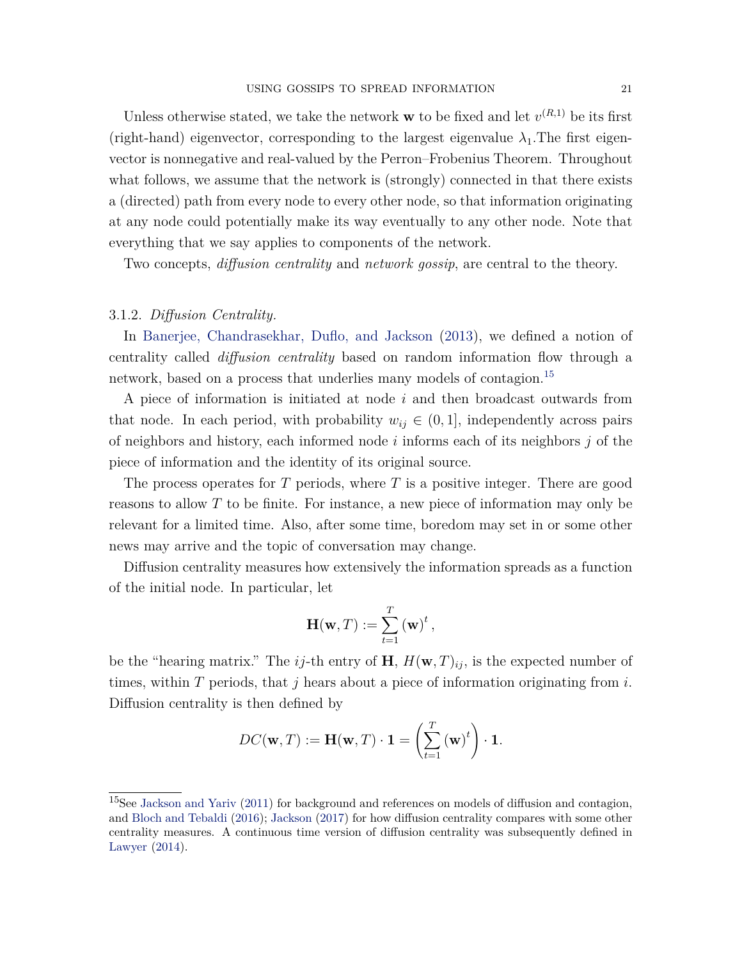Unless otherwise stated, we take the network **w** to be fixed and let  $v^{(R,1)}$  be its first (right-hand) eigenvector, corresponding to the largest eigenvalue  $\lambda_1$ . The first eigenvector is nonnegative and real-valued by the Perron–Frobenius Theorem. Throughout what follows, we assume that the network is (strongly) connected in that there exists a (directed) path from every node to every other node, so that information originating at any node could potentially make its way eventually to any other node. Note that everything that we say applies to components of the network.

Two concepts, *diffusion centrality* and *network gossip*, are central to the theory.

#### <span id="page-21-1"></span>3.1.2. *Diffusion Centrality.*

In [Banerjee, Chandrasekhar, Duflo, and Jackson](#page-38-1) [\(2013\)](#page-38-1), we defined a notion of centrality called *diffusion centrality* based on random information flow through a network, based on a process that underlies many models of contagion.<sup>[15](#page-21-0)</sup>

A piece of information is initiated at node *i* and then broadcast outwards from that node. In each period, with probability  $w_{ij} \in (0,1]$ , independently across pairs of neighbors and history, each informed node *i* informs each of its neighbors *j* of the piece of information and the identity of its original source.

The process operates for *T* periods, where *T* is a positive integer. There are good reasons to allow *T* to be finite. For instance, a new piece of information may only be relevant for a limited time. Also, after some time, boredom may set in or some other news may arrive and the topic of conversation may change.

Diffusion centrality measures how extensively the information spreads as a function of the initial node. In particular, let

$$
\mathbf{H}(\mathbf{w},T) := \sum_{t=1}^T (\mathbf{w})^t,
$$

be the "hearing matrix." The *ij*-th entry of **H**,  $H(\mathbf{w}, T)_{ii}$ , is the expected number of times, within *T* periods, that *j* hears about a piece of information originating from *i*. Diffusion centrality is then defined by

$$
DC(\mathbf{w},T) := \mathbf{H}(\mathbf{w},T) \cdot \mathbf{1} = \left(\sum_{t=1}^T (\mathbf{w})^t\right) \cdot \mathbf{1}.
$$

<span id="page-21-0"></span><sup>15</sup>See [Jackson and Yariv](#page-40-4) [\(2011\)](#page-40-4) for background and references on models of diffusion and contagion, and [Bloch and Tebaldi](#page-38-4) [\(2016\)](#page-38-4); [Jackson](#page-40-5) [\(2017\)](#page-40-5) for how diffusion centrality compares with some other centrality measures. A continuous time version of diffusion centrality was subsequently defined in [Lawyer](#page-41-9) [\(2014\)](#page-41-9).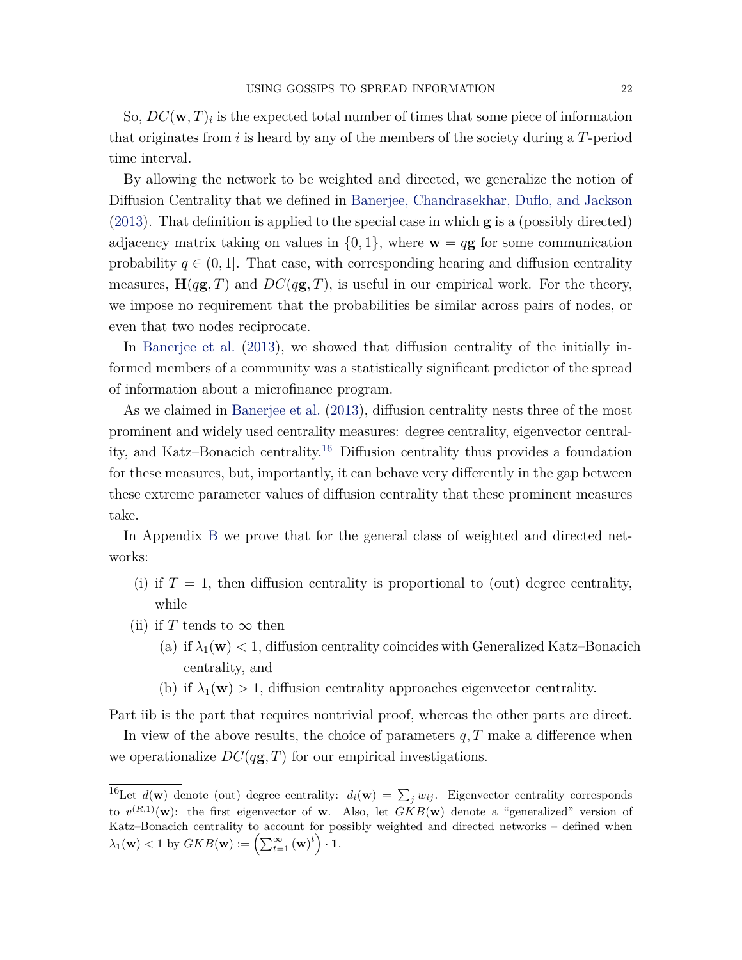So,  $DC(\mathbf{w}, T)_i$  is the expected total number of times that some piece of information that originates from *i* is heard by any of the members of the society during a *T*-period time interval.

By allowing the network to be weighted and directed, we generalize the notion of Diffusion Centrality that we defined in [Banerjee, Chandrasekhar, Duflo, and Jackson](#page-38-1) [\(2013\)](#page-38-1). That definition is applied to the special case in which **g** is a (possibly directed) adjacency matrix taking on values in  $\{0, 1\}$ , where  $\mathbf{w} = q\mathbf{g}$  for some communication probability  $q \in (0, 1]$ . That case, with corresponding hearing and diffusion centrality measures,  $\mathbf{H}(q\mathbf{g},T)$  and  $DC(q\mathbf{g},T)$ , is useful in our empirical work. For the theory, we impose no requirement that the probabilities be similar across pairs of nodes, or even that two nodes reciprocate.

In [Banerjee et al.](#page-38-1) [\(2013\)](#page-38-1), we showed that diffusion centrality of the initially informed members of a community was a statistically significant predictor of the spread of information about a microfinance program.

As we claimed in [Banerjee et al.](#page-38-1) [\(2013\)](#page-38-1), diffusion centrality nests three of the most prominent and widely used centrality measures: degree centrality, eigenvector centrality, and Katz–Bonacich centrality.[16](#page-22-0) Diffusion centrality thus provides a foundation for these measures, but, importantly, it can behave very differently in the gap between these extreme parameter values of diffusion centrality that these prominent measures take.

In Appendix [B](#page-58-0) we prove that for the general class of weighted and directed networks:

- (i) if  $T = 1$ , then diffusion centrality is proportional to (out) degree centrality, while
- (ii) if T tends to  $\infty$  then
	- (a) if  $\lambda_1(\mathbf{w}) < 1$ , diffusion centrality coincides with Generalized Katz–Bonacich centrality, and
	- (b) if  $\lambda_1(\mathbf{w}) > 1$ , diffusion centrality approaches eigenvector centrality.

Part iib is the part that requires nontrivial proof, whereas the other parts are direct.

In view of the above results, the choice of parameters *q, T* make a difference when we operationalize  $DC(q\mathbf{g}, T)$  for our empirical investigations.

<span id="page-22-0"></span><sup>&</sup>lt;sup>16</sup>Let  $d(\mathbf{w})$  denote (out) degree centrality:  $d_i(\mathbf{w}) = \sum_j w_{ij}$ . Eigenvector centrality corresponds to  $v^{(R,1)}(\mathbf{w})$ : the first eigenvector of **w**. Also, let  $GKB(\mathbf{w})$  denote a "generalized" version of Katz–Bonacich centrality to account for possibly weighted and directed networks – defined when  $\lambda_1(\mathbf{w}) < 1$  by  $GKB(\mathbf{w}) := \left(\sum_{t=1}^{\infty} (\mathbf{w})^t\right) \cdot \mathbf{1}.$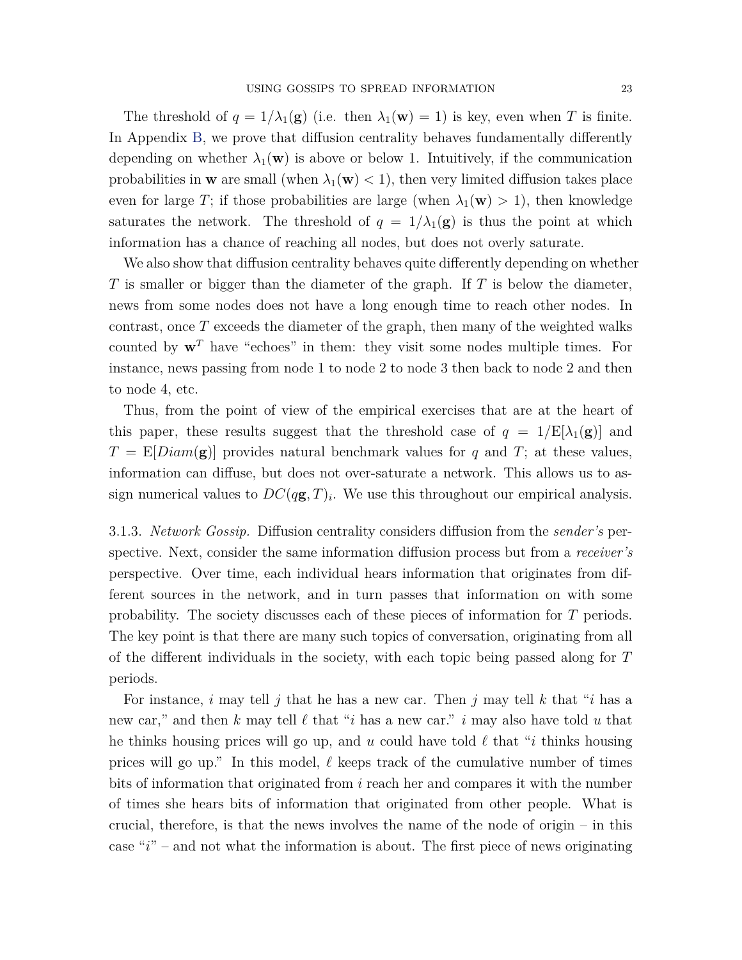The threshold of  $q = 1/\lambda_1(g)$  (i.e. then  $\lambda_1(\mathbf{w}) = 1$ ) is key, even when *T* is finite. In Appendix [B,](#page-58-0) we prove that diffusion centrality behaves fundamentally differently depending on whether  $\lambda_1(\mathbf{w})$  is above or below 1. Intuitively, if the communication probabilities in **w** are small (when  $\lambda_1(\mathbf{w}) < 1$ ), then very limited diffusion takes place even for large *T*; if those probabilities are large (when  $\lambda_1(\mathbf{w}) > 1$ ), then knowledge saturates the network. The threshold of  $q = 1/\lambda_1(g)$  is thus the point at which information has a chance of reaching all nodes, but does not overly saturate.

We also show that diffusion centrality behaves quite differently depending on whether *T* is smaller or bigger than the diameter of the graph. If *T* is below the diameter, news from some nodes does not have a long enough time to reach other nodes. In contrast, once *T* exceeds the diameter of the graph, then many of the weighted walks counted by  $\mathbf{w}^T$  have "echoes" in them: they visit some nodes multiple times. For instance, news passing from node 1 to node 2 to node 3 then back to node 2 and then to node 4, etc.

Thus, from the point of view of the empirical exercises that are at the heart of this paper, these results suggest that the threshold case of  $q = 1/E[\lambda_1(g)]$  and  $T = E[Diam(\mathbf{g})]$  provides natural benchmark values for *q* and *T*; at these values, information can diffuse, but does not over-saturate a network. This allows us to assign numerical values to  $DC(q\mathbf{g}, T)_i$ . We use this throughout our empirical analysis.

<span id="page-23-0"></span>3.1.3. *Network Gossip.* Diffusion centrality considers diffusion from the *sender's* perspective. Next, consider the same information diffusion process but from a *receiver's* perspective. Over time, each individual hears information that originates from different sources in the network, and in turn passes that information on with some probability. The society discusses each of these pieces of information for *T* periods. The key point is that there are many such topics of conversation, originating from all of the different individuals in the society, with each topic being passed along for *T* periods.

For instance, *i* may tell *j* that he has a new car. Then *j* may tell *k* that "*i* has a new car," and then  $k$  may tell  $\ell$  that "*i* has a new car." *i* may also have told  $u$  that he thinks housing prices will go up, and  $u$  could have told  $\ell$  that "*i* thinks housing prices will go up." In this model,  $\ell$  keeps track of the cumulative number of times bits of information that originated from *i* reach her and compares it with the number of times she hears bits of information that originated from other people. What is crucial, therefore, is that the news involves the name of the node of origin – in this case "*i*" – and not what the information is about. The first piece of news originating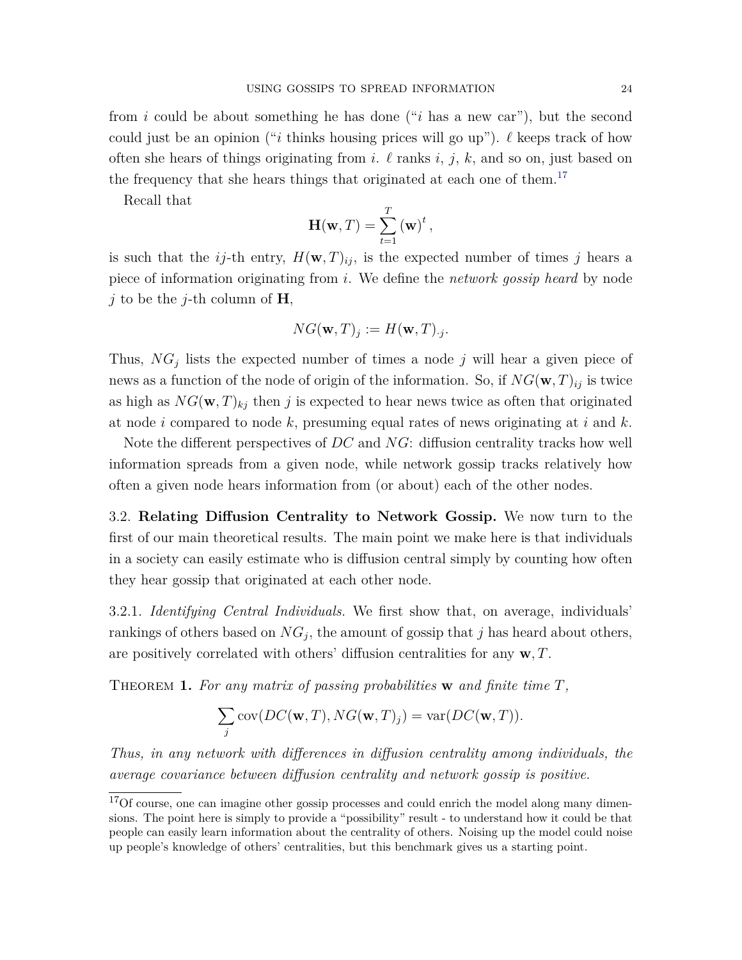from *i* could be about something he has done ("*i* has a new car"), but the second could just be an opinion ("*i* thinks housing prices will go up").  $\ell$  keeps track of how often she hears of things originating from *i*.  $\ell$  ranks *i*, *j*, *k*, and so on, just based on the frequency that she hears things that originated at each one of them.<sup>[17](#page-24-0)</sup>

Recall that

$$
\mathbf{H}(\mathbf{w},T) = \sum_{t=1}^{T} (\mathbf{w})^t,
$$

is such that the *ij*-th entry,  $H(\mathbf{w}, T)_{ij}$ , is the expected number of times *j* hears a piece of information originating from *i*. We define the *network gossip heard* by node *j* to be the *j*-th column of **H**,

$$
NG(\mathbf{w},T)_j := H(\mathbf{w},T)_{\cdot j}.
$$

Thus, *NG<sup>j</sup>* lists the expected number of times a node *j* will hear a given piece of news as a function of the node of origin of the information. So, if  $NG(w, T)_{ij}$  is twice as high as  $NG(w, T)_{kj}$  then *j* is expected to hear news twice as often that originated at node *i* compared to node *k*, presuming equal rates of news originating at *i* and *k*.

Note the different perspectives of *DC* and *NG*: diffusion centrality tracks how well information spreads from a given node, while network gossip tracks relatively how often a given node hears information from (or about) each of the other nodes.

3.2. **Relating Diffusion Centrality to Network Gossip.** We now turn to the first of our main theoretical results. The main point we make here is that individuals in a society can easily estimate who is diffusion central simply by counting how often they hear gossip that originated at each other node.

3.2.1. *Identifying Central Individuals.* We first show that, on average, individuals' rankings of others based on *NG<sup>j</sup>* , the amount of gossip that *j* has heard about others, are positively correlated with others' diffusion centralities for any **w***, T*.

<span id="page-24-1"></span>Theorem **1.** *For any matrix of passing probabilities* **w** *and finite time T,*

$$
\sum_j \text{cov}(DC(\mathbf{w}, T), NG(\mathbf{w}, T)_j) = \text{var}(DC(\mathbf{w}, T)).
$$

*Thus, in any network with differences in diffusion centrality among individuals, the average covariance between diffusion centrality and network gossip is positive.*

<span id="page-24-0"></span><sup>&</sup>lt;sup>17</sup>Of course, one can imagine other gossip processes and could enrich the model along many dimensions. The point here is simply to provide a "possibility" result - to understand how it could be that people can easily learn information about the centrality of others. Noising up the model could noise up people's knowledge of others' centralities, but this benchmark gives us a starting point.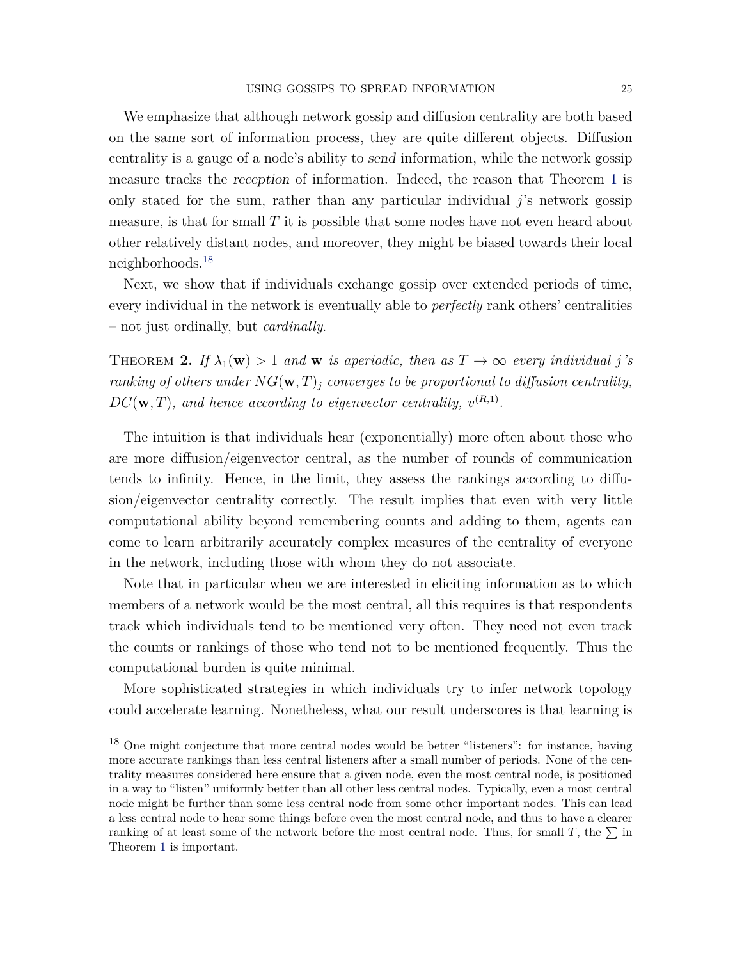We emphasize that although network gossip and diffusion centrality are both based on the same sort of information process, they are quite different objects. Diffusion centrality is a gauge of a node's ability to send information, while the network gossip measure tracks the reception of information. Indeed, the reason that Theorem [1](#page-24-1) is only stated for the sum, rather than any particular individual *j*'s network gossip measure, is that for small *T* it is possible that some nodes have not even heard about other relatively distant nodes, and moreover, they might be biased towards their local neighborhoods.[18](#page-25-0)

Next, we show that if individuals exchange gossip over extended periods of time, every individual in the network is eventually able to *perfectly* rank others' centralities – not just ordinally, but *cardinally*.

THEOREM 2. If  $\lambda_1(\mathbf{w}) > 1$  and **w** is aperiodic, then as  $T \to \infty$  every individual j's *ranking of others under*  $NG(w, T)$ *j converges to be proportional to diffusion centrality,*  $DC(w, T)$ *, and hence according to eigenvector centrality,*  $v^{(R,1)}$ *.* 

The intuition is that individuals hear (exponentially) more often about those who are more diffusion/eigenvector central, as the number of rounds of communication tends to infinity. Hence, in the limit, they assess the rankings according to diffusion/eigenvector centrality correctly. The result implies that even with very little computational ability beyond remembering counts and adding to them, agents can come to learn arbitrarily accurately complex measures of the centrality of everyone in the network, including those with whom they do not associate.

Note that in particular when we are interested in eliciting information as to which members of a network would be the most central, all this requires is that respondents track which individuals tend to be mentioned very often. They need not even track the counts or rankings of those who tend not to be mentioned frequently. Thus the computational burden is quite minimal.

More sophisticated strategies in which individuals try to infer network topology could accelerate learning. Nonetheless, what our result underscores is that learning is

<span id="page-25-0"></span><sup>18</sup> One might conjecture that more central nodes would be better "listeners": for instance, having more accurate rankings than less central listeners after a small number of periods. None of the centrality measures considered here ensure that a given node, even the most central node, is positioned in a way to "listen" uniformly better than all other less central nodes. Typically, even a most central node might be further than some less central node from some other important nodes. This can lead a less central node to hear some things before even the most central node, and thus to have a clearer ranking of at least some of the network before the most central node. Thus, for small  $T$ , the  $\Sigma$  in Theorem [1](#page-24-1) is important.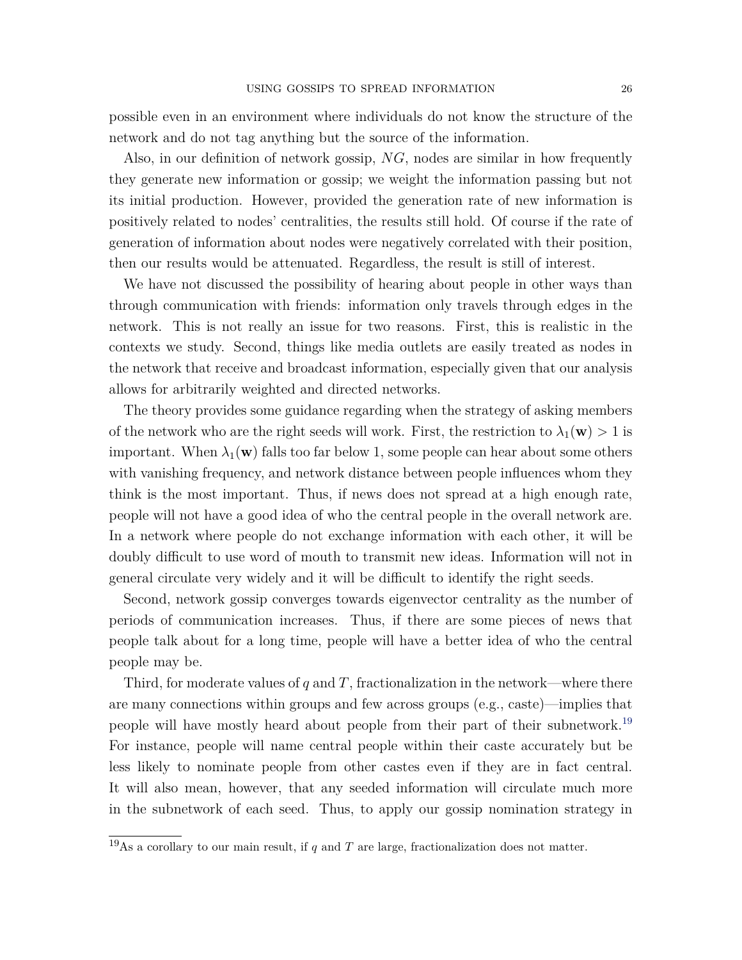possible even in an environment where individuals do not know the structure of the network and do not tag anything but the source of the information.

Also, in our definition of network gossip, *NG*, nodes are similar in how frequently they generate new information or gossip; we weight the information passing but not its initial production. However, provided the generation rate of new information is positively related to nodes' centralities, the results still hold. Of course if the rate of generation of information about nodes were negatively correlated with their position, then our results would be attenuated. Regardless, the result is still of interest.

We have not discussed the possibility of hearing about people in other ways than through communication with friends: information only travels through edges in the network. This is not really an issue for two reasons. First, this is realistic in the contexts we study. Second, things like media outlets are easily treated as nodes in the network that receive and broadcast information, especially given that our analysis allows for arbitrarily weighted and directed networks.

The theory provides some guidance regarding when the strategy of asking members of the network who are the right seeds will work. First, the restriction to  $\lambda_1(\mathbf{w}) > 1$  is important. When  $\lambda_1(\mathbf{w})$  falls too far below 1, some people can hear about some others with vanishing frequency, and network distance between people influences whom they think is the most important. Thus, if news does not spread at a high enough rate, people will not have a good idea of who the central people in the overall network are. In a network where people do not exchange information with each other, it will be doubly difficult to use word of mouth to transmit new ideas. Information will not in general circulate very widely and it will be difficult to identify the right seeds.

Second, network gossip converges towards eigenvector centrality as the number of periods of communication increases. Thus, if there are some pieces of news that people talk about for a long time, people will have a better idea of who the central people may be.

Third, for moderate values of *q* and *T*, fractionalization in the network—where there are many connections within groups and few across groups (e.g., caste)—implies that people will have mostly heard about people from their part of their subnetwork.[19](#page-26-0) For instance, people will name central people within their caste accurately but be less likely to nominate people from other castes even if they are in fact central. It will also mean, however, that any seeded information will circulate much more in the subnetwork of each seed. Thus, to apply our gossip nomination strategy in

<span id="page-26-0"></span> $\frac{19}{19}$ As a corollary to our main result, if *q* and *T* are large, fractionalization does not matter.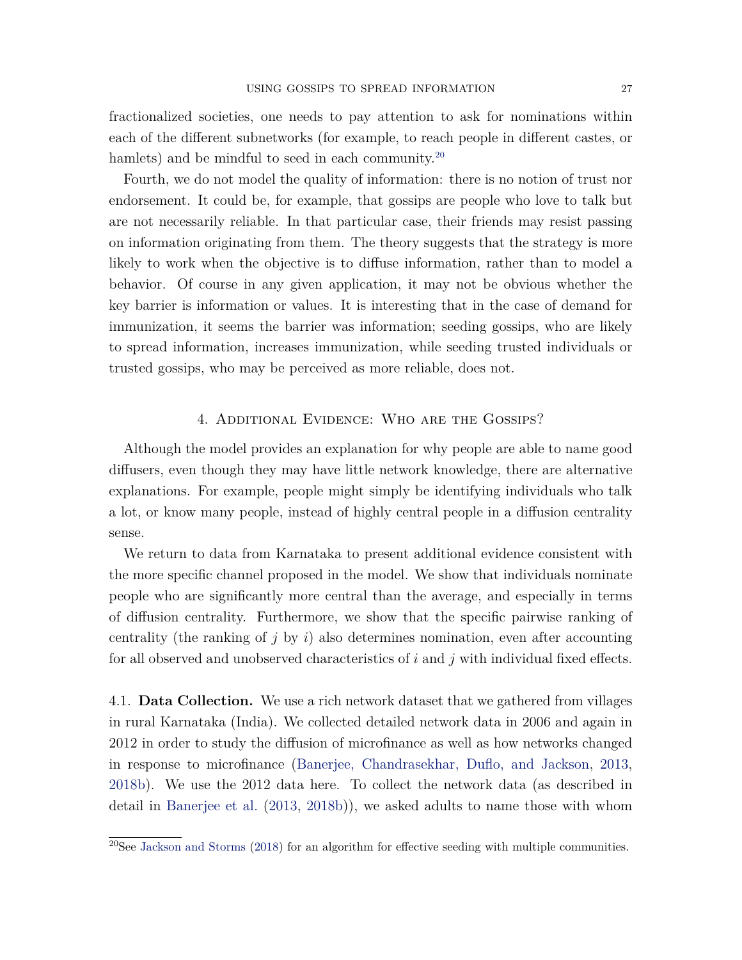fractionalized societies, one needs to pay attention to ask for nominations within each of the different subnetworks (for example, to reach people in different castes, or hamlets) and be mindful to seed in each community.<sup>[20](#page-27-1)</sup>

Fourth, we do not model the quality of information: there is no notion of trust nor endorsement. It could be, for example, that gossips are people who love to talk but are not necessarily reliable. In that particular case, their friends may resist passing on information originating from them. The theory suggests that the strategy is more likely to work when the objective is to diffuse information, rather than to model a behavior. Of course in any given application, it may not be obvious whether the key barrier is information or values. It is interesting that in the case of demand for immunization, it seems the barrier was information; seeding gossips, who are likely to spread information, increases immunization, while seeding trusted individuals or trusted gossips, who may be perceived as more reliable, does not.

### 4. Additional Evidence: Who are the Gossips?

<span id="page-27-0"></span>Although the model provides an explanation for why people are able to name good diffusers, even though they may have little network knowledge, there are alternative explanations. For example, people might simply be identifying individuals who talk a lot, or know many people, instead of highly central people in a diffusion centrality sense.

We return to data from Karnataka to present additional evidence consistent with the more specific channel proposed in the model. We show that individuals nominate people who are significantly more central than the average, and especially in terms of diffusion centrality. Furthermore, we show that the specific pairwise ranking of centrality (the ranking of *j* by *i*) also determines nomination, even after accounting for all observed and unobserved characteristics of *i* and *j* with individual fixed effects.

4.1. **Data Collection.** We use a rich network dataset that we gathered from villages in rural Karnataka (India). We collected detailed network data in 2006 and again in 2012 in order to study the diffusion of microfinance as well as how networks changed in response to microfinance [\(Banerjee, Chandrasekhar, Duflo, and Jackson,](#page-38-1) [2013,](#page-38-1) [2018b\)](#page-38-9). We use the 2012 data here. To collect the network data (as described in detail in [Banerjee et al.](#page-38-1) [\(2013,](#page-38-1) [2018b\)](#page-38-9)), we asked adults to name those with whom

<span id="page-27-1"></span> $^{20}$ See [Jackson and Storms](#page-40-9) [\(2018\)](#page-40-9) for an algorithm for effective seeding with multiple communities.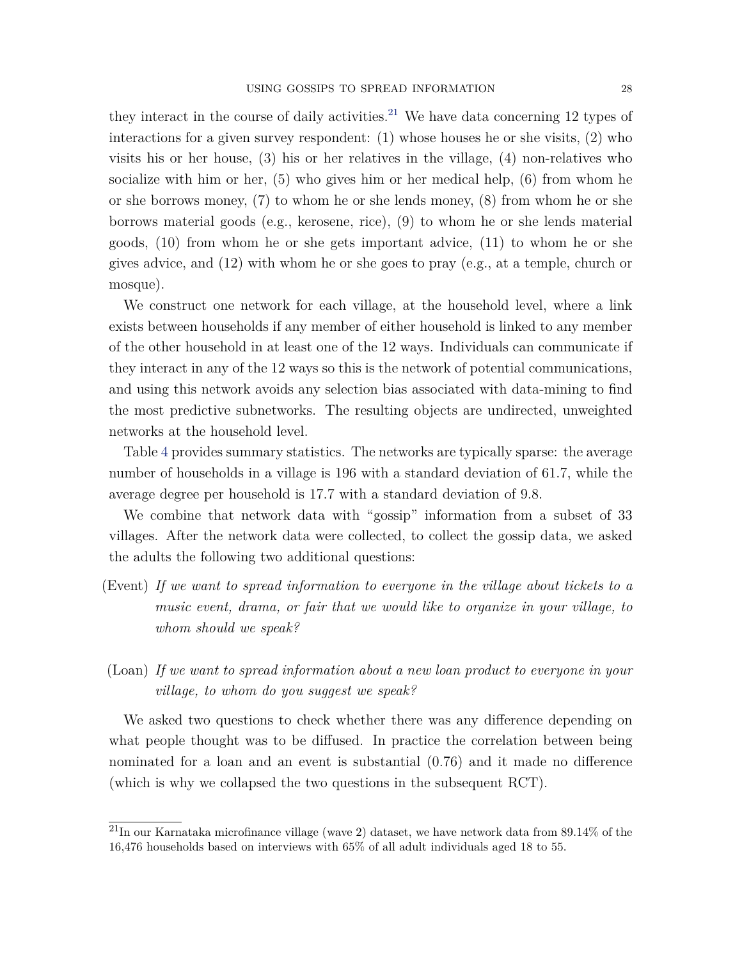they interact in the course of daily activities.<sup>[21](#page-28-0)</sup> We have data concerning 12 types of interactions for a given survey respondent: (1) whose houses he or she visits, (2) who visits his or her house, (3) his or her relatives in the village, (4) non-relatives who socialize with him or her, (5) who gives him or her medical help, (6) from whom he or she borrows money, (7) to whom he or she lends money, (8) from whom he or she borrows material goods (e.g., kerosene, rice), (9) to whom he or she lends material goods, (10) from whom he or she gets important advice, (11) to whom he or she gives advice, and (12) with whom he or she goes to pray (e.g., at a temple, church or mosque).

We construct one network for each village, at the household level, where a link exists between households if any member of either household is linked to any member of the other household in at least one of the 12 ways. Individuals can communicate if they interact in any of the 12 ways so this is the network of potential communications, and using this network avoids any selection bias associated with data-mining to find the most predictive subnetworks. The resulting objects are undirected, unweighted networks at the household level.

Table [4](#page-50-0) provides summary statistics. The networks are typically sparse: the average number of households in a village is 196 with a standard deviation of 61.7, while the average degree per household is 17.7 with a standard deviation of 9.8.

We combine that network data with "gossip" information from a subset of 33 villages. After the network data were collected, to collect the gossip data, we asked the adults the following two additional questions:

- (Event) *If we want to spread information to everyone in the village about tickets to a music event, drama, or fair that we would like to organize in your village, to whom should we speak?*
- (Loan) *If we want to spread information about a new loan product to everyone in your village, to whom do you suggest we speak?*

We asked two questions to check whether there was any difference depending on what people thought was to be diffused. In practice the correlation between being nominated for a loan and an event is substantial (0.76) and it made no difference (which is why we collapsed the two questions in the subsequent RCT).

<span id="page-28-0"></span> $^{21}$ In our Karnataka microfinance village (wave 2) dataset, we have network data from 89.14% of the 16,476 households based on interviews with 65% of all adult individuals aged 18 to 55.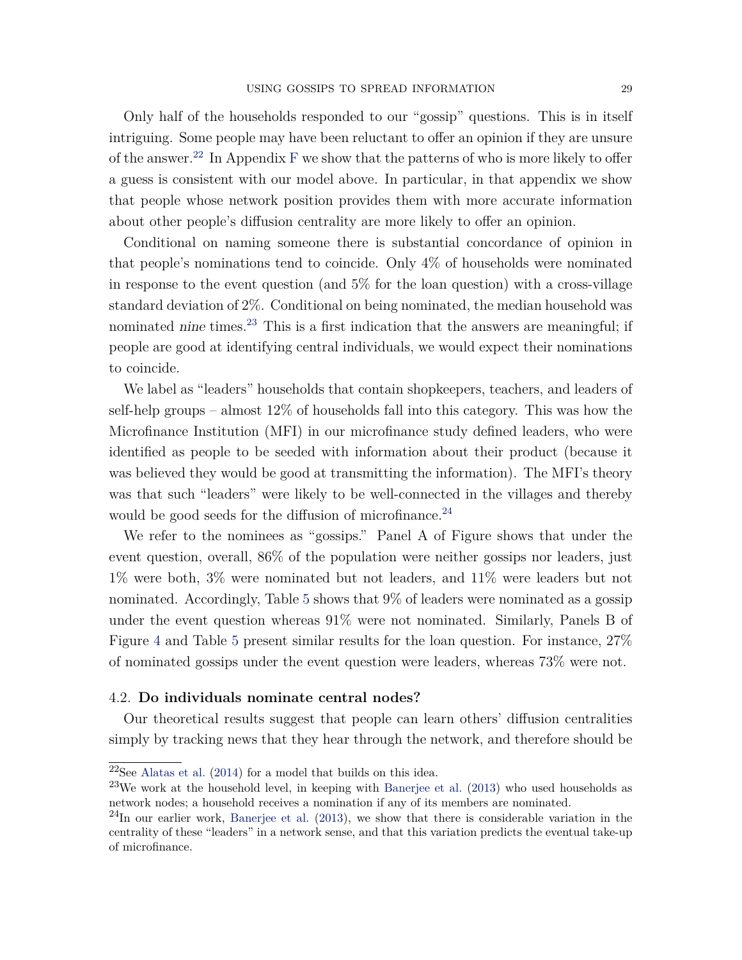Only half of the households responded to our "gossip" questions. This is in itself intriguing. Some people may have been reluctant to offer an opinion if they are unsure of the answer.<sup>[22](#page-29-0)</sup> In Appendix [F](#page-72-0) we show that the patterns of who is more likely to offer a guess is consistent with our model above. In particular, in that appendix we show that people whose network position provides them with more accurate information about other people's diffusion centrality are more likely to offer an opinion.

Conditional on naming someone there is substantial concordance of opinion in that people's nominations tend to coincide. Only 4% of households were nominated in response to the event question (and 5% for the loan question) with a cross-village standard deviation of 2%. Conditional on being nominated, the median household was nominated nine times.<sup>[23](#page-29-1)</sup> This is a first indication that the answers are meaningful; if people are good at identifying central individuals, we would expect their nominations to coincide.

We label as "leaders" households that contain shopkeepers, teachers, and leaders of self-help groups – almost 12% of households fall into this category. This was how the Microfinance Institution (MFI) in our microfinance study defined leaders, who were identified as people to be seeded with information about their product (because it was believed they would be good at transmitting the information). The MFI's theory was that such "leaders" were likely to be well-connected in the villages and thereby would be good seeds for the diffusion of microfinance.<sup>[24](#page-29-2)</sup>

We refer to the nominees as "gossips." Panel A of Figure shows that under the event question, overall, 86% of the population were neither gossips nor leaders, just 1% were both, 3% were nominated but not leaders, and 11% were leaders but not nominated. Accordingly, Table [5](#page-50-1) shows that 9% of leaders were nominated as a gossip under the event question whereas 91% were not nominated. Similarly, Panels B of Figure [4](#page-45-0) and Table [5](#page-50-1) present similar results for the loan question. For instance, 27% of nominated gossips under the event question were leaders, whereas 73% were not.

#### 4.2. **Do individuals nominate central nodes?**

Our theoretical results suggest that people can learn others' diffusion centralities simply by tracking news that they hear through the network, and therefore should be

<span id="page-29-0"></span> $22$ See [Alatas et al.](#page-37-2) [\(2014\)](#page-37-2) for a model that builds on this idea.

<span id="page-29-1"></span> $^{23}$ We work at the household level, in keeping with [Banerjee et al.](#page-38-1) [\(2013\)](#page-38-1) who used households as network nodes; a household receives a nomination if any of its members are nominated.

<span id="page-29-2"></span> $^{24}$ In our earlier work, [Banerjee et al.](#page-38-1) [\(2013\)](#page-38-1), we show that there is considerable variation in the centrality of these "leaders" in a network sense, and that this variation predicts the eventual take-up of microfinance.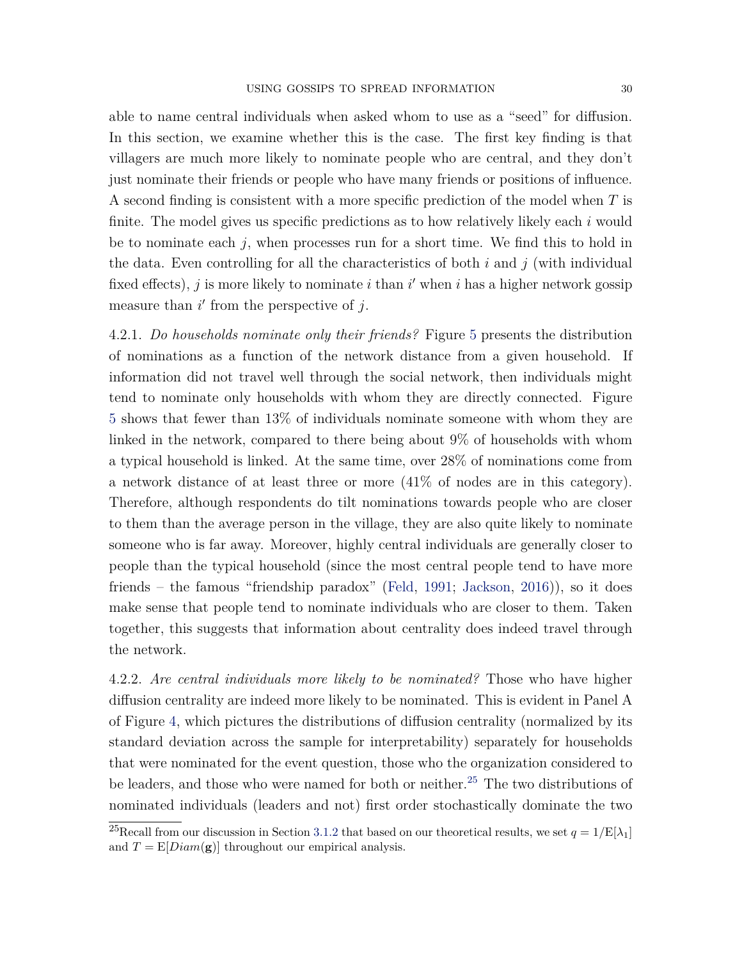able to name central individuals when asked whom to use as a "seed" for diffusion. In this section, we examine whether this is the case. The first key finding is that villagers are much more likely to nominate people who are central, and they don't just nominate their friends or people who have many friends or positions of influence. A second finding is consistent with a more specific prediction of the model when *T* is finite. The model gives us specific predictions as to how relatively likely each *i* would be to nominate each *j*, when processes run for a short time. We find this to hold in the data. Even controlling for all the characteristics of both *i* and *j* (with individual fixed effects),  $j$  is more likely to nominate  $i$  than  $i'$  when  $i$  has a higher network gossip measure than  $i'$  from the perspective of  $j$ .

4.2.1. *Do households nominate only their friends?* Figure [5](#page-46-0) presents the distribution of nominations as a function of the network distance from a given household. If information did not travel well through the social network, then individuals might tend to nominate only households with whom they are directly connected. Figure [5](#page-46-0) shows that fewer than 13% of individuals nominate someone with whom they are linked in the network, compared to there being about 9% of households with whom a typical household is linked. At the same time, over 28% of nominations come from a network distance of at least three or more (41% of nodes are in this category). Therefore, although respondents do tilt nominations towards people who are closer to them than the average person in the village, they are also quite likely to nominate someone who is far away. Moreover, highly central individuals are generally closer to people than the typical household (since the most central people tend to have more friends – the famous "friendship paradox" [\(Feld,](#page-39-10) [1991;](#page-39-10) [Jackson,](#page-40-10) [2016\)](#page-40-10)), so it does make sense that people tend to nominate individuals who are closer to them. Taken together, this suggests that information about centrality does indeed travel through the network.

4.2.2. *Are central individuals more likely to be nominated?* Those who have higher diffusion centrality are indeed more likely to be nominated. This is evident in Panel A of Figure [4,](#page-45-0) which pictures the distributions of diffusion centrality (normalized by its standard deviation across the sample for interpretability) separately for households that were nominated for the event question, those who the organization considered to be leaders, and those who were named for both or neither.<sup>[25](#page-30-0)</sup> The two distributions of nominated individuals (leaders and not) first order stochastically dominate the two

<span id="page-30-0"></span><sup>&</sup>lt;sup>25</sup>Recall from our discussion in Section [3.1.2](#page-21-1) that based on our theoretical results, we set  $q = 1/E[\lambda_1]$ and  $T = E[Diam(g)]$  throughout our empirical analysis.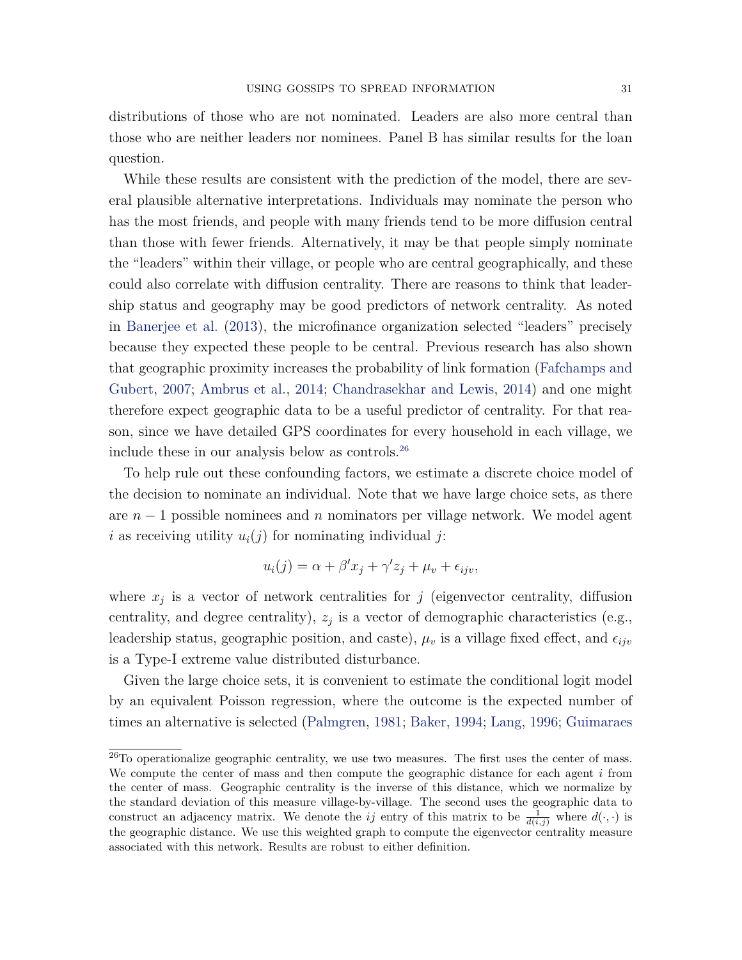distributions of those who are not nominated. Leaders are also more central than those who are neither leaders nor nominees. Panel B has similar results for the loan question.

While these results are consistent with the prediction of the model, there are several plausible alternative interpretations. Individuals may nominate the person who has the most friends, and people with many friends tend to be more diffusion central than those with fewer friends. Alternatively, it may be that people simply nominate the "leaders" within their village, or people who are central geographically, and these could also correlate with diffusion centrality. There are reasons to think that leadership status and geography may be good predictors of network centrality. As noted in [Banerjee et al.](#page-38-1) [\(2013\)](#page-38-1), the microfinance organization selected "leaders" precisely because they expected these people to be central. Previous research has also shown that geographic proximity increases the probability of link formation [\(Fafchamps and](#page-39-11) [Gubert,](#page-39-11) [2007;](#page-39-11) [Ambrus et al.,](#page-37-3) [2014;](#page-37-3) [Chandrasekhar and Lewis,](#page-39-12) [2014\)](#page-39-12) and one might therefore expect geographic data to be a useful predictor of centrality. For that reason, since we have detailed GPS coordinates for every household in each village, we include these in our analysis below as controls. $^{26}$  $^{26}$  $^{26}$ 

To help rule out these confounding factors, we estimate a discrete choice model of the decision to nominate an individual. Note that we have large choice sets, as there are *n* − 1 possible nominees and *n* nominators per village network. We model agent *i* as receiving utility  $u_i(j)$  for nominating individual *j*:

$$
u_i(j) = \alpha + \beta' x_j + \gamma' z_j + \mu_v + \epsilon_{ijv},
$$

where  $x_j$  is a vector of network centralities for  $j$  (eigenvector centrality, diffusion centrality, and degree centrality), *z<sup>j</sup>* is a vector of demographic characteristics (e.g., leadership status, geographic position, and caste),  $\mu_v$  is a village fixed effect, and  $\epsilon_{ijv}$ is a Type-I extreme value distributed disturbance.

Given the large choice sets, it is convenient to estimate the conditional logit model by an equivalent Poisson regression, where the outcome is the expected number of times an alternative is selected [\(Palmgren,](#page-41-10) [1981;](#page-41-10) [Baker,](#page-38-10) [1994;](#page-38-10) [Lang,](#page-40-11) [1996;](#page-40-11) [Guimaraes](#page-39-13)

<span id="page-31-0"></span> $26T$ o operationalize geographic centrality, we use two measures. The first uses the center of mass. [We compute the center of mass and then compute the geographic distance for each agent](#page-39-13) *i* from [the center of mass. Geographic centrality is the inverse of this distance, which we normalize by](#page-39-13) [the standard deviation of this measure village-by-village. The second uses the geographic data to](#page-39-13) [construct an adjacency matrix. We denote the](#page-39-13) *ij* entry of this matrix to be  $\frac{1}{d(i,j)}$  where  $d(\cdot, \cdot)$  is [the geographic distance. We use this weighted graph to compute the eigenvector centrality measure](#page-39-13) [associated with this network. Results are robust to either definition.](#page-39-13)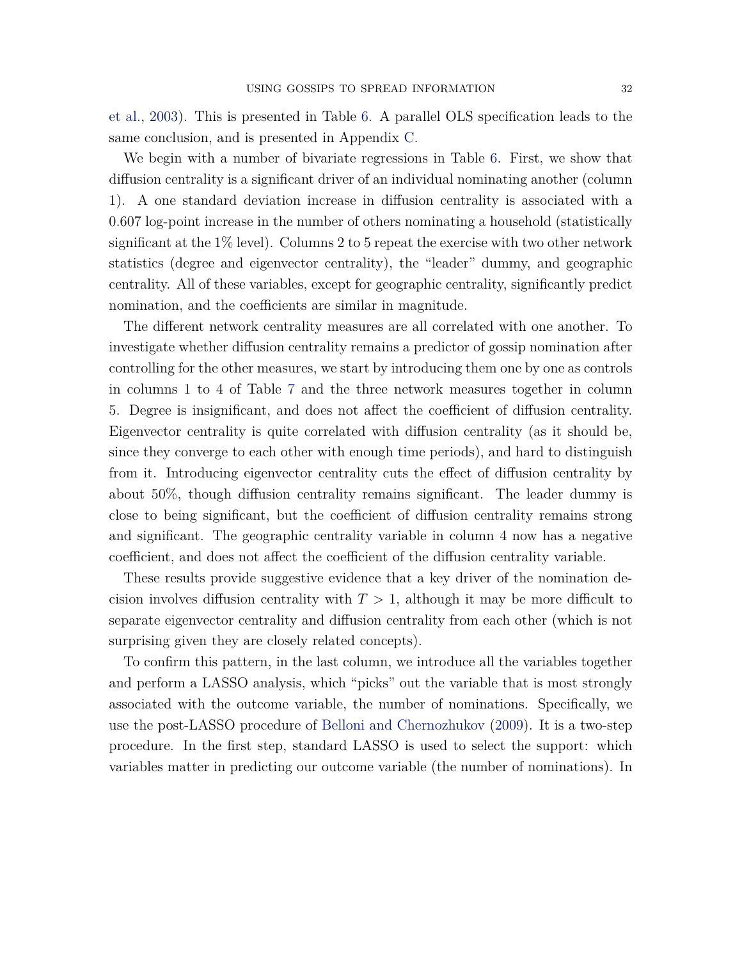[et al.,](#page-39-13) [2003\)](#page-39-13). This is presented in Table [6.](#page-51-0) A parallel OLS specification leads to the same conclusion, and is presented in Appendix [C.](#page-65-0)

We begin with a number of bivariate regressions in Table [6.](#page-51-0) First, we show that diffusion centrality is a significant driver of an individual nominating another (column 1). A one standard deviation increase in diffusion centrality is associated with a 0.607 log-point increase in the number of others nominating a household (statistically significant at the 1% level). Columns 2 to 5 repeat the exercise with two other network statistics (degree and eigenvector centrality), the "leader" dummy, and geographic centrality. All of these variables, except for geographic centrality, significantly predict nomination, and the coefficients are similar in magnitude.

The different network centrality measures are all correlated with one another. To investigate whether diffusion centrality remains a predictor of gossip nomination after controlling for the other measures, we start by introducing them one by one as controls in columns 1 to 4 of Table [7](#page-52-0) and the three network measures together in column 5. Degree is insignificant, and does not affect the coefficient of diffusion centrality. Eigenvector centrality is quite correlated with diffusion centrality (as it should be, since they converge to each other with enough time periods), and hard to distinguish from it. Introducing eigenvector centrality cuts the effect of diffusion centrality by about 50%, though diffusion centrality remains significant. The leader dummy is close to being significant, but the coefficient of diffusion centrality remains strong and significant. The geographic centrality variable in column 4 now has a negative coefficient, and does not affect the coefficient of the diffusion centrality variable.

These results provide suggestive evidence that a key driver of the nomination decision involves diffusion centrality with  $T > 1$ , although it may be more difficult to separate eigenvector centrality and diffusion centrality from each other (which is not surprising given they are closely related concepts).

To confirm this pattern, in the last column, we introduce all the variables together and perform a LASSO analysis, which "picks" out the variable that is most strongly associated with the outcome variable, the number of nominations. Specifically, we use the post-LASSO procedure of [Belloni and Chernozhukov](#page-38-11) [\(2009\)](#page-38-11). It is a two-step procedure. In the first step, standard LASSO is used to select the support: which variables matter in predicting our outcome variable (the number of nominations). In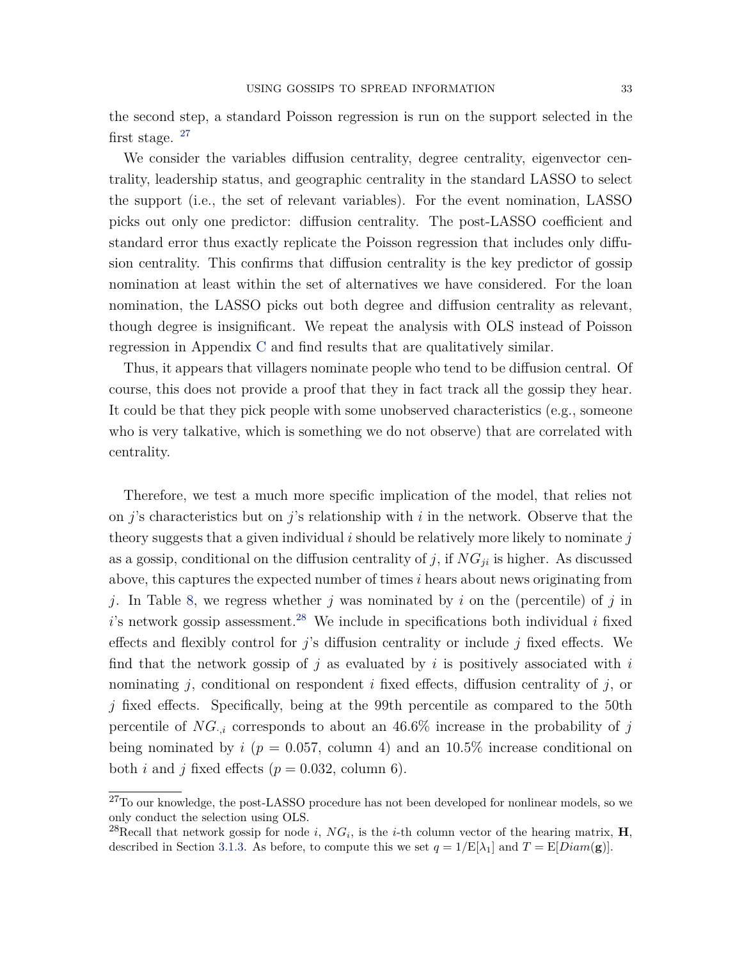the second step, a standard Poisson regression is run on the support selected in the first stage.  $27$ 

We consider the variables diffusion centrality, degree centrality, eigenvector centrality, leadership status, and geographic centrality in the standard LASSO to select the support (i.e., the set of relevant variables). For the event nomination, LASSO picks out only one predictor: diffusion centrality. The post-LASSO coefficient and standard error thus exactly replicate the Poisson regression that includes only diffusion centrality. This confirms that diffusion centrality is the key predictor of gossip nomination at least within the set of alternatives we have considered. For the loan nomination, the LASSO picks out both degree and diffusion centrality as relevant, though degree is insignificant. We repeat the analysis with OLS instead of Poisson regression in Appendix [C](#page-65-0) and find results that are qualitatively similar.

Thus, it appears that villagers nominate people who tend to be diffusion central. Of course, this does not provide a proof that they in fact track all the gossip they hear. It could be that they pick people with some unobserved characteristics (e.g., someone who is very talkative, which is something we do not observe) that are correlated with centrality.

Therefore, we test a much more specific implication of the model, that relies not on *j*'s characteristics but on *j*'s relationship with *i* in the network. Observe that the theory suggests that a given individual *i* should be relatively more likely to nominate *j* as a gossip, conditional on the diffusion centrality of  $j$ , if  $NG_{ji}$  is higher. As discussed above, this captures the expected number of times *i* hears about news originating from *j*. In Table [8,](#page-53-0) we regress whether *j* was nominated by *i* on the (percentile) of *j* in  $i$ 's network gossip assessment.<sup>[28](#page-33-1)</sup> We include in specifications both individual  $i$  fixed effects and flexibly control for *j*'s diffusion centrality or include *j* fixed effects. We find that the network gossip of *j* as evaluated by *i* is positively associated with *i* nominating *j*, conditional on respondent *i* fixed effects, diffusion centrality of *j*, or *j* fixed effects. Specifically, being at the 99th percentile as compared to the 50th percentile of  $NG_{i,i}$  corresponds to about an 46.6% increase in the probability of *j* being nominated by  $i$  ( $p = 0.057$ , column 4) and an 10.5% increase conditional on both *i* and *j* fixed effects ( $p = 0.032$ , column 6).

<span id="page-33-0"></span><sup>&</sup>lt;sup>27</sup>To our knowledge, the post-LASSO procedure has not been developed for nonlinear models, so we only conduct the selection using OLS.

<span id="page-33-1"></span><sup>&</sup>lt;sup>28</sup>Recall that network gossip for node *i*,  $NG_i$ , is the *i*-th column vector of the hearing matrix, **H**, described in Section [3.1.3.](#page-23-0) As before, to compute this we set  $q = 1/E[\lambda_1]$  and  $T = E[Diam(\mathbf{g})]$ .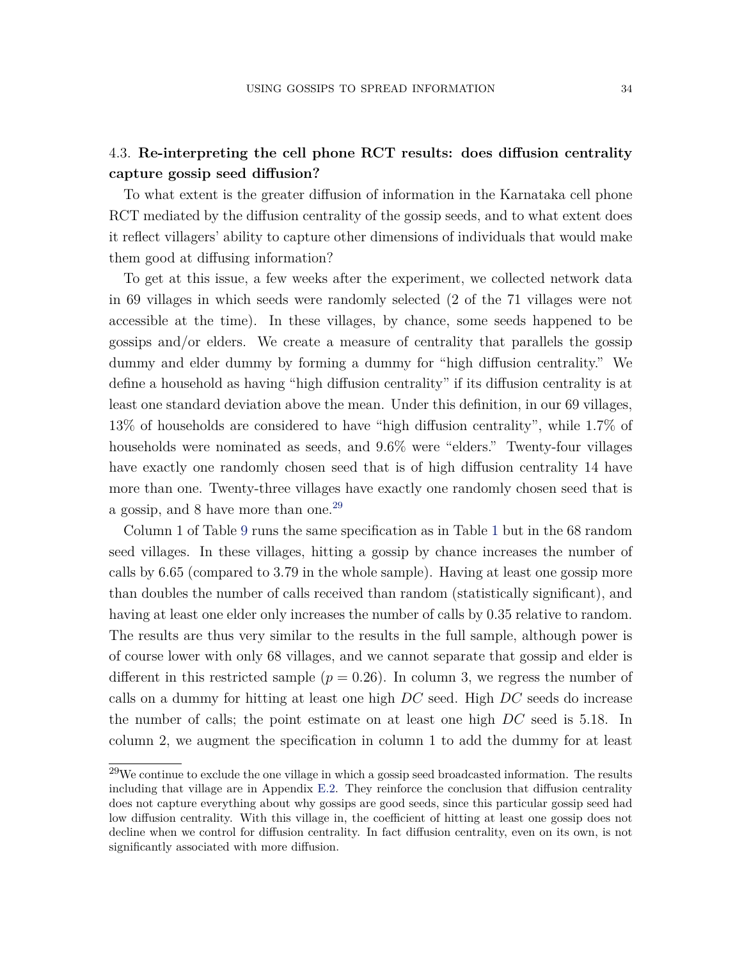# 4.3. **Re-interpreting the cell phone RCT results: does diffusion centrality capture gossip seed diffusion?**

To what extent is the greater diffusion of information in the Karnataka cell phone RCT mediated by the diffusion centrality of the gossip seeds, and to what extent does it reflect villagers' ability to capture other dimensions of individuals that would make them good at diffusing information?

To get at this issue, a few weeks after the experiment, we collected network data in 69 villages in which seeds were randomly selected (2 of the 71 villages were not accessible at the time). In these villages, by chance, some seeds happened to be gossips and/or elders. We create a measure of centrality that parallels the gossip dummy and elder dummy by forming a dummy for "high diffusion centrality." We define a household as having "high diffusion centrality" if its diffusion centrality is at least one standard deviation above the mean. Under this definition, in our 69 villages, 13% of households are considered to have "high diffusion centrality", while 1.7% of households were nominated as seeds, and  $9.6\%$  were "elders." Twenty-four villages have exactly one randomly chosen seed that is of high diffusion centrality 14 have more than one. Twenty-three villages have exactly one randomly chosen seed that is a gossip, and 8 have more than one.[29](#page-34-0)

Column 1 of Table [9](#page-54-0) runs the same specification as in Table [1](#page-47-0) but in the 68 random seed villages. In these villages, hitting a gossip by chance increases the number of calls by 6.65 (compared to 3.79 in the whole sample). Having at least one gossip more than doubles the number of calls received than random (statistically significant), and having at least one elder only increases the number of calls by  $0.35$  relative to random. The results are thus very similar to the results in the full sample, although power is of course lower with only 68 villages, and we cannot separate that gossip and elder is different in this restricted sample  $(p = 0.26)$ . In column 3, we regress the number of calls on a dummy for hitting at least one high *DC* seed. High *DC* seeds do increase the number of calls; the point estimate on at least one high *DC* seed is 5.18. In column 2, we augment the specification in column 1 to add the dummy for at least

<span id="page-34-0"></span> $^{29}$ We continue to exclude the one village in which a gossip seed broadcasted information. The results including that village are in Appendix [E.2.](#page-71-0) They reinforce the conclusion that diffusion centrality does not capture everything about why gossips are good seeds, since this particular gossip seed had low diffusion centrality. With this village in, the coefficient of hitting at least one gossip does not decline when we control for diffusion centrality. In fact diffusion centrality, even on its own, is not significantly associated with more diffusion.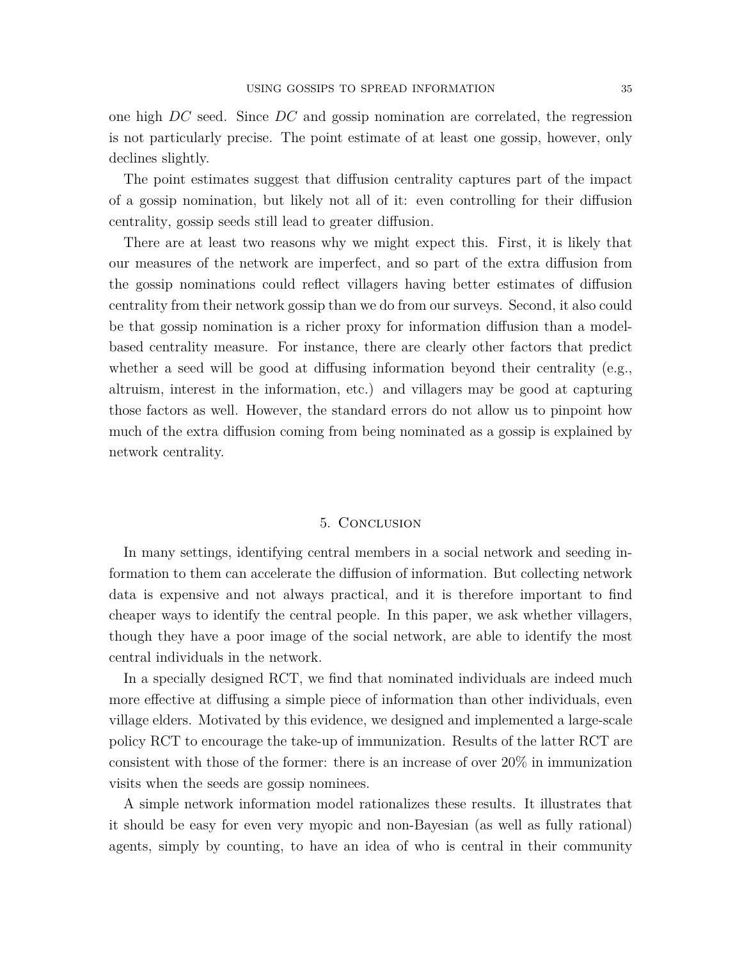one high *DC* seed. Since *DC* and gossip nomination are correlated, the regression is not particularly precise. The point estimate of at least one gossip, however, only declines slightly.

The point estimates suggest that diffusion centrality captures part of the impact of a gossip nomination, but likely not all of it: even controlling for their diffusion centrality, gossip seeds still lead to greater diffusion.

There are at least two reasons why we might expect this. First, it is likely that our measures of the network are imperfect, and so part of the extra diffusion from the gossip nominations could reflect villagers having better estimates of diffusion centrality from their network gossip than we do from our surveys. Second, it also could be that gossip nomination is a richer proxy for information diffusion than a modelbased centrality measure. For instance, there are clearly other factors that predict whether a seed will be good at diffusing information beyond their centrality (e.g., altruism, interest in the information, etc.) and villagers may be good at capturing those factors as well. However, the standard errors do not allow us to pinpoint how much of the extra diffusion coming from being nominated as a gossip is explained by network centrality.

#### 5. Conclusion

<span id="page-35-0"></span>In many settings, identifying central members in a social network and seeding information to them can accelerate the diffusion of information. But collecting network data is expensive and not always practical, and it is therefore important to find cheaper ways to identify the central people. In this paper, we ask whether villagers, though they have a poor image of the social network, are able to identify the most central individuals in the network.

In a specially designed RCT, we find that nominated individuals are indeed much more effective at diffusing a simple piece of information than other individuals, even village elders. Motivated by this evidence, we designed and implemented a large-scale policy RCT to encourage the take-up of immunization. Results of the latter RCT are consistent with those of the former: there is an increase of over 20% in immunization visits when the seeds are gossip nominees.

A simple network information model rationalizes these results. It illustrates that it should be easy for even very myopic and non-Bayesian (as well as fully rational) agents, simply by counting, to have an idea of who is central in their community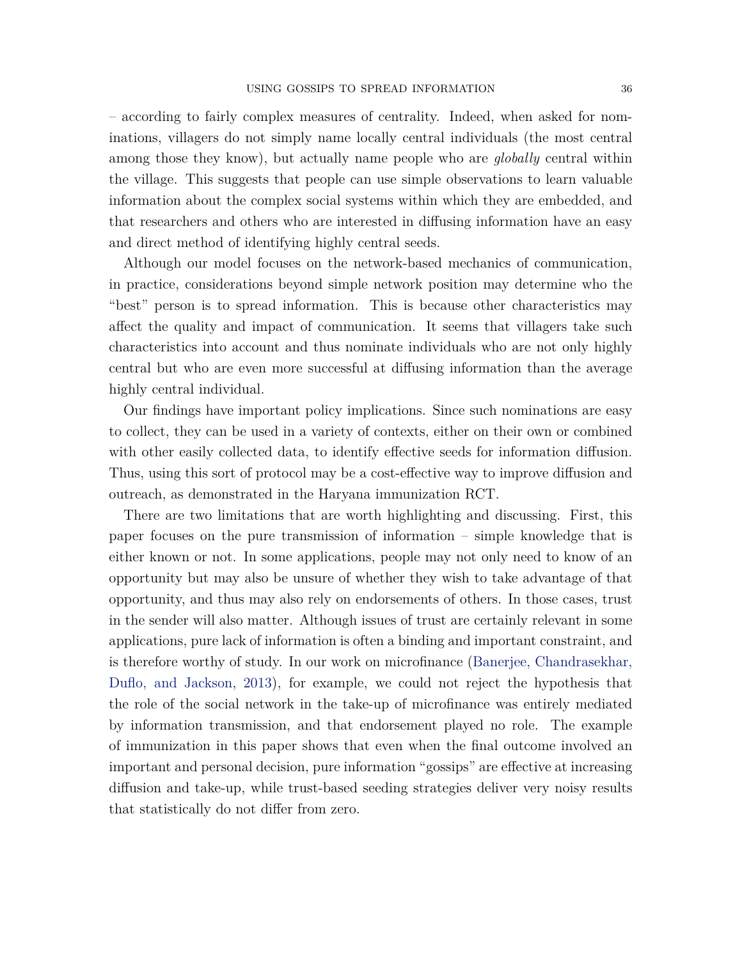– according to fairly complex measures of centrality. Indeed, when asked for nominations, villagers do not simply name locally central individuals (the most central among those they know), but actually name people who are *globally* central within the village. This suggests that people can use simple observations to learn valuable information about the complex social systems within which they are embedded, and that researchers and others who are interested in diffusing information have an easy and direct method of identifying highly central seeds.

Although our model focuses on the network-based mechanics of communication, in practice, considerations beyond simple network position may determine who the "best" person is to spread information. This is because other characteristics may affect the quality and impact of communication. It seems that villagers take such characteristics into account and thus nominate individuals who are not only highly central but who are even more successful at diffusing information than the average highly central individual.

Our findings have important policy implications. Since such nominations are easy to collect, they can be used in a variety of contexts, either on their own or combined with other easily collected data, to identify effective seeds for information diffusion. Thus, using this sort of protocol may be a cost-effective way to improve diffusion and outreach, as demonstrated in the Haryana immunization RCT.

There are two limitations that are worth highlighting and discussing. First, this paper focuses on the pure transmission of information – simple knowledge that is either known or not. In some applications, people may not only need to know of an opportunity but may also be unsure of whether they wish to take advantage of that opportunity, and thus may also rely on endorsements of others. In those cases, trust in the sender will also matter. Although issues of trust are certainly relevant in some applications, pure lack of information is often a binding and important constraint, and is therefore worthy of study. In our work on microfinance [\(Banerjee, Chandrasekhar,](#page-38-0) [Duflo, and Jackson,](#page-38-0) [2013\)](#page-38-0), for example, we could not reject the hypothesis that the role of the social network in the take-up of microfinance was entirely mediated by information transmission, and that endorsement played no role. The example of immunization in this paper shows that even when the final outcome involved an important and personal decision, pure information "gossips" are effective at increasing diffusion and take-up, while trust-based seeding strategies deliver very noisy results that statistically do not differ from zero.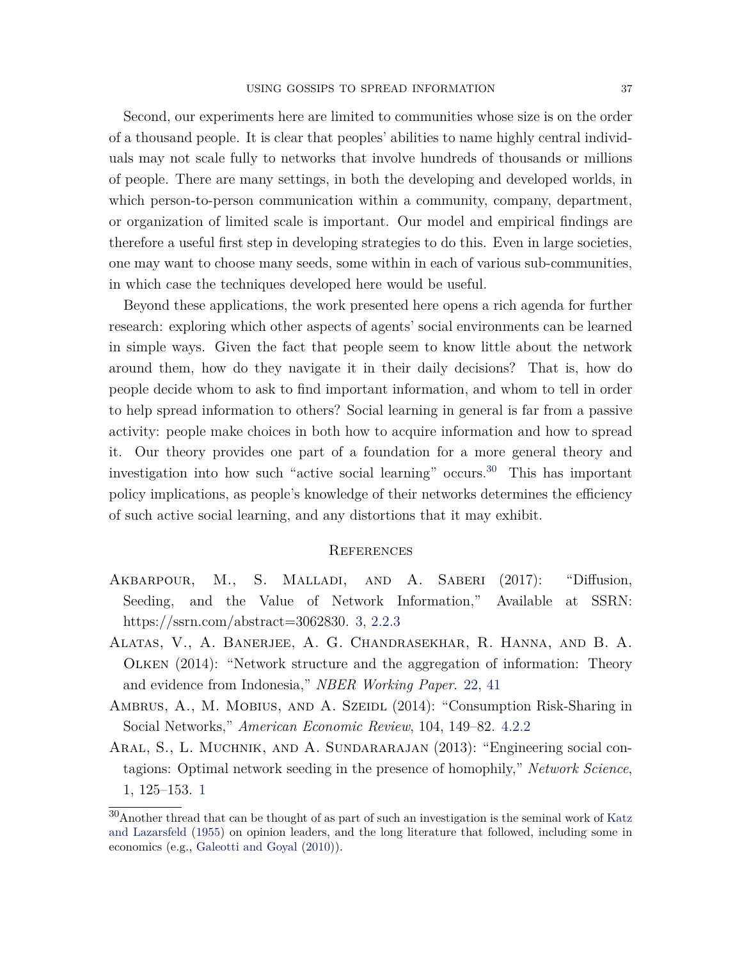Second, our experiments here are limited to communities whose size is on the order of a thousand people. It is clear that peoples' abilities to name highly central individuals may not scale fully to networks that involve hundreds of thousands or millions of people. There are many settings, in both the developing and developed worlds, in which person-to-person communication within a community, company, department, or organization of limited scale is important. Our model and empirical findings are therefore a useful first step in developing strategies to do this. Even in large societies, one may want to choose many seeds, some within in each of various sub-communities, in which case the techniques developed here would be useful.

Beyond these applications, the work presented here opens a rich agenda for further research: exploring which other aspects of agents' social environments can be learned in simple ways. Given the fact that people seem to know little about the network around them, how do they navigate it in their daily decisions? That is, how do people decide whom to ask to find important information, and whom to tell in order to help spread information to others? Social learning in general is far from a passive activity: people make choices in both how to acquire information and how to spread it. Our theory provides one part of a foundation for a more general theory and investigation into how such "active social learning" occurs.[30](#page-37-0) This has important policy implications, as people's knowledge of their networks determines the efficiency of such active social learning, and any distortions that it may exhibit.

#### **REFERENCES**

- Akbarpour, M., S. Malladi, and A. Saberi (2017): "Diffusion, Seeding, and the Value of Network Information," Available at SSRN: https://ssrn.com/abstract=3062830. [3,](#page-1-0) [2.2.3](#page-17-0)
- Alatas, V., A. Banerjee, A. G. Chandrasekhar, R. Hanna, and B. A. Olken (2014): "Network structure and the aggregation of information: Theory and evidence from Indonesia," *NBER Working Paper*. [22,](#page-29-0) [41](#page-72-0)
- AMBRUS, A., M. MOBIUS, AND A. SZEIDL (2014): "Consumption Risk-Sharing in Social Networks," *American Economic Review*, 104, 149–82. [4.2.2](#page-30-0)
- Aral, S., L. Muchnik, and A. Sundararajan (2013): "Engineering social contagions: Optimal network seeding in the presence of homophily," *Network Science*, 1, 125–153. [1](#page-1-1)

<span id="page-37-0"></span><sup>30</sup>Another thread that can be thought of as part of such an investigation is the seminal work of [Katz](#page-40-0) [and Lazarsfeld](#page-40-0) [\(1955\)](#page-40-0) on opinion leaders, and the long literature that followed, including some in economics (e.g., [Galeotti and Goyal](#page-39-0) [\(2010\)](#page-39-0)).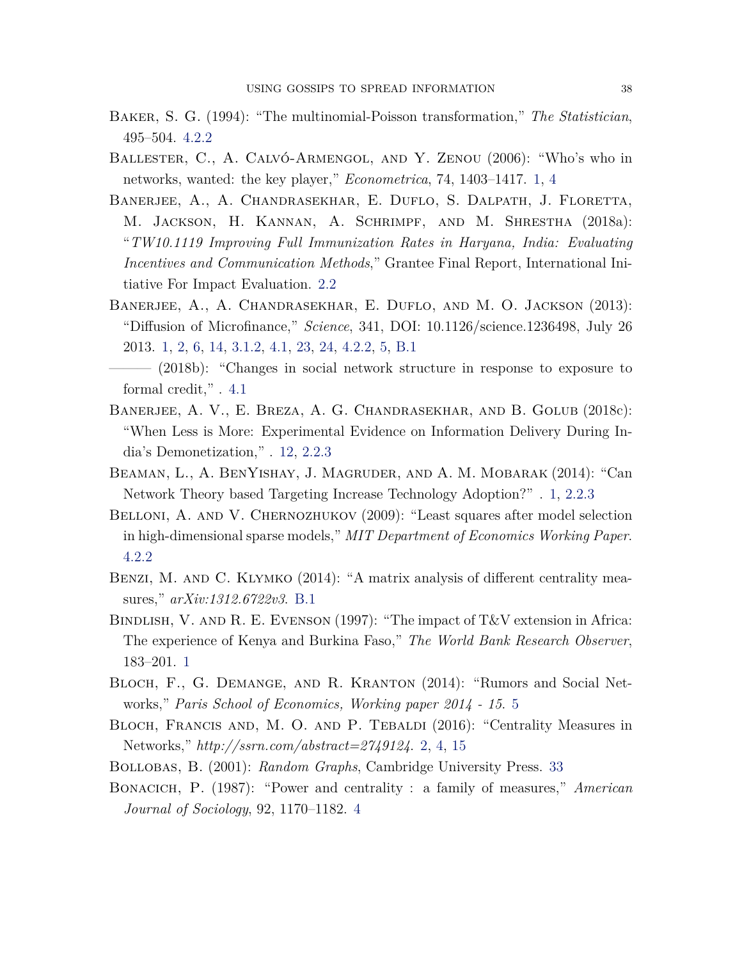- Baker, S. G. (1994): "The multinomial-Poisson transformation," *The Statistician*, 495–504. [4.2.2](#page-30-0)
- BALLESTER, C., A. CALVÓ-ARMENGOL, AND Y. ZENOU (2006): "Who's who in networks, wanted: the key player," *Econometrica*, 74, 1403–1417. [1,](#page-1-2) [4](#page-2-0)
- Banerjee, A., A. Chandrasekhar, E. Duflo, S. Dalpath, J. Floretta, M. Jackson, H. Kannan, A. Schrimpf, and M. Shrestha (2018a): "*TW10.1119 Improving Full Immunization Rates in Haryana, India: Evaluating Incentives and Communication Methods*," Grantee Final Report, International Initiative For Impact Evaluation. [2.2](#page-12-0)
- <span id="page-38-0"></span>BANERJEE, A., A. CHANDRASEKHAR, E. DUFLO, AND M. O. JACKSON (2013): "Diffusion of Microfinance," *Science*, 341, DOI: 10.1126/science.1236498, July 26 2013. [1,](#page-1-1) [2,](#page-1-3) [6,](#page-4-0) [14,](#page-19-0) [3.1.2,](#page-21-0) [4.1,](#page-27-0) [23,](#page-29-1) [24,](#page-29-2) [4.2.2,](#page-30-0) [5,](#page-35-0) [B.1](#page-59-0)
- ——— (2018b): "Changes in social network structure in response to exposure to formal credit," . [4.1](#page-27-0)
- Banerjee, A. V., E. Breza, A. G. Chandrasekhar, and B. Golub (2018c): "When Less is More: Experimental Evidence on Information Delivery During India's Demonetization," . [12,](#page-18-0) [2.2.3](#page-17-0)
- Beaman, L., A. BenYishay, J. Magruder, and A. M. Mobarak (2014): "Can Network Theory based Targeting Increase Technology Adoption?" . [1,](#page-1-1) [2.2.3](#page-17-0)
- BELLONI, A. AND V. CHERNOZHUKOV (2009): "Least squares after model selection in high-dimensional sparse models," *MIT Department of Economics Working Paper*. [4.2.2](#page-30-0)
- <span id="page-38-2"></span>BENZI, M. AND C. KLYMKO (2014): "A matrix analysis of different centrality measures," *arXiv:1312.6722v3*. [B.1](#page-59-0)
- BINDLISH, V. AND R. E. EVENSON (1997): "The impact of T&V extension in Africa: The experience of Kenya and Burkina Faso," *The World Bank Research Observer*, 183–201. [1](#page-1-1)
- Bloch, F., G. Demange, and R. Kranton (2014): "Rumors and Social Networks," *Paris School of Economics, Working paper 2014 - 15*. [5](#page-4-1)
- Bloch, Francis and, M. O. and P. Tebaldi (2016): "Centrality Measures in Networks," *http://ssrn.com/abstract=2749124*. [2,](#page-1-3) [4,](#page-2-0) [15](#page-21-1)
- <span id="page-38-1"></span>Bollobas, B. (2001): *Random Graphs*, Cambridge University Press. [33](#page-56-0)
- Bonacich, P. (1987): "Power and centrality : a family of measures," *American Journal of Sociology*, 92, 1170–1182. [4](#page-2-0)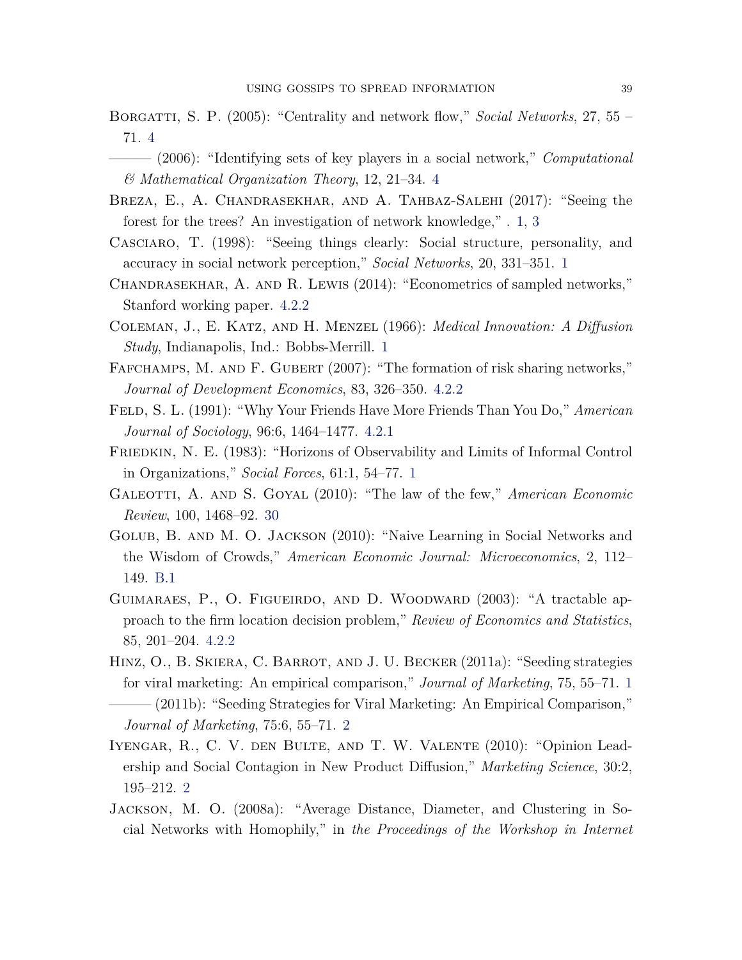- Borgatti, S. P. (2005): "Centrality and network flow," *Social Networks*, 27, 55 71. [4](#page-2-0)
- ——— (2006): "Identifying sets of key players in a social network," *Computational & Mathematical Organization Theory*, 12, 21–34. [4](#page-2-0)
- Breza, E., A. Chandrasekhar, and A. Tahbaz-Salehi (2017): "Seeing the forest for the trees? An investigation of network knowledge," . [1,](#page-1-1) [3](#page-20-0)
- Casciaro, T. (1998): "Seeing things clearly: Social structure, personality, and accuracy in social network perception," *Social Networks*, 20, 331–351. [1](#page-1-1)
- Chandrasekhar, A. and R. Lewis (2014): "Econometrics of sampled networks," Stanford working paper. [4.2.2](#page-30-0)
- Coleman, J., E. Katz, and H. Menzel (1966): *Medical Innovation: A Diffusion Study*, Indianapolis, Ind.: Bobbs-Merrill. [1](#page-1-1)
- FAFCHAMPS, M. AND F. GUBERT (2007): "The formation of risk sharing networks," *Journal of Development Economics*, 83, 326–350. [4.2.2](#page-30-0)
- Feld, S. L. (1991): "Why Your Friends Have More Friends Than You Do," *American Journal of Sociology*, 96:6, 1464–1477. [4.2.1](#page-30-1)
- FRIEDKIN, N. E. (1983): "Horizons of Observability and Limits of Informal Control in Organizations," *Social Forces*, 61:1, 54–77. [1](#page-1-1)
- <span id="page-39-0"></span>Galeotti, A. and S. Goyal (2010): "The law of the few," *American Economic Review*, 100, 1468–92. [30](#page-37-0)
- <span id="page-39-2"></span>Golub, B. and M. O. Jackson (2010): "Naive Learning in Social Networks and the Wisdom of Crowds," *American Economic Journal: Microeconomics*, 2, 112– 149. [B.1](#page-59-0)
- Guimaraes, P., O. Figueirdo, and D. Woodward (2003): "A tractable approach to the firm location decision problem," *Review of Economics and Statistics*, 85, 201–204. [4.2.2](#page-30-0)
- Hinz, O., B. Skiera, C. Barrot, and J. U. Becker (2011a): "Seeding strategies for viral marketing: An empirical comparison," *Journal of Marketing*, 75, 55–71. [1](#page-1-1) ——— (2011b): "Seeding Strategies for Viral Marketing: An Empirical Comparison," *Journal of Marketing*, 75:6, 55–71. [2](#page-1-3)
- Iyengar, R., C. V. den Bulte, and T. W. Valente (2010): "Opinion Leadership and Social Contagion in New Product Diffusion," *Marketing Science*, 30:2, 195–212. [2](#page-1-3)
- <span id="page-39-1"></span>Jackson, M. O. (2008a): "Average Distance, Diameter, and Clustering in Social Networks with Homophily," in *the Proceedings of the Workshop in Internet*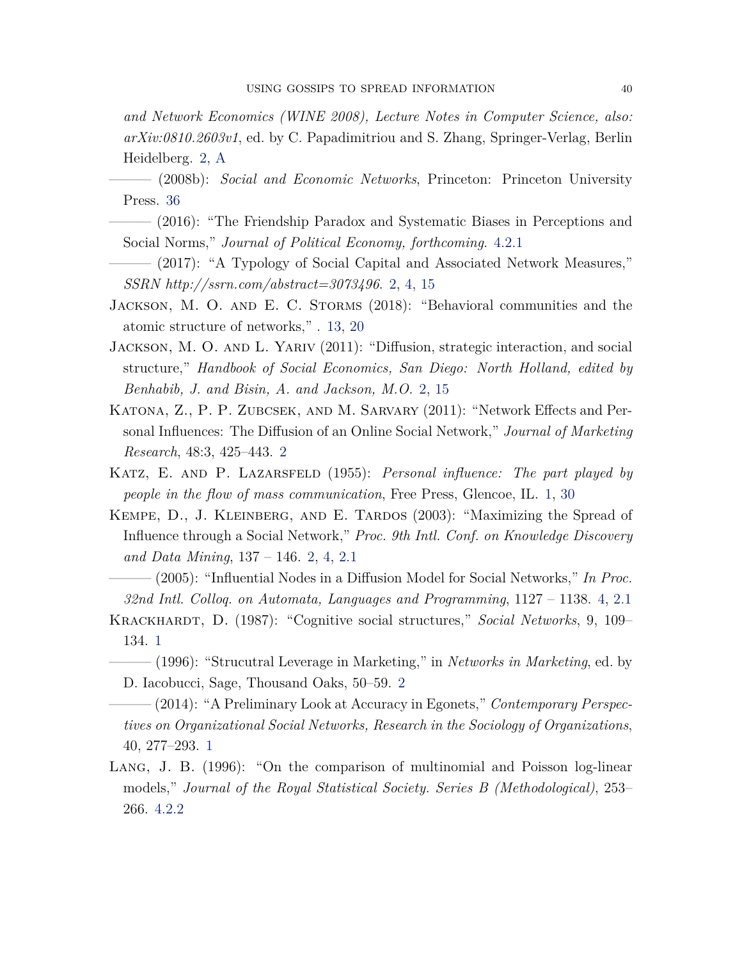*and Network Economics (WINE 2008), Lecture Notes in Computer Science, also: arXiv:0810.2603v1*, ed. by C. Papadimitriou and S. Zhang, Springer-Verlag, Berlin Heidelberg. [2,](#page-1-3) [A](#page-55-0)

- <span id="page-40-1"></span>——— (2008b): *Social and Economic Networks*, Princeton: Princeton University Press. [36](#page-58-0)
- ——— (2016): "The Friendship Paradox and Systematic Biases in Perceptions and Social Norms," *Journal of Political Economy, forthcoming*. [4.2.1](#page-30-1)
- (2017): "A Typology of Social Capital and Associated Network Measures," *SSRN http://ssrn.com/abstract=3073496*. [2,](#page-1-3) [4,](#page-2-0) [15](#page-21-1)
- JACKSON, M. O. AND E. C. STORMS (2018): "Behavioral communities and the atomic structure of networks," . [13,](#page-19-1) [20](#page-27-1)
- JACKSON, M. O. AND L. YARIV (2011): "Diffusion, strategic interaction, and social structure," *Handbook of Social Economics, San Diego: North Holland, edited by Benhabib, J. and Bisin, A. and Jackson, M.O.* [2,](#page-1-3) [15](#page-21-1)
- Katona, Z., P. P. Zubcsek, and M. Sarvary (2011): "Network Effects and Personal Influences: The Diffusion of an Online Social Network," *Journal of Marketing Research*, 48:3, 425–443. [2](#page-1-3)
- <span id="page-40-0"></span>Katz, E. and P. Lazarsfeld (1955): *Personal influence: The part played by people in the flow of mass communication*, Free Press, Glencoe, IL. [1,](#page-1-1) [30](#page-37-0)
- Kempe, D., J. Kleinberg, and E. Tardos (2003): "Maximizing the Spread of Influence through a Social Network," *Proc. 9th Intl. Conf. on Knowledge Discovery and Data Mining*, 137 – 146. [2,](#page-1-3) [4,](#page-2-0) [2.1](#page-7-0)
- ——— (2005): "Influential Nodes in a Diffusion Model for Social Networks," *In Proc. 32nd Intl. Colloq. on Automata, Languages and Programming*, 1127 – 1138. [4,](#page-2-0) [2.1](#page-7-0)
- Krackhardt, D. (1987): "Cognitive social structures," *Social Networks*, 9, 109– 134. [1](#page-1-1)
- ——— (1996): "Strucutral Leverage in Marketing," in *Networks in Marketing*, ed. by D. Iacobucci, Sage, Thousand Oaks, 50–59. [2](#page-1-3)
- ——— (2014): "A Preliminary Look at Accuracy in Egonets," *Contemporary Perspectives on Organizational Social Networks, Research in the Sociology of Organizations*, 40, 277–293. [1](#page-1-1)
- Lang, J. B. (1996): "On the comparison of multinomial and Poisson log-linear models," *Journal of the Royal Statistical Society. Series B (Methodological)*, 253– 266. [4.2.2](#page-30-0)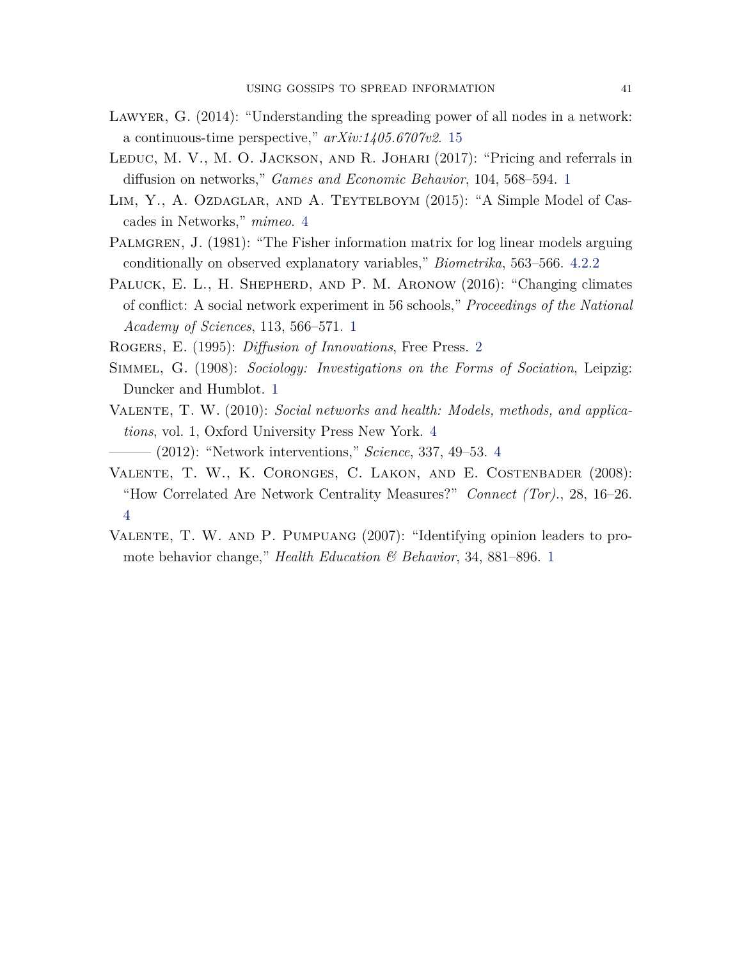- LAWYER, G.  $(2014)$ : "Understanding the spreading power of all nodes in a network: a continuous-time perspective," *arXiv:1405.6707v2*. [15](#page-21-1)
- LEDUC, M. V., M. O. JACKSON, AND R. JOHARI (2017): "Pricing and referrals in diffusion on networks," *Games and Economic Behavior*, 104, 568–594. [1](#page-1-1)
- Lim, Y., A. Ozdaglar, and A. Teytelboym (2015): "A Simple Model of Cascades in Networks," *mimeo*. [4](#page-2-0)
- PALMGREN, J. (1981): "The Fisher information matrix for log linear models arguing conditionally on observed explanatory variables," *Biometrika*, 563–566. [4.2.2](#page-30-0)
- PALUCK, E. L., H. SHEPHERD, AND P. M. ARONOW (2016): "Changing climates of conflict: A social network experiment in 56 schools," *Proceedings of the National Academy of Sciences*, 113, 566–571. [1](#page-1-2)

Rogers, E. (1995): *Diffusion of Innovations*, Free Press. [2](#page-1-3)

- Simmel, G. (1908): *Sociology: Investigations on the Forms of Sociation*, Leipzig: Duncker and Humblot. [1](#page-1-1)
- Valente, T. W. (2010): *Social networks and health: Models, methods, and applications*, vol. 1, Oxford University Press New York. [4](#page-2-0)
- ——— (2012): "Network interventions," *Science*, 337, 49–53. [4](#page-2-0)
- Valente, T. W., K. Coronges, C. Lakon, and E. Costenbader (2008): "How Correlated Are Network Centrality Measures?" *Connect (Tor).*, 28, 16–26. [4](#page-2-0)
- Valente, T. W. and P. Pumpuang (2007): "Identifying opinion leaders to promote behavior change," *Health Education & Behavior*, 34, 881–896. [1](#page-1-1)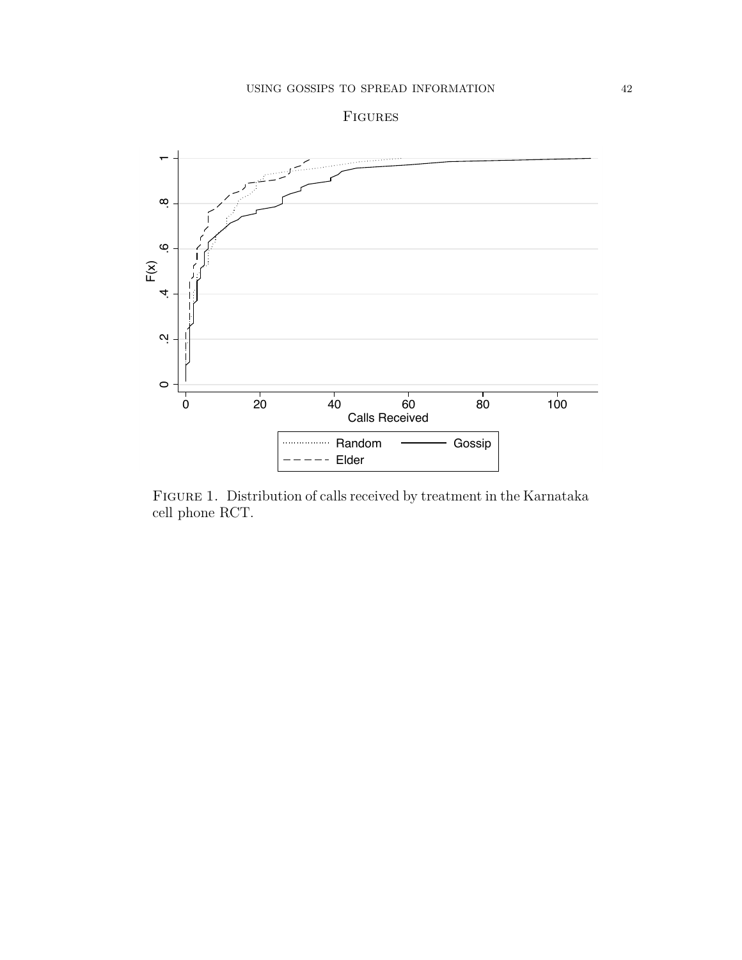



Figure 1. Distribution of calls received by treatment in the Karnataka cell phone RCT.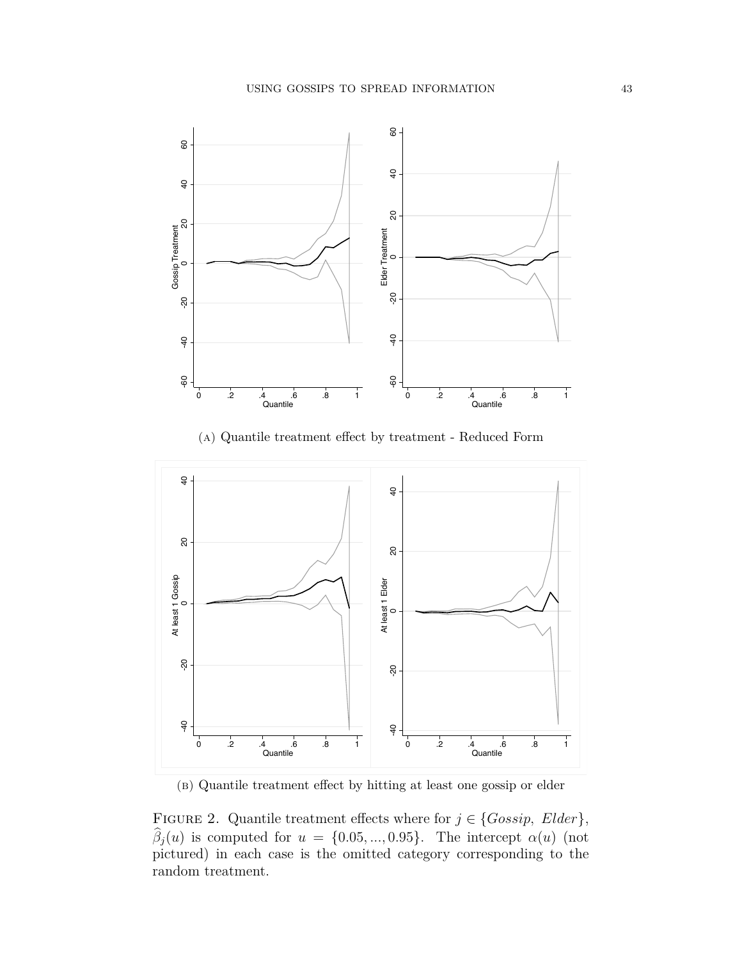

(a) Quantile treatment effect by treatment - Reduced Form



(b) Quantile treatment effect by hitting at least one gossip or elder

FIGURE 2. Quantile treatment effects where for  $j \in \{Gossip, \;Elder\}$ ,  $\hat{\beta}_j(u)$  is computed for  $u = \{0.05, ..., 0.95\}$ . The intercept  $\alpha(u)$  (not pictured) in each case is the omitted category corresponding to the random treatment.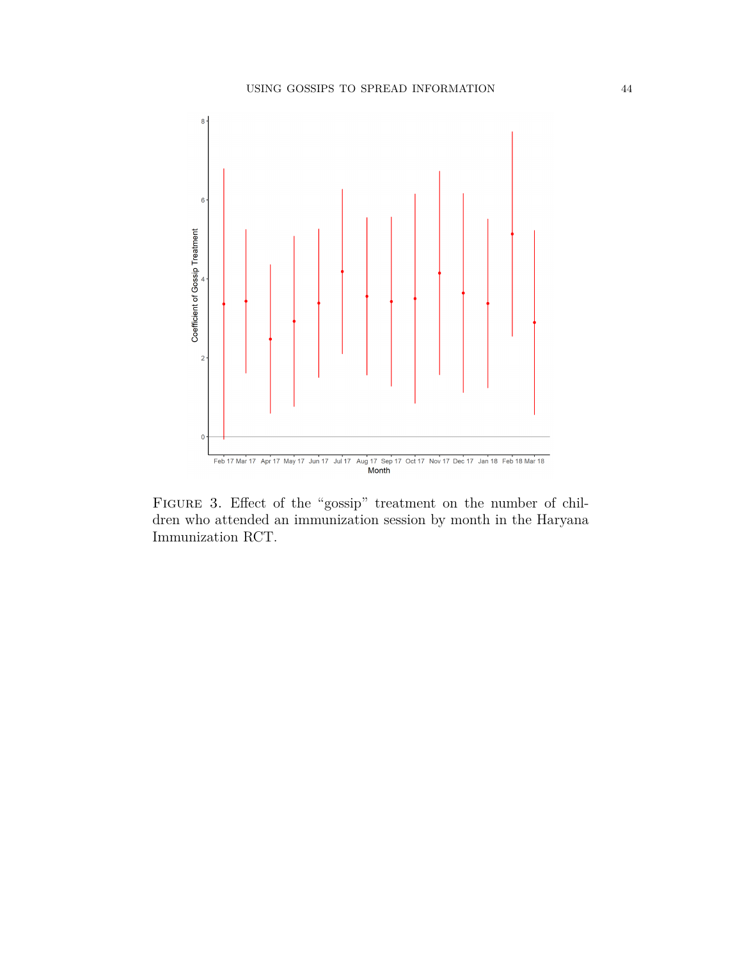

Figure 3. Effect of the "gossip" treatment on the number of children who attended an immunization session by month in the Haryana Immunization RCT.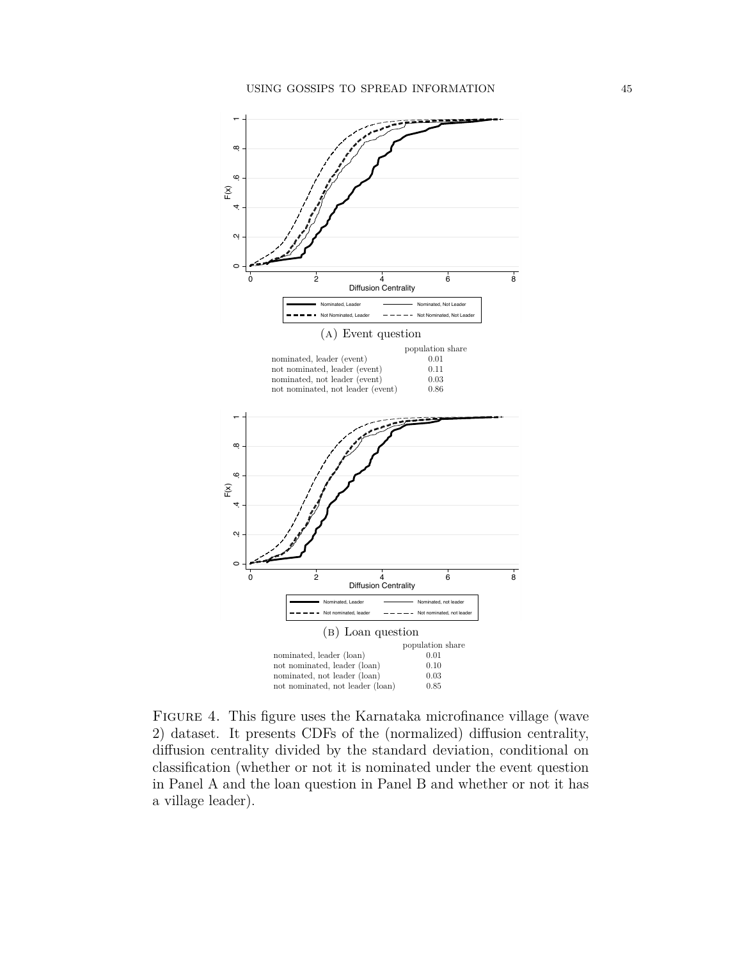

Figure 4. This figure uses the Karnataka microfinance village (wave 2) dataset. It presents CDFs of the (normalized) diffusion centrality, diffusion centrality divided by the standard deviation, conditional on classification (whether or not it is nominated under the event question in Panel A and the loan question in Panel B and whether or not it has a village leader).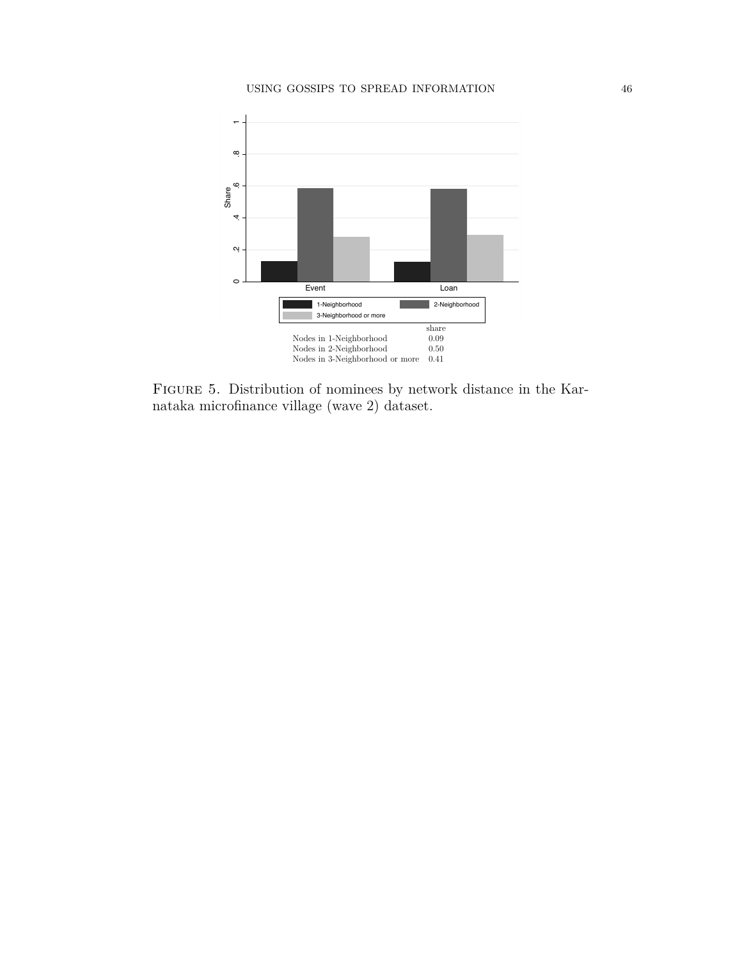

Figure 5. Distribution of nominees by network distance in the Karnataka microfinance village (wave 2) dataset.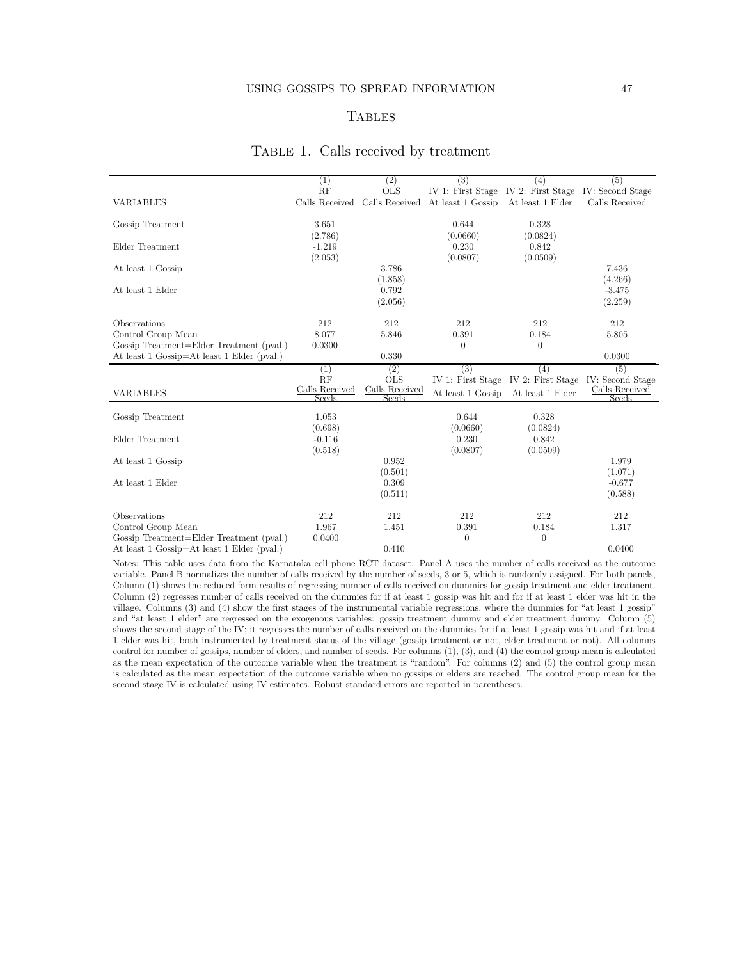#### **TABLES**

#### TABLE 1. Calls received by treatment

|                                            | (1)            | $\overline{(2)}$ | $\overline{(3)}$  | (4)                                                  | (5)              |
|--------------------------------------------|----------------|------------------|-------------------|------------------------------------------------------|------------------|
|                                            | RF             | <b>OLS</b>       |                   | IV 1: First Stage IV 2: First Stage IV: Second Stage |                  |
| <b>VARIABLES</b>                           | Calls Received | Calls Received   | At least 1 Gossip | At least 1 Elder                                     | Calls Received   |
|                                            |                |                  |                   |                                                      |                  |
| Gossip Treatment                           | 3.651          |                  | 0.644             | 0.328                                                |                  |
|                                            | (2.786)        |                  | (0.0660)          | (0.0824)                                             |                  |
| Elder Treatment                            | $-1.219$       |                  | 0.230             | 0.842                                                |                  |
|                                            | (2.053)        |                  | (0.0807)          | (0.0509)                                             |                  |
| At least 1 Gossip                          |                | 3.786            |                   |                                                      | 7.436            |
|                                            |                | (1.858)          |                   |                                                      | (4.266)          |
| At least 1 Elder                           |                | 0.792            |                   |                                                      | $-3.475$         |
|                                            |                | (2.056)          |                   |                                                      | (2.259)          |
|                                            |                |                  |                   |                                                      |                  |
| Observations                               | 212            | 212              | 212               | 212                                                  | 212              |
| Control Group Mean                         | 8.077          | 5.846            | 0.391             | 0.184                                                | 5.805            |
| Gossip Treatment=Elder Treatment (pval.)   | 0.0300         |                  | $\boldsymbol{0}$  | $\theta$                                             |                  |
| At least 1 Gossip=At least 1 Elder (pval.) |                | 0.330            |                   |                                                      | 0.0300           |
|                                            |                |                  |                   |                                                      |                  |
|                                            | (1)            | (2)              | (3)               | (4)                                                  | (5)              |
|                                            | RF             | <b>OLS</b>       |                   | IV 1: First Stage IV 2: First Stage                  | IV: Second Stage |
| VARIABLES                                  | Calls Received | Calls Received   | At least 1 Gossip | At least 1 Elder                                     | Calls Received   |
|                                            | Seeds          | Seeds            |                   |                                                      | Seeds            |
| Gossip Treatment                           | 1.053          |                  | 0.644             | 0.328                                                |                  |
|                                            | (0.698)        |                  | (0.0660)          | (0.0824)                                             |                  |
| Elder Treatment                            | $-0.116$       |                  | 0.230             | 0.842                                                |                  |
|                                            | (0.518)        |                  | (0.0807)          | (0.0509)                                             |                  |
| At least 1 Gossip                          |                | 0.952            |                   |                                                      | 1.979            |
|                                            |                | (0.501)          |                   |                                                      | (1.071)          |
| At least 1 Elder                           |                | 0.309            |                   |                                                      | $-0.677$         |
|                                            |                | (0.511)          |                   |                                                      | (0.588)          |
|                                            |                |                  |                   |                                                      |                  |
| Observations                               | 212            | 212              | 212               | 212                                                  | 212              |
| Control Group Mean                         | 1.967          | 1.451            | 0.391             | 0.184                                                | 1.317            |
| Gossip Treatment=Elder Treatment (pval.)   | 0.0400         |                  | $\overline{0}$    | $\overline{0}$                                       |                  |

Notes: This table uses data from the Karnataka cell phone RCT dataset. Panel A uses the number of calls received as the outcome variable. Panel B normalizes the number of calls received by the number of seeds, 3 or 5, which is randomly assigned. For both panels, Column (1) shows the reduced form results of regressing number of calls received on dummies for gossip treatment and elder treatment. Column (2) regresses number of calls received on the dummies for if at least 1 gossip was hit and for if at least 1 elder was hit in the village. Columns (3) and (4) show the first stages of the instrumental variable regressions, where the dummies for "at least 1 gossip" and "at least 1 elder" are regressed on the exogenous variables: gossip treatment dummy and elder treatment dummy. Column (5) shows the second stage of the IV; it regresses the number of calls received on the dummies for if at least 1 gossip was hit and if at least 1 elder was hit, both instrumented by treatment status of the village (gossip treatment or not, elder treatment or not). All columns control for number of gossips, number of elders, and number of seeds. For columns (1), (3), and (4) the control group mean is calculated as the mean expectation of the outcome variable when the treatment is "random". For columns (2) and (5) the control group mean is calculated as the mean expectation of the outcome variable when no gossips or elders are reached. The control group mean for the second stage IV is calculated using IV estimates. Robust standard errors are reported in parentheses.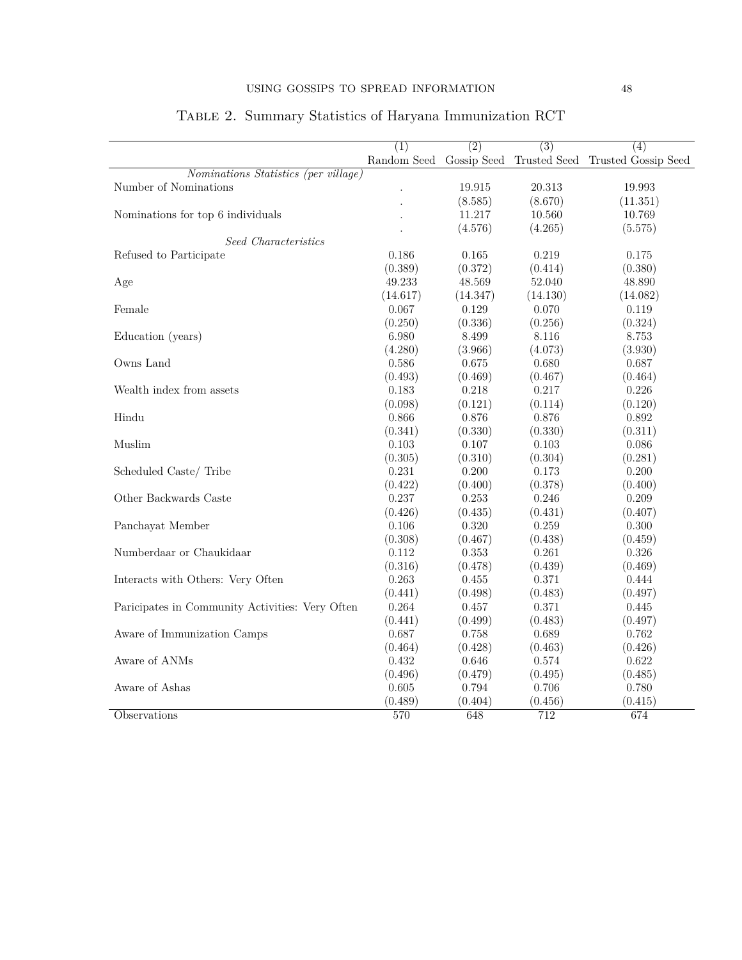|                                                 | $\overline{(1)}$        | (2)      | (3)          | $\overline{(4)}$    |
|-------------------------------------------------|-------------------------|----------|--------------|---------------------|
|                                                 | Random Seed Gossip Seed |          | Trusted Seed | Trusted Gossip Seed |
| Nominations Statistics (per village)            |                         |          |              |                     |
| Number of Nominations                           |                         | 19.915   | 20.313       | 19.993              |
|                                                 |                         | (8.585)  | (8.670)      | (11.351)            |
| Nominations for top 6 individuals               |                         | 11.217   | 10.560       | 10.769              |
|                                                 |                         | (4.576)  | (4.265)      | (5.575)             |
| Seed Characteristics                            |                         |          |              |                     |
| Refused to Participate                          | 0.186                   | 0.165    | 0.219        | 0.175               |
|                                                 | (0.389)                 | (0.372)  | (0.414)      | (0.380)             |
| Age                                             | 49.233                  | 48.569   | 52.040       | 48.890              |
|                                                 | (14.617)                | (14.347) | (14.130)     | (14.082)            |
| Female                                          | 0.067                   | 0.129    | 0.070        | 0.119               |
|                                                 | (0.250)                 | (0.336)  | (0.256)      | (0.324)             |
| Education (years)                               | 6.980                   | 8.499    | 8.116        | 8.753               |
|                                                 | (4.280)                 | (3.966)  | (4.073)      | (3.930)             |
| Owns Land                                       | 0.586                   | 0.675    | 0.680        | 0.687               |
|                                                 | (0.493)                 | (0.469)  | (0.467)      | (0.464)             |
| Wealth index from assets                        | 0.183                   | 0.218    | 0.217        | 0.226               |
|                                                 | (0.098)                 | (0.121)  | (0.114)      | (0.120)             |
| Hindu                                           | 0.866                   | 0.876    | 0.876        | 0.892               |
|                                                 | (0.341)                 | (0.330)  | (0.330)      | (0.311)             |
| Muslim                                          | 0.103                   | 0.107    | 0.103        | 0.086               |
|                                                 | (0.305)                 | (0.310)  | (0.304)      | (0.281)             |
| Scheduled Caste/ Tribe                          | 0.231                   | 0.200    | 0.173        | 0.200               |
|                                                 | (0.422)                 | (0.400)  | (0.378)      | (0.400)             |
| Other Backwards Caste                           | 0.237                   | 0.253    | 0.246        | 0.209               |
|                                                 | (0.426)                 | (0.435)  | (0.431)      | (0.407)             |
| Panchayat Member                                | 0.106                   | 0.320    | 0.259        | 0.300               |
|                                                 | (0.308)                 | (0.467)  | (0.438)      | (0.459)             |
| Numberdaar or Chaukidaar                        | 0.112                   | 0.353    | 0.261        | 0.326               |
|                                                 | (0.316)                 | (0.478)  | (0.439)      | (0.469)             |
| Interacts with Others: Very Often               | 0.263                   | 0.455    | 0.371        | 0.444               |
|                                                 | (0.441)                 | (0.498)  | (0.483)      | (0.497)             |
| Paricipates in Community Activities: Very Often | 0.264                   | 0.457    | 0.371        | 0.445               |
|                                                 | (0.441)                 | (0.499)  | (0.483)      | (0.497)             |
| Aware of Immunization Camps                     | 0.687                   | 0.758    | 0.689        | 0.762               |
|                                                 | (0.464)                 | (0.428)  | (0.463)      | (0.426)             |
| Aware of ANMs                                   | 0.432                   | 0.646    | 0.574        | 0.622               |
|                                                 | (0.496)                 | (0.479)  | (0.495)      | (0.485)             |
| Aware of Ashas                                  | 0.605                   | 0.794    | 0.706        | 0.780               |
|                                                 | (0.489)                 | (0.404)  | (0.456)      | (0.415)             |
| Observations                                    | 570                     | 648      | 712          | 674                 |

# Table 2. Summary Statistics of Haryana Immunization RCT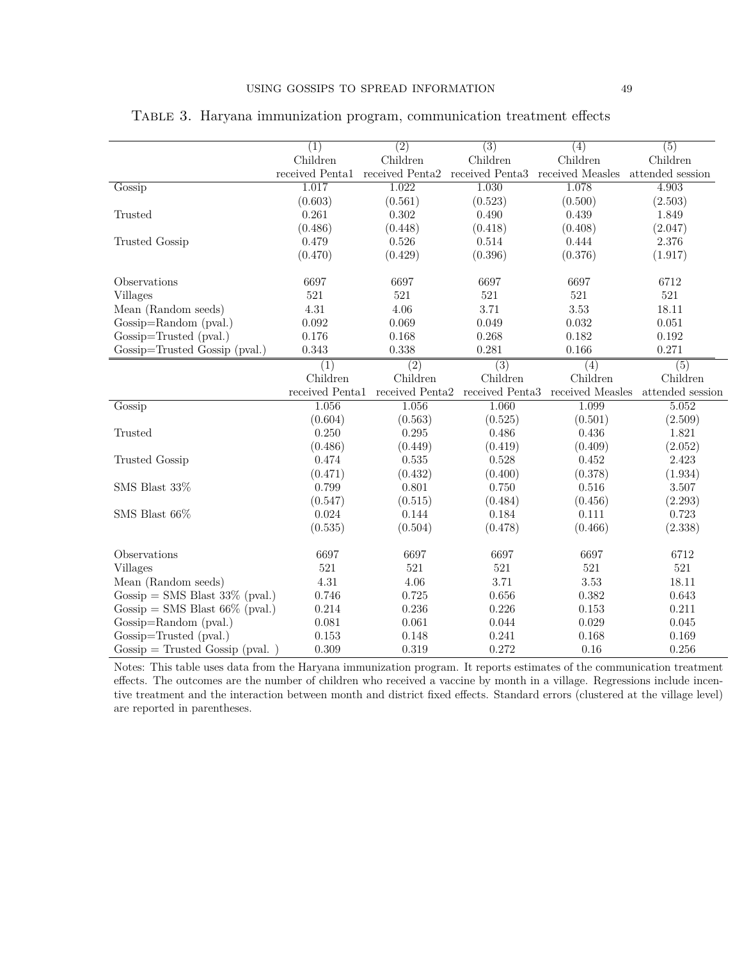|                                    | (1)              | (2)              | (3)              | $\overline{(4)}$ | $\overline{(5)}$ |
|------------------------------------|------------------|------------------|------------------|------------------|------------------|
|                                    | Children         | Children         | Children         | Children         | Children         |
|                                    | received Penta1  | received Penta2  | received Penta3  | received Measles | attended session |
| Gossip                             | 1.017            | 1.022            | 1.030            | 1.078            | 4.903            |
|                                    | (0.603)          | (0.561)          | (0.523)          | (0.500)          | (2.503)          |
| Trusted                            | 0.261            | 0.302            | 0.490            | 0.439            | 1.849            |
|                                    | (0.486)          | (0.448)          | (0.418)          | (0.408)          | (2.047)          |
| <b>Trusted Gossip</b>              | 0.479            | 0.526            | 0.514            | 0.444            | 2.376            |
|                                    | (0.470)          | (0.429)          | (0.396)          | (0.376)          | (1.917)          |
|                                    |                  |                  |                  |                  |                  |
| Observations                       | 6697             | 6697             | 6697             | 6697             | 6712             |
| <b>Villages</b>                    | 521              | 521              | 521              | 521              | 521              |
| Mean (Random seeds)                | $4.31\,$         | 4.06             | 3.71             | $3.53\,$         | 18.11            |
| Gossip=Random (pval.)              | 0.092            | 0.069            | 0.049            | 0.032            | 0.051            |
| Gossip=Trusted (pval.)             | 0.176            | 0.168            | 0.268            | 0.182            | 0.192            |
| Gossip=Trusted Gossip (pval.)      | 0.343            | 0.338            | 0.281            | 0.166            | 0.271            |
|                                    | $\overline{(1)}$ | $\overline{(2)}$ | $\overline{(3)}$ | (4)              | $\overline{(5)}$ |
|                                    | Children         | Children         | Children         | Children         | Children         |
|                                    | received Penta1  | received Penta2  | received Penta3  | received Measles | attended session |
| $\overline{\text{Gossip}}$         | 1.056            | 1.056            | 1.060            | 1.099            | 5.052            |
|                                    | (0.604)          | (0.563)          | (0.525)          | (0.501)          | (2.509)          |
| Trusted                            | 0.250            | 0.295            | 0.486            | 0.436            | 1.821            |
|                                    | (0.486)          | (0.449)          | (0.419)          | (0.409)          | (2.052)          |
| <b>Trusted Gossip</b>              | 0.474            | 0.535            | 0.528            | 0.452            | 2.423            |
|                                    | (0.471)          | (0.432)          | (0.400)          | (0.378)          | (1.934)          |
| SMS Blast 33%                      | 0.799            | 0.801            | 0.750            | 0.516            | 3.507            |
|                                    | (0.547)          | (0.515)          | (0.484)          | (0.456)          | (2.293)          |
| SMS Blast 66%                      | 0.024            | 0.144            | 0.184            | 0.111            | 0.723            |
|                                    | (0.535)          | (0.504)          | (0.478)          | (0.466)          | (2.338)          |
|                                    |                  |                  |                  |                  |                  |
| Observations                       | 6697             | 6697             | 6697             | 6697             | 6712             |
| Villages                           | 521              | 521              | 521              | 521              | 521              |
| Mean (Random seeds)                | $4.31\,$         | 4.06             | 3.71             | 3.53             | 18.11            |
| $Gossip = SMS Blast 33\% (pval.)$  | 0.746            | 0.725            | 0.656            | 0.382            | 0.643            |
| $Gossip = SMS Blast 66\%$ (pval.)  | 0.214            | 0.236            | 0.226            | 0.153            | 0.211            |
| $Gossip = Random (pval.)$          | 0.081            | 0.061            | 0.044            | 0.029            | 0.045            |
| Gossip=Trusted (pval.)             | 0.153            | 0.148            | 0.241            | 0.168            | 0.169            |
| $Gossip = Trusted Gossip (pval. )$ | 0.309            | 0.319            | 0.272            | 0.16             | 0.256            |

Table 3. Haryana immunization program, communication treatment effects

Notes: This table uses data from the Haryana immunization program. It reports estimates of the communication treatment effects. The outcomes are the number of children who received a vaccine by month in a village. Regressions include incentive treatment and the interaction between month and district fixed effects. Standard errors (clustered at the village level) are reported in parentheses.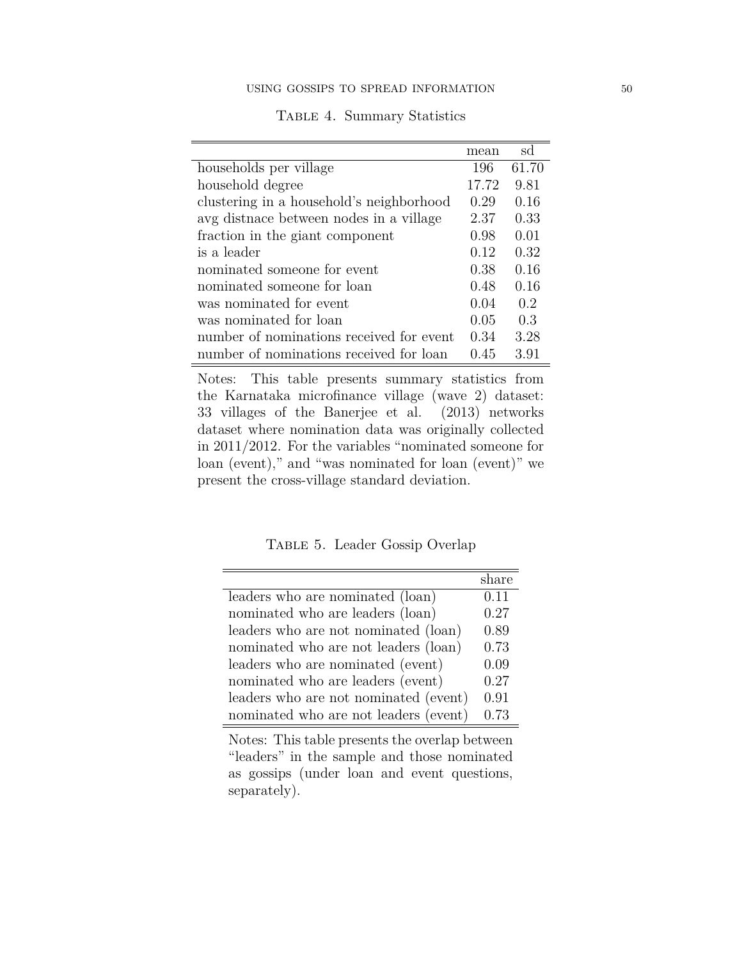|                                          | mean  | sd    |
|------------------------------------------|-------|-------|
| households per village                   | 196   | 61.70 |
| household degree                         | 17.72 | 9.81  |
| clustering in a household's neighborhood | 0.29  | 0.16  |
| avg distnace between nodes in a village  | 2.37  | 0.33  |
| fraction in the giant component          | 0.98  | 0.01  |
| is a leader                              | 0.12  | 0.32  |
| nominated someone for event              | 0.38  | 0.16  |
| nominated someone for loan               | 0.48  | 0.16  |
| was nominated for event                  | 0.04  | 0.2   |
| was nominated for loan                   | 0.05  | 0.3   |
| number of nominations received for event | 0.34  | 3.28  |
| number of nominations received for loan  | 0.45  | 3.91  |

Table 4. Summary Statistics

Notes: This table presents summary statistics from the Karnataka microfinance village (wave 2) dataset: 33 villages of the Banerjee et al. (2013) networks dataset where nomination data was originally collected in 2011/2012. For the variables "nominated someone for loan (event)," and "was nominated for loan (event)" we present the cross-village standard deviation.

Table 5. Leader Gossip Overlap

|                                       | share |
|---------------------------------------|-------|
| leaders who are nominated (loan)      | 0.11  |
| nominated who are leaders (loan)      | 0.27  |
| leaders who are not nominated (loan)  | 0.89  |
| nominated who are not leaders (loan)  | 0.73  |
| leaders who are nominated (event)     | 0.09  |
| nominated who are leaders (event)     | 0.27  |
| leaders who are not nominated (event) | 0.91  |
| nominated who are not leaders (event) | 0.73  |

Notes: This table presents the overlap between "leaders" in the sample and those nominated as gossips (under loan and event questions, separately).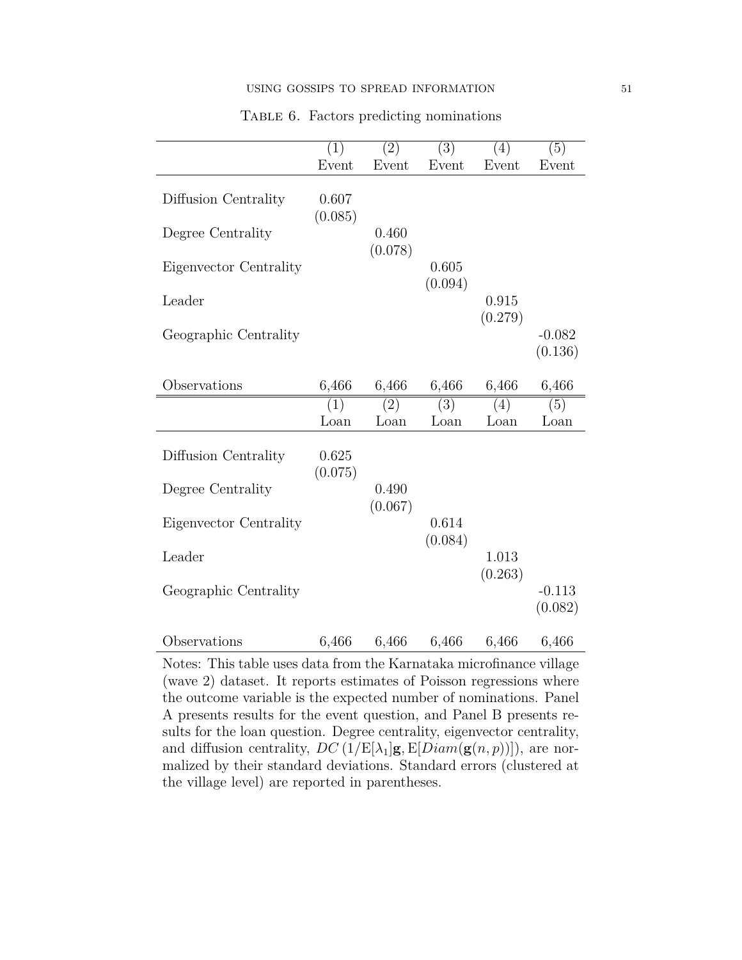#### USING GOSSIPS TO SPREAD INFORMATION  $51\,$

|                        | (1)              | (2)              | $\overline{(3)}$ | (4)              | (5)                 |
|------------------------|------------------|------------------|------------------|------------------|---------------------|
|                        | Event            | Event            | Event            | Event            | Event               |
| Diffusion Centrality   | 0.607<br>(0.085) |                  |                  |                  |                     |
| Degree Centrality      |                  | 0.460<br>(0.078) |                  |                  |                     |
| Eigenvector Centrality |                  |                  | 0.605<br>(0.094) |                  |                     |
| Leader                 |                  |                  |                  | 0.915<br>(0.279) |                     |
| Geographic Centrality  |                  |                  |                  |                  | $-0.082$<br>(0.136) |
| Observations           | 6,466            | 6,466            | 6,466            | 6,466            | 6,466               |
|                        | (1)              | $\overline{(2)}$ | $\overline{(3)}$ | $\overline{(4)}$ | (5)                 |
|                        |                  |                  |                  |                  |                     |
|                        | Loan             | Loan             | Loan             | Loan             | Loan                |
| Diffusion Centrality   | 0.625            |                  |                  |                  |                     |
| Degree Centrality      | (0.075)          | 0.490<br>(0.067) |                  |                  |                     |
| Eigenvector Centrality |                  |                  | 0.614<br>(0.084) |                  |                     |
| Leader                 |                  |                  |                  | 1.013<br>(0.263) |                     |
| Geographic Centrality  |                  |                  |                  |                  | $-0.113$<br>(0.082) |

### Table 6. Factors predicting nominations

Notes: This table uses data from the Karnataka microfinance village (wave 2) dataset. It reports estimates of Poisson regressions where the outcome variable is the expected number of nominations. Panel A presents results for the event question, and Panel B presents results for the loan question. Degree centrality, eigenvector centrality, and diffusion centrality,  $DC(1/E[\lambda_1]g, E[Diam(g(n, p))])$ , are normalized by their standard deviations. Standard errors (clustered at the village level) are reported in parentheses.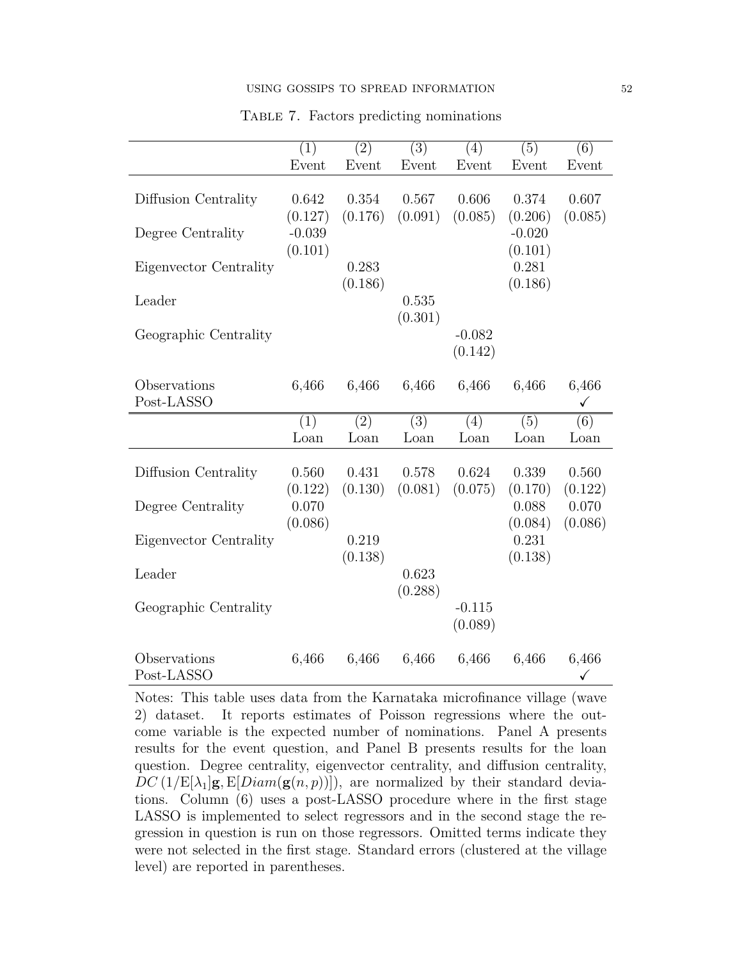|                        | (1)      | (2)     | (3)     | (4)      | (5)      | (6)     |
|------------------------|----------|---------|---------|----------|----------|---------|
|                        | Event    | Event   | Event   | Event    | Event    | Event   |
|                        |          |         |         |          |          |         |
| Diffusion Centrality   | 0.642    | 0.354   | 0.567   | 0.606    | 0.374    | 0.607   |
|                        | (0.127)  | (0.176) | (0.091) | (0.085)  | (0.206)  | (0.085) |
| Degree Centrality      | $-0.039$ |         |         |          | $-0.020$ |         |
|                        | (0.101)  |         |         |          | (0.101)  |         |
| Eigenvector Centrality |          | 0.283   |         |          | 0.281    |         |
|                        |          | (0.186) |         |          | (0.186)  |         |
| Leader                 |          |         | 0.535   |          |          |         |
|                        |          |         | (0.301) |          |          |         |
| Geographic Centrality  |          |         |         | $-0.082$ |          |         |
|                        |          |         |         | (0.142)  |          |         |
|                        |          |         |         |          |          |         |
| Observations           | 6,466    | 6,466   | 6,466   | 6,466    | 6,466    | 6,466   |
| Post-LASSO             |          |         |         |          |          | ✓       |
|                        | (1)      | (2)     | (3)     | (4)      | (5)      | (6)     |
|                        |          |         |         |          |          |         |
|                        | Loan     | Loan    | Loan    | Loan     | Loan     | Loan    |
|                        |          |         |         |          |          |         |
| Diffusion Centrality   | 0.560    | 0.431   | 0.578   | 0.624    | 0.339    | 0.560   |
|                        | (0.122)  | (0.130) | (0.081) | (0.075)  | (0.170)  | (0.122) |
| Degree Centrality      | 0.070    |         |         |          | 0.088    | 0.070   |
|                        | (0.086)  |         |         |          | (0.084)  | (0.086) |
|                        |          | 0.219   |         |          | 0.231    |         |
| Eigenvector Centrality |          | (0.138) |         |          |          |         |
|                        |          |         | 0.623   |          | (0.138)  |         |
| Leader                 |          |         |         |          |          |         |
|                        |          |         | (0.288) | $-0.115$ |          |         |
| Geographic Centrality  |          |         |         |          |          |         |
|                        |          |         |         | (0.089)  |          |         |
| Observations           | 6,466    | 6,466   | 6,466   | 6,466    | 6,466    | 6,466   |

Table 7. Factors predicting nominations

Notes: This table uses data from the Karnataka microfinance village (wave 2) dataset. It reports estimates of Poisson regressions where the outcome variable is the expected number of nominations. Panel A presents results for the event question, and Panel B presents results for the loan question. Degree centrality, eigenvector centrality, and diffusion centrality,  $DC$  (1/E[ $\lambda_1$ ]**g**, E[ $Diam(\mathbf{g}(n, p))$ ]), are normalized by their standard deviations. Column (6) uses a post-LASSO procedure where in the first stage LASSO is implemented to select regressors and in the second stage the regression in question is run on those regressors. Omitted terms indicate they were not selected in the first stage. Standard errors (clustered at the village level) are reported in parentheses.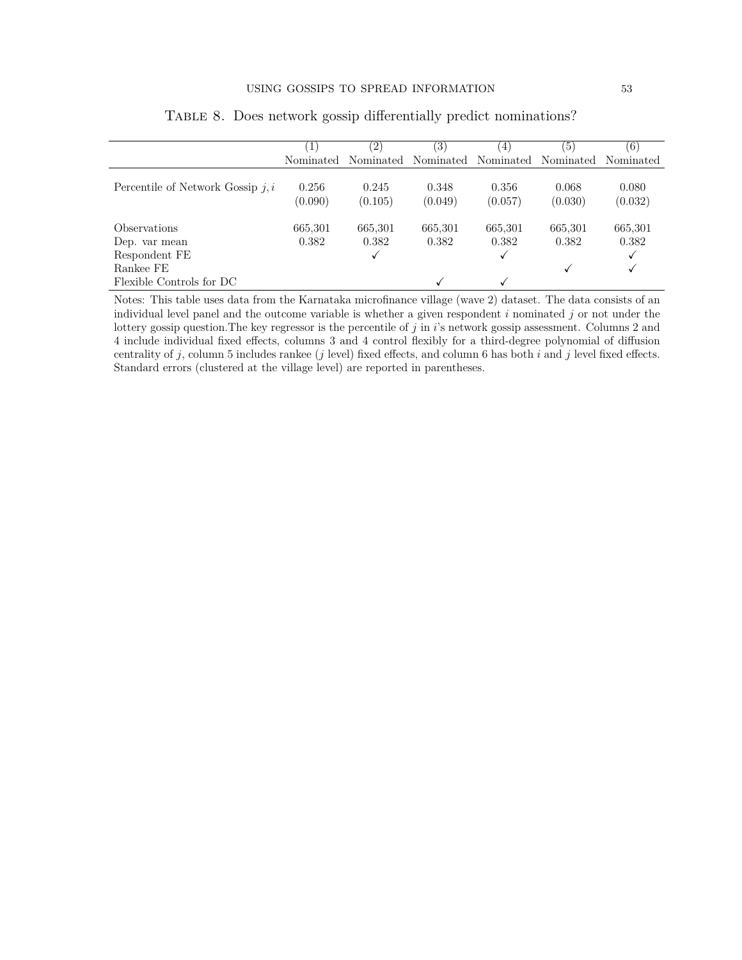|                                     | 1         | $\left( 2\right)$ | (3)     | 41                  | (5)       | (6)       |
|-------------------------------------|-----------|-------------------|---------|---------------------|-----------|-----------|
|                                     | Nominated | Nominated         |         | Nominated Nominated | Nominated | Nominated |
|                                     |           |                   |         |                     |           |           |
| Percentile of Network Gossip $i, i$ | 0.256     | 0.245             | 0.348   | 0.356               | 0.068     | 0.080     |
|                                     | (0.090)   | (0.105)           | (0.049) | (0.057)             | (0.030)   | (0.032)   |
|                                     |           |                   |         |                     |           |           |
| Observations                        | 665,301   | 665,301           | 665,301 | 665,301             | 665,301   | 665,301   |
| Dep. var mean                       | 0.382     | 0.382             | 0.382   | 0.382               | 0.382     | 0.382     |
| Respondent FE                       |           |                   |         | √                   |           |           |
| Rankee FE                           |           |                   |         |                     |           | v         |
| Flexible Controls for DC            |           |                   |         |                     |           |           |

Table 8. Does network gossip differentially predict nominations?

Notes: This table uses data from the Karnataka microfinance village (wave 2) dataset. The data consists of an individual level panel and the outcome variable is whether a given respondent *i* nominated *j* or not under the lottery gossip question.The key regressor is the percentile of *j* in *i*'s network gossip assessment. Columns 2 and 4 include individual fixed effects, columns 3 and 4 control flexibly for a third-degree polynomial of diffusion centrality of *j*, column 5 includes rankee (*j* level) fixed effects, and column 6 has both *i* and *j* level fixed effects. Standard errors (clustered at the village level) are reported in parentheses.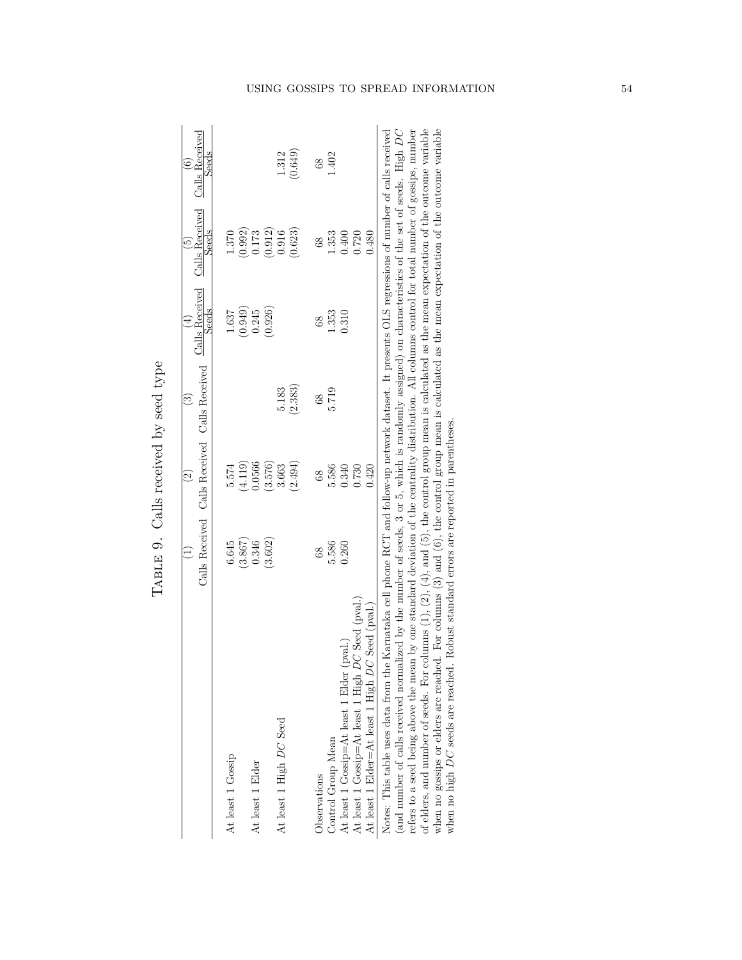|                                                                                                                                                                         | LABLE 9. Calls received by seed type         |                        |         |                                          |                                              |                                 |
|-------------------------------------------------------------------------------------------------------------------------------------------------------------------------|----------------------------------------------|------------------------|---------|------------------------------------------|----------------------------------------------|---------------------------------|
|                                                                                                                                                                         |                                              | $\widehat{\mathbb{C}}$ | ତ୍ର     | Calls Received<br>$\widehat{\mathbb{E}}$ | Calls Received<br>$\widetilde{\mathfrak{G}}$ | Calls Received<br>$\widehat{6}$ |
|                                                                                                                                                                         | Calls Received Calls Received Calls Received |                        |         | Seeds                                    | Seeds                                        | Seeds                           |
| At least 1 Gossip                                                                                                                                                       | 6.645                                        | 5.574                  |         | 1.637                                    | 1.370                                        |                                 |
|                                                                                                                                                                         | (3.867)                                      | (4.119)                |         | $(0.949)$<br>$0.245$                     | (0.992)                                      |                                 |
| At least 1 Elder                                                                                                                                                        | 0.346                                        | 0.0566                 |         |                                          | 0.173                                        |                                 |
|                                                                                                                                                                         | (3.602)                                      | (3.576)                |         | (0.926)                                  | (0.912)                                      |                                 |
| At least 1 High DC Seed                                                                                                                                                 |                                              | 3.663                  | 5.183   |                                          | 0.916                                        | 1.312                           |
|                                                                                                                                                                         |                                              | (2.494)                | (2.383) |                                          | (0.623)                                      | (0.649)                         |
| Observations                                                                                                                                                            | $^{68}$                                      | $\frac{8}{3}$          | $^{68}$ | 68                                       | $\overline{68}$                              | 68                              |
| Control Group Mean                                                                                                                                                      | 5.586                                        | 5.586                  | 5.719   | 1.353                                    | 1.353                                        | 1.402                           |
| (pval.)<br>At least 1 Gossip=At least 1 Elder                                                                                                                           | 0.260                                        | 0.340                  |         | 0.310                                    | 0.400                                        |                                 |
| DC Seed (pval.)<br>At least 1 Gossip=At least 1 High                                                                                                                    |                                              | 0.730                  |         |                                          | 0.720                                        |                                 |
| At least 1 Elder=At least 1 High $DC$ Seed (pval.)                                                                                                                      |                                              | 0.420                  |         |                                          | 0.480                                        |                                 |
| Notes: This table uses data from the Karnataka cell phone RCT and follow-up network dataset. It presents OLS regressions of number of calls received                    |                                              |                        |         |                                          |                                              |                                 |
| (and number of calls received normalized by the number of seeds, 3 or 5, which is randomly assigned) on characteristics of the set of seeds. High $DC$                  |                                              |                        |         |                                          |                                              |                                 |
| refers to a seed being above the mean by one standard deviation of the centrality distribution. All columns control for total number of gossips, number                 |                                              |                        |         |                                          |                                              |                                 |
| columns $(1)$ , $(2)$ , $(4)$ , and $(5)$ , the control group mean is calculated as the mean expectation of the outcome variable<br>of elders, and number of seeds. For |                                              |                        |         |                                          |                                              |                                 |
| when no gossips or elders are reached. For columns (3) and (6), the control group mean is calculated as the mean expectation of the outcome variable                    |                                              |                        |         |                                          |                                              |                                 |
| when no high $DC$ seeds are reached. Robust standard errors are reported in parentheses.                                                                                |                                              |                        |         |                                          |                                              |                                 |

when no high *DC* seeds are reached. Robust standard errors are reported in parentheses.

| י<br>בדי די<br>Ĺ              |
|-------------------------------|
| ς<br>Ω                        |
| $\overline{\phantom{a}}$<br>) |
| くくこうこう<br>りこう                 |
| ľ<br>ζ                        |
|                               |
| I,<br>$\frac{1}{2}$           |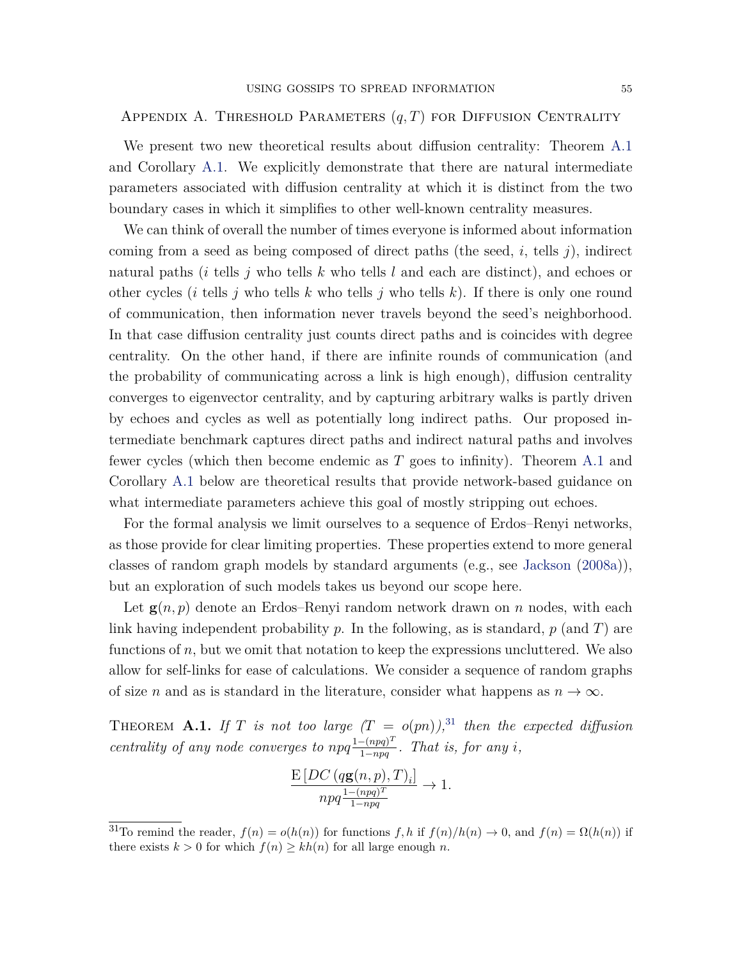### <span id="page-55-0"></span>Appendix A. Threshold Parameters (*q, T*) for Diffusion Centrality

We present two new theoretical results about diffusion centrality: Theorem [A.1](#page-55-1) and Corollary [A.1.](#page-56-1) We explicitly demonstrate that there are natural intermediate parameters associated with diffusion centrality at which it is distinct from the two boundary cases in which it simplifies to other well-known centrality measures.

We can think of overall the number of times everyone is informed about information coming from a seed as being composed of direct paths (the seed, *i*, tells *j*), indirect natural paths (*i* tells *j* who tells *k* who tells *l* and each are distinct), and echoes or other cycles (*i* tells *j* who tells *k* who tells *j* who tells *k*). If there is only one round of communication, then information never travels beyond the seed's neighborhood. In that case diffusion centrality just counts direct paths and is coincides with degree centrality. On the other hand, if there are infinite rounds of communication (and the probability of communicating across a link is high enough), diffusion centrality converges to eigenvector centrality, and by capturing arbitrary walks is partly driven by echoes and cycles as well as potentially long indirect paths. Our proposed intermediate benchmark captures direct paths and indirect natural paths and involves fewer cycles (which then become endemic as *T* goes to infinity). Theorem [A.1](#page-55-1) and Corollary [A.1](#page-56-1) below are theoretical results that provide network-based guidance on what intermediate parameters achieve this goal of mostly stripping out echoes.

For the formal analysis we limit ourselves to a sequence of Erdos–Renyi networks, as those provide for clear limiting properties. These properties extend to more general classes of random graph models by standard arguments (e.g., see [Jackson](#page-39-1) [\(2008a\)](#page-39-1)), but an exploration of such models takes us beyond our scope here.

Let  $g(n, p)$  denote an Erdos–Renyi random network drawn on *n* nodes, with each link having independent probability *p*. In the following, as is standard, *p* (and *T*) are functions of *n*, but we omit that notation to keep the expressions uncluttered. We also allow for self-links for ease of calculations. We consider a sequence of random graphs of size *n* and as is standard in the literature, consider what happens as  $n \to \infty$ .

<span id="page-55-1"></span>THEOREM **A.1.** If *T* is not too large  $(T = o(pn))$ ,<sup>[31](#page-55-2)</sup> then the expected diffusion *centrality of any node converges to*  $npq^{\frac{1-(npq)^{T}}{1-npq}}$ 1−*npq . That is, for any i,*

$$
\frac{\mathrm{E}\left[DC\left(q\mathbf{g}(n,p),T\right)_i\right]}{npq\frac{1-(npq)^T}{1-npq}} \to 1.
$$

<span id="page-55-2"></span><sup>&</sup>lt;sup>31</sup>To remind the reader,  $f(n) = o(h(n))$  for functions  $f, h$  if  $f(n)/h(n) \to 0$ , and  $f(n) = \Omega(h(n))$  if there exists  $k > 0$  for which  $f(n) \geq kh(n)$  for all large enough *n*.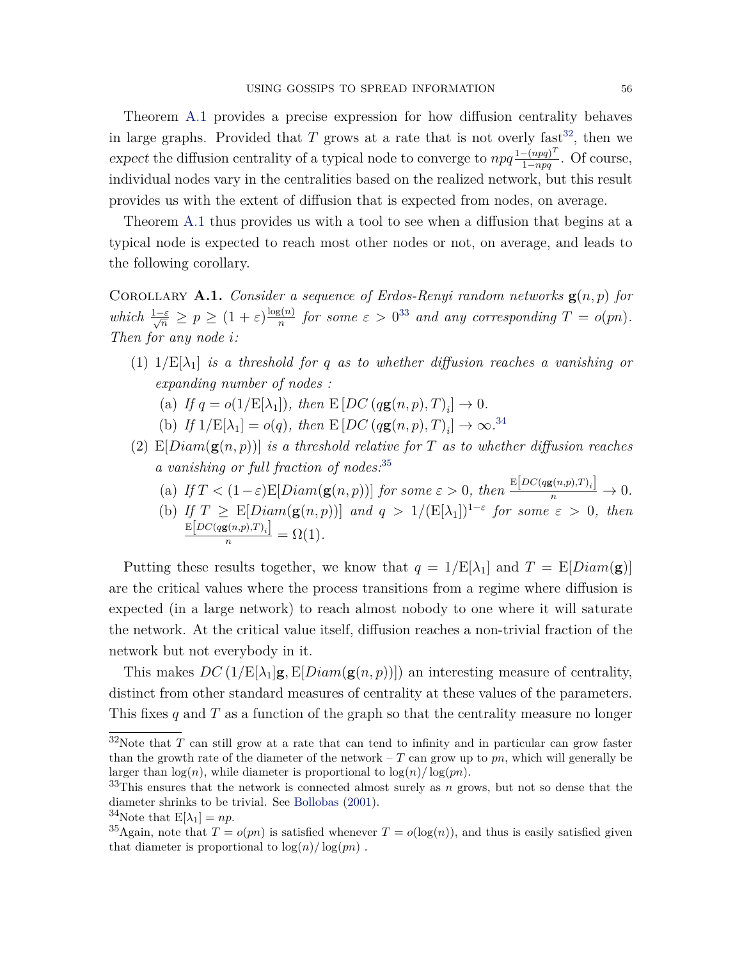Theorem [A.1](#page-55-1) provides a precise expression for how diffusion centrality behaves in large graphs. Provided that  $T$  grows at a rate that is not overly fast<sup>[32](#page-56-2)</sup>, then we expect the diffusion centrality of a typical node to converge to  $npq\frac{1-(npq)^{T}}{1-npq}$ 1−*npq* . Of course, individual nodes vary in the centralities based on the realized network, but this result provides us with the extent of diffusion that is expected from nodes, on average.

Theorem [A.1](#page-55-1) thus provides us with a tool to see when a diffusion that begins at a typical node is expected to reach most other nodes or not, on average, and leads to the following corollary.

<span id="page-56-1"></span>COROLLARY **A.1.** *Consider a sequence of Erdos-Renyi random networks*  $\mathbf{g}(n, p)$  *for*  $which \frac{1-\varepsilon}{\sqrt{n}} \geq p \geq (1+\varepsilon)\frac{\log(n)}{n}$ *n*<sup> $s(n)$ </sup> *for some*  $\varepsilon > 0^{33}$  $\varepsilon > 0^{33}$  $\varepsilon > 0^{33}$  *and any corresponding*  $T = o(pn)$ *. Then for any node i:*

- (1)  $1/E[\lambda_1]$  *is a threshold for q as to whether diffusion reaches a vanishing or expanding number of nodes :*
	- (a) If  $q = o(1/E[\lambda_1])$ *, then*  $E[DC(qg(n, p), T)_i] \to 0$ *.*
	- (b) *If*  $1/E[\lambda_1] = o(q)$ *, then*  $E[DC(qg(n, p), T)_i] \to \infty^{34}$  $E[DC(qg(n, p), T)_i] \to \infty^{34}$  $E[DC(qg(n, p), T)_i] \to \infty^{34}$
- (2) E[*Diam*(**g**(*n, p*))] *is a threshold relative for T as to whether diffusion reaches a vanishing or full fraction of nodes:*[35](#page-56-4)
	- (a) If  $T < (1-\varepsilon)E[Diam(\mathbf{g}(n, p))]$  *for some*  $\varepsilon > 0$ *, then*  $\frac{E[DC(q\mathbf{g}(n, p), T)_i]}{n} \to 0$ *.*
	- (b) *If*  $T \geq E[Diam(g(n,p))]$  *and*  $q > 1/(E[\lambda_1])^{1-\varepsilon}$  *for some*  $\varepsilon > 0$ *, then*  $\frac{\mathrm{E}[DC(q\mathbf{g}(n,p),T)_i]}{n} = \Omega(1).$

Putting these results together, we know that  $q = 1/E[\lambda_1]$  and  $T = E[Diam(\mathbf{g})]$ are the critical values where the process transitions from a regime where diffusion is expected (in a large network) to reach almost nobody to one where it will saturate the network. At the critical value itself, diffusion reaches a non-trivial fraction of the network but not everybody in it.

This makes  $DC(1/E[\lambda_1]g, E[Diam(g(n, p))])$  an interesting measure of centrality, distinct from other standard measures of centrality at these values of the parameters. This fixes *q* and *T* as a function of the graph so that the centrality measure no longer

<span id="page-56-2"></span><sup>32</sup>Note that *T* can still grow at a rate that can tend to infinity and in particular can grow faster than the growth rate of the diameter of the network  $-T$  can grow up to  $pn$ , which will generally be larger than  $log(n)$ , while diameter is proportional to  $log(n)/log(pn)$ .

<span id="page-56-0"></span><sup>33</sup>This ensures that the network is connected almost surely as *n* grows, but not so dense that the diameter shrinks to be trivial. See [Bollobas](#page-38-1) [\(2001\)](#page-38-1).

<span id="page-56-3"></span><sup>&</sup>lt;sup>34</sup>Note that  $E[\lambda_1] = np$ .

<span id="page-56-4"></span><sup>&</sup>lt;sup>35</sup>Again, note that  $T = o(pn)$  is satisfied whenever  $T = o(\log(n))$ , and thus is easily satisfied given that diameter is proportional to  $\log(n)/\log(pn)$ .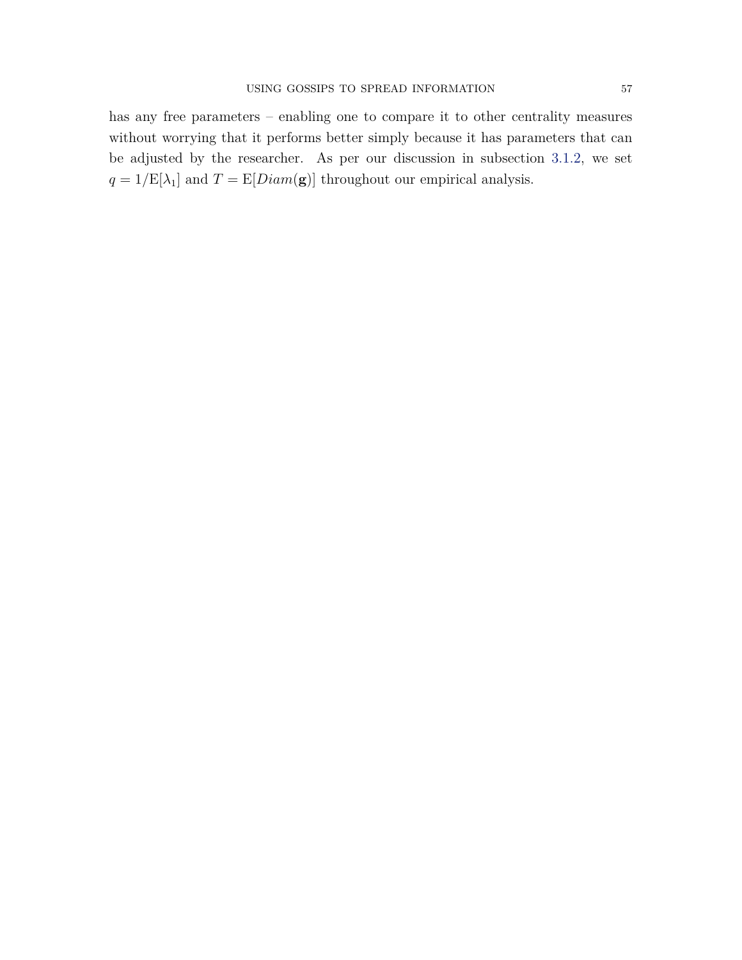has any free parameters – enabling one to compare it to other centrality measures without worrying that it performs better simply because it has parameters that can be adjusted by the researcher. As per our discussion in subsection [3.1.2,](#page-21-0) we set  $q = 1/E[\lambda_1]$  and  $T = E[Diam(\mathbf{g})]$  throughout our empirical analysis.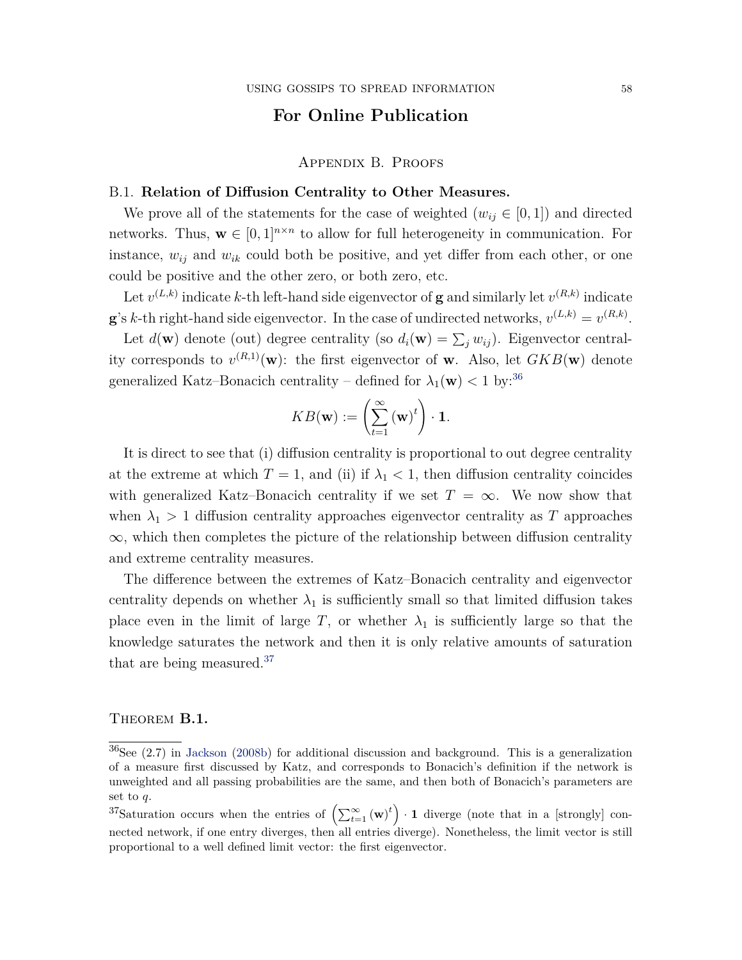## **For Online Publication**

Appendix B. Proofs

#### B.1. **Relation of Diffusion Centrality to Other Measures.**

We prove all of the statements for the case of weighted  $(w_{ij} \in [0,1])$  and directed networks. Thus,  $\mathbf{w} \in [0,1]^{n \times n}$  to allow for full heterogeneity in communication. For instance,  $w_{ij}$  and  $w_{ik}$  could both be positive, and yet differ from each other, or one could be positive and the other zero, or both zero, etc.

Let  $v^{(L,k)}$  indicate k-th left-hand side eigenvector of **g** and similarly let  $v^{(R,k)}$  indicate **g**'s *k*-th right-hand side eigenvector. In the case of undirected networks,  $v^{(L,k)} = v^{(R,k)}$ .

Let  $d(\mathbf{w})$  denote (out) degree centrality (so  $d_i(\mathbf{w}) = \sum_j w_{ij}$ ). Eigenvector centrality corresponds to  $v^{(R,1)}(\mathbf{w})$ : the first eigenvector of **w**. Also, let  $GKB(\mathbf{w})$  denote generalized Katz–Bonacich centrality – defined for  $\lambda_1(\mathbf{w}) < 1$  by:<sup>[36](#page-58-0)</sup>

$$
KB(\mathbf{w}) := \left(\sum_{t=1}^{\infty} (\mathbf{w})^t\right) \cdot \mathbf{1}.
$$

It is direct to see that (i) diffusion centrality is proportional to out degree centrality at the extreme at which  $T = 1$ , and (ii) if  $\lambda_1 < 1$ , then diffusion centrality coincides with generalized Katz–Bonacich centrality if we set  $T = \infty$ . We now show that when  $\lambda_1 > 1$  diffusion centrality approaches eigenvector centrality as T approaches  $\infty$ , which then completes the picture of the relationship between diffusion centrality and extreme centrality measures.

The difference between the extremes of Katz–Bonacich centrality and eigenvector centrality depends on whether  $\lambda_1$  is sufficiently small so that limited diffusion takes place even in the limit of large *T*, or whether  $\lambda_1$  is sufficiently large so that the knowledge saturates the network and then it is only relative amounts of saturation that are being measured.[37](#page-58-1)

#### <span id="page-58-2"></span>Theorem **B.1.**

<span id="page-58-0"></span> $36$ See (2.7) in [Jackson](#page-40-1) [\(2008b\)](#page-40-1) for additional discussion and background. This is a generalization of a measure first discussed by Katz, and corresponds to Bonacich's definition if the network is unweighted and all passing probabilities are the same, and then both of Bonacich's parameters are set to *q*.

<span id="page-58-1"></span><sup>&</sup>lt;sup>37</sup>Saturation occurs when the entries of  $\left(\sum_{t=1}^{\infty} (\mathbf{w})^t\right) \cdot \mathbf{1}$  diverge (note that in a [strongly] connected network, if one entry diverges, then all entries diverge). Nonetheless, the limit vector is still proportional to a well defined limit vector: the first eigenvector.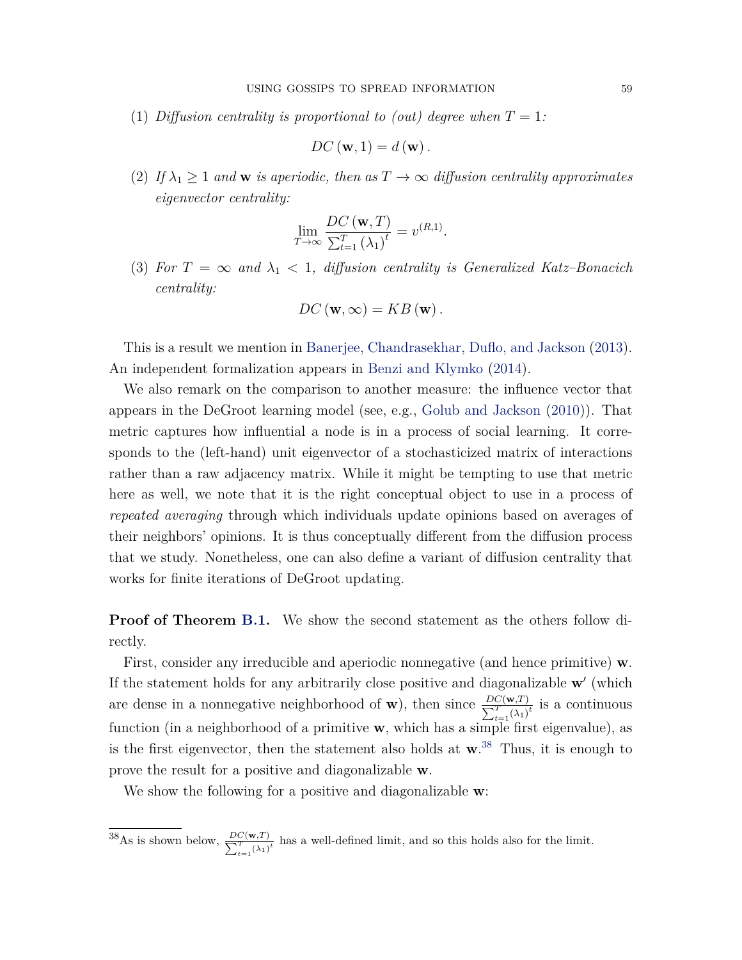(1) *Diffusion centrality is proportional to (out) degree when*  $T = 1$ :

$$
DC(\mathbf{w},1) = d(\mathbf{w}).
$$

(2) If  $\lambda_1 \geq 1$  and **w** *is aperiodic, then as*  $T \to \infty$  *diffusion centrality approximates eigenvector centrality:*

$$
\lim_{T \to \infty} \frac{DC(\mathbf{w}, T)}{\sum_{t=1}^{T} (\lambda_1)^t} = v^{(R,1)}.
$$

<span id="page-59-0"></span>(3) *For*  $T = \infty$  *and*  $\lambda_1 < 1$ *, diffusion centrality is Generalized Katz–Bonacich centrality:*

$$
DC\left(\mathbf{w},\infty\right)=KB\left(\mathbf{w}\right).
$$

This is a result we mention in [Banerjee, Chandrasekhar, Duflo, and Jackson](#page-38-0) [\(2013\)](#page-38-0). An independent formalization appears in [Benzi and Klymko](#page-38-2) [\(2014\)](#page-38-2).

We also remark on the comparison to another measure: the influence vector that appears in the DeGroot learning model (see, e.g., [Golub and Jackson](#page-39-2) [\(2010\)](#page-39-2)). That metric captures how influential a node is in a process of social learning. It corresponds to the (left-hand) unit eigenvector of a stochasticized matrix of interactions rather than a raw adjacency matrix. While it might be tempting to use that metric here as well, we note that it is the right conceptual object to use in a process of *repeated averaging* through which individuals update opinions based on averages of their neighbors' opinions. It is thus conceptually different from the diffusion process that we study. Nonetheless, one can also define a variant of diffusion centrality that works for finite iterations of DeGroot updating.

**Proof of Theorem [B.1.](#page-58-2)** We show the second statement as the others follow directly.

First, consider any irreducible and aperiodic nonnegative (and hence primitive) **w**. If the statement holds for any arbitrarily close positive and diagonalizable  $\mathbf{w}'$  (which are dense in a nonnegative neighborhood of **w**), then since  $\frac{DC(\mathbf{w},T)}{\sum_{t=1}^{T}(\lambda_1)^t}$  is a continuous function (in a neighborhood of a primitive  $\bf{w}$ , which has a simple first eigenvalue), as is the first eigenvector, then the statement also holds at **w**. [38](#page-59-1) Thus, it is enough to prove the result for a positive and diagonalizable **w**.

We show the following for a positive and diagonalizable **w**:

<span id="page-59-1"></span><sup>&</sup>lt;sup>38</sup>As is shown below,  $\frac{DC(\mathbf{w},T)}{\sum_{t=1}^{T}(\lambda_1)^t}$  has a well-defined limit, and so this holds also for the limit.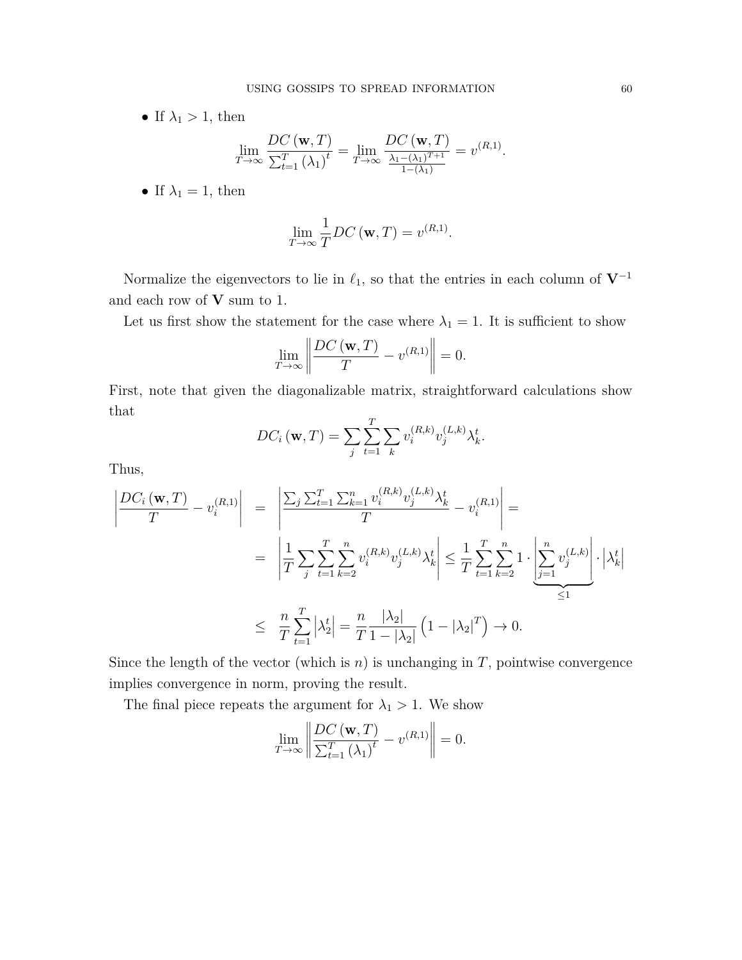• If  $\lambda_1 > 1$ , then

$$
\lim_{T \to \infty} \frac{DC(\mathbf{w}, T)}{\sum_{t=1}^{T} (\lambda_1)^t} = \lim_{T \to \infty} \frac{DC(\mathbf{w}, T)}{\frac{\lambda_1 - (\lambda_1)^{T+1}}{1 - (\lambda_1)}} = v^{(R, 1)}.
$$

• If  $\lambda_1 = 1$ , then

$$
\lim_{T \to \infty} \frac{1}{T} DC(\mathbf{w}, T) = v^{(R,1)}.
$$

Normalize the eigenvectors to lie in  $\ell_1$ , so that the entries in each column of  $V^{-1}$ and each row of **V** sum to 1.

Let us first show the statement for the case where  $\lambda_1 = 1$ . It is sufficient to show

$$
\lim_{T \to \infty} \left\| \frac{DC(\mathbf{w}, T)}{T} - v^{(R,1)} \right\| = 0.
$$

First, note that given the diagonalizable matrix, straightforward calculations show that

$$
DC_i(\mathbf{w}, T) = \sum_{j} \sum_{t=1}^{T} \sum_{k} v_i^{(R,k)} v_j^{(L,k)} \lambda_k^t.
$$

Thus,

$$
\left| \frac{DC_i(\mathbf{w}, T)}{T} - v_i^{(R,1)} \right| = \left| \frac{\sum_j \sum_{t=1}^T \sum_{k=1}^n v_i^{(R,k)} v_j^{(L,k)} \lambda_k^t}{T} - v_i^{(R,1)} \right| =
$$
\n
$$
= \left| \frac{1}{T} \sum_j \sum_{t=1}^T \sum_{k=2}^n v_i^{(R,k)} v_j^{(L,k)} \lambda_k^t \right| \leq \frac{1}{T} \sum_{t=1}^T \sum_{k=2}^n 1 \cdot \left| \sum_{j=1}^n v_j^{(L,k)} \right| \cdot \left| \lambda_k^t \right|
$$
\n
$$
\leq \frac{n}{T} \sum_{t=1}^T \left| \lambda_2^t \right| = \frac{n}{T} \frac{|\lambda_2|}{1 - |\lambda_2|} \left( 1 - |\lambda_2|^T \right) \to 0.
$$

Since the length of the vector (which is  $n$ ) is unchanging in  $T$ , pointwise convergence implies convergence in norm, proving the result.

The final piece repeats the argument for  $\lambda_1 > 1$ . We show

$$
\lim_{T \to \infty} \left\| \frac{DC\left(\mathbf{w}, T\right)}{\sum_{t=1}^{T} \left(\lambda_1\right)^t} - v^{(R,1)} \right\| = 0.
$$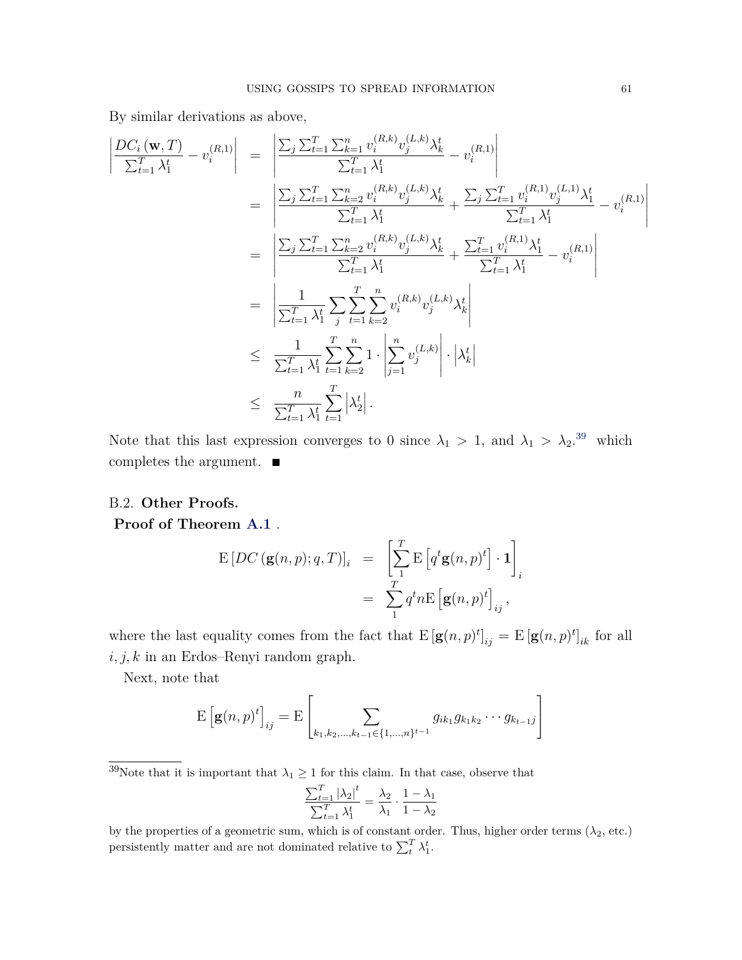By similar derivations as above,

$$
\begin{split}\n\left| \frac{DC_{i}(\mathbf{w},T)}{\sum_{t=1}^{T} \lambda_{1}^{t}} - v_{i}^{(R,1)} \right| &= \left| \frac{\sum_{j} \sum_{t=1}^{T} \sum_{k=1}^{n} v_{i}^{(R,k)} v_{j}^{(L,k)} \lambda_{k}^{t}}{\sum_{t=1}^{T} \lambda_{1}^{t}} - v_{i}^{(R,1)} \right| \\
&= \left| \frac{\sum_{j} \sum_{t=1}^{T} \sum_{k=2}^{n} v_{i}^{(R,k)} v_{j}^{(L,k)} \lambda_{k}^{t}}{\sum_{t=1}^{T} \lambda_{1}^{t}} + \frac{\sum_{j} \sum_{t=1}^{T} v_{i}^{(R,1)} v_{j}^{(L,1)} \lambda_{1}^{t}}{\sum_{t=1}^{T} \lambda_{1}^{t}} - v_{i}^{(R,1)} \right| \\
&= \left| \frac{\sum_{j} \sum_{t=1}^{T} \sum_{k=2}^{n} v_{i}^{(R,k)} v_{j}^{(L,k)} \lambda_{k}^{t}}{\sum_{t=1}^{T} \lambda_{1}^{t}} + \frac{\sum_{t=1}^{T} v_{i}^{(R,1)} \lambda_{1}^{t}}{\sum_{t=1}^{T} \lambda_{1}^{t}} - v_{i}^{(R,1)} \right| \\
&= \left| \frac{1}{\sum_{t=1}^{T} \lambda_{1}^{t}} \sum_{j} \sum_{t=1}^{T} \sum_{k=2}^{n} v_{i}^{(R,k)} v_{j}^{(L,k)} \lambda_{k}^{t} \right| \\
& \leq \frac{1}{\sum_{t=1}^{T} \lambda_{1}^{t}} \sum_{t=1}^{T} \sum_{k=2}^{n} 1 \cdot \left| \sum_{j=1}^{n} v_{j}^{(L,k)} \right| \cdot \left| \lambda_{k}^{t} \right| \\
& \leq \frac{n}{\sum_{t=1}^{T} \lambda_{1}^{t}} \sum_{t=1}^{T} \left| \lambda_{2}^{t} \right|.\n\end{split}
$$

Note that this last expression converges to 0 since  $\lambda_1 > 1$ , and  $\lambda_1 > \lambda_2$ .<sup>[39](#page-61-0)</sup> which completes the argument.

## B.2. **Other Proofs. Proof of Theorem [A.1](#page-55-1)** .

$$
\mathbf{E}\left[DC\left(\mathbf{g}(n,p);q,T\right)\right]_{i} = \left[\sum_{1}^{T} \mathbf{E}\left[q^{t}\mathbf{g}(n,p)^{t}\right] \cdot \mathbf{1}\right]_{i}
$$

$$
= \sum_{1}^{T} q^{t} n \mathbf{E}\left[\mathbf{g}(n,p)^{t}\right]_{ij},
$$

where the last equality comes from the fact that  $E[g(n, p)^t]_{ij} = E[g(n, p)^t]_{ik}$  for all *i, j, k* in an Erdos–Renyi random graph.

Next, note that

$$
\mathrm{E}\left[\mathbf{g}(n,p)^{t}\right]_{ij} = \mathrm{E}\left[\sum_{k_1,k_2,...,k_{t-1}\in\{1,...,n\}^{t-1}} g_{ik_1} g_{k_1k_2} \cdots g_{k_{t-1}j}\right]
$$

<span id="page-61-0"></span> $\frac{39}{39}$ Note that it is important that  $\lambda_1 \geq 1$  for this claim. In that case, observe that

$$
\frac{\sum_{t=1}^{T} |\lambda_2|^t}{\sum_{t=1}^{T} \lambda_1^t} = \frac{\lambda_2}{\lambda_1} \cdot \frac{1 - \lambda_1}{1 - \lambda_2}
$$

by the properties of a geometric sum, which is of constant order. Thus, higher order terms  $(\lambda_2,$  etc.) persistently matter and are not dominated relative to  $\sum_{t}^{T} \lambda_{1}^{t}$ .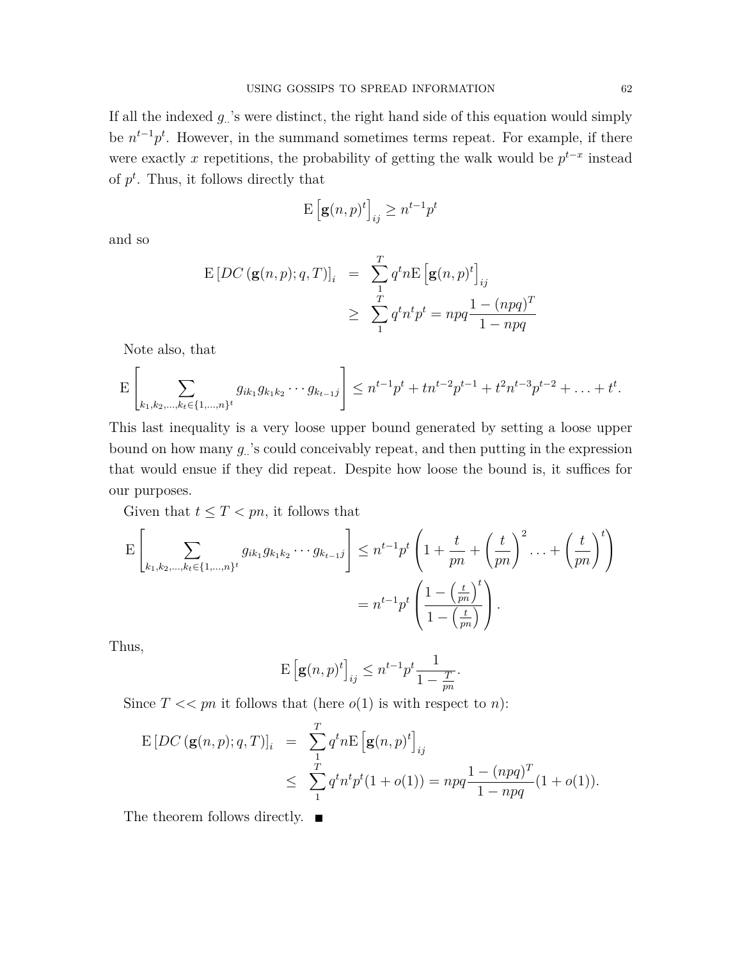If all the indexed *g..*'s were distinct, the right hand side of this equation would simply be  $n^{t-1}p^t$ . However, in the summand sometimes terms repeat. For example, if there were exactly x repetitions, the probability of getting the walk would be  $p^{t-x}$  instead of *p t* . Thus, it follows directly that

$$
\mathrm{E}\left[\mathbf{g}(n,p)^{t}\right]_{ij} \geq n^{t-1}p^{t}
$$

and so

$$
\begin{aligned} \mathbb{E}\left[DC\left(\mathbf{g}(n,p);q,T\right)\right]_{i} &= \sum_{1}^{T} q^{t} n \mathbb{E}\left[\mathbf{g}(n,p)^{t}\right]_{ij} \\ &\geq \sum_{1}^{T} q^{t} n^{t} p^{t} = npq \frac{1 - (npq)^{T}}{1 - npq} \end{aligned}
$$

Note also, that

$$
\mathbf{E}\left[\sum_{k_1,k_2,\dots,k_t\in\{1,\dots,n\}^t}g_{ik_1}g_{k_1k_2}\cdots g_{k_{t-1}j}\right] \leq n^{t-1}p^t + tn^{t-2}p^{t-1} + t^2n^{t-3}p^{t-2} + \ldots + t^t.
$$

This last inequality is a very loose upper bound generated by setting a loose upper bound on how many *g..*'s could conceivably repeat, and then putting in the expression that would ensue if they did repeat. Despite how loose the bound is, it suffices for our purposes.

Given that  $t \leq T < pn$ , it follows that

$$
\mathcal{E}\left[\sum_{k_1,k_2,\dots,k_t\in\{1,\dots,n\}^t} g_{ik_1}g_{k_1k_2}\cdots g_{k_{t-1}j}\right] \leq n^{t-1}p^t \left(1+\frac{t}{pn}+\left(\frac{t}{pn}\right)^2\ldots+\left(\frac{t}{pn}\right)^t\right)
$$

$$
= n^{t-1}p^t \left(\frac{1-\left(\frac{t}{pn}\right)^t}{1-\left(\frac{t}{pn}\right)}\right).
$$

Thus,

$$
\mathbf{E}\left[\mathbf{g}(n,p)^t\right]_{ij} \leq n^{t-1}p^t \frac{1}{1-\frac{T}{pn}}.
$$

Since  $T \ll p$ *n* it follows that (here  $o(1)$  is with respect to *n*):

$$
\mathcal{E}[DC(\mathbf{g}(n, p); q, T)]_i = \sum_{\substack{1 \\ T}}^T q^t n \mathcal{E}[\mathbf{g}(n, p)^t]_{ij}
$$
  
 
$$
\leq \sum_{\substack{1 \\ T}}^T q^t n^t p^t (1 + o(1)) = npq \frac{1 - (npq)^T}{1 - npq} (1 + o(1)).
$$

The theorem follows directly. ■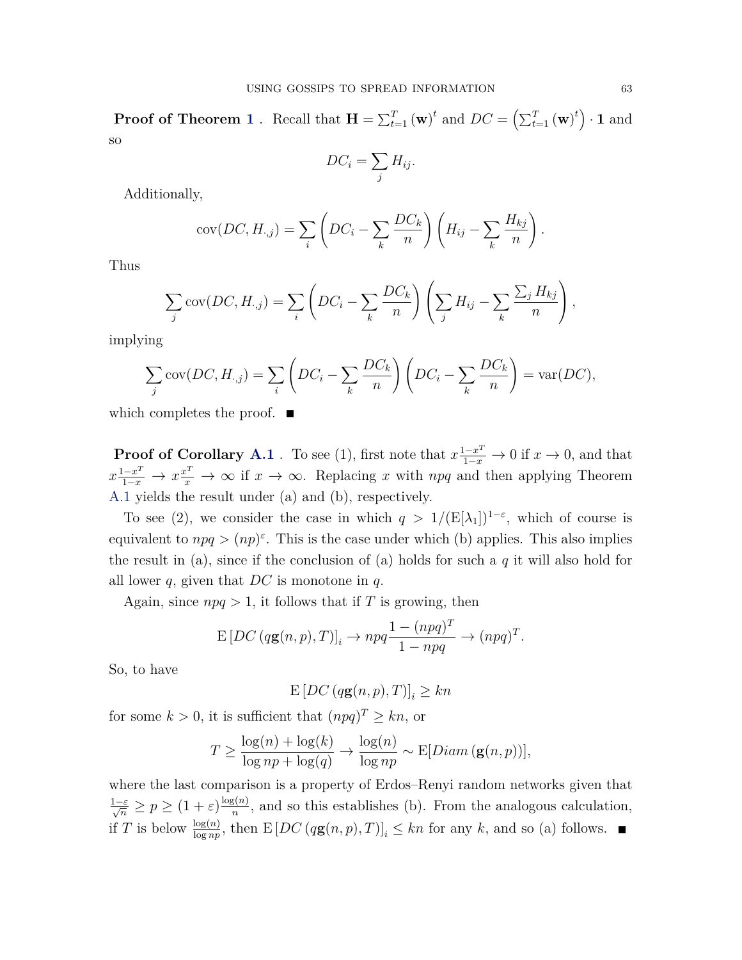**Proof of Theorem [1](#page-24-0)** . Recall that  $\mathbf{H} = \sum_{t=1}^{T} (\mathbf{w})^t$  and  $DC = \left(\sum_{t=1}^{T} (\mathbf{w})^t\right) \cdot \mathbf{1}$  and so

$$
DC_i = \sum_j H_{ij}.
$$

Additionally,

$$
cov(DC, H_{\cdot,j}) = \sum_{i} \left( DC_i - \sum_{k} \frac{DC_k}{n} \right) \left( H_{ij} - \sum_{k} \frac{H_{kj}}{n} \right).
$$

Thus

$$
\sum_{j} \text{cov}(DC, H_{\cdot,j}) = \sum_{i} \left( DC_i - \sum_{k} \frac{DC_k}{n} \right) \left( \sum_{j} H_{ij} - \sum_{k} \frac{\sum_{j} H_{kj}}{n} \right),
$$

implying

$$
\sum_{j} \text{cov}(DC, H_{\cdot,j}) = \sum_{i} \left( DC_i - \sum_{k} \frac{DC_k}{n} \right) \left( DC_i - \sum_{k} \frac{DC_k}{n} \right) = \text{var}(DC),
$$

which completes the proof.  $\blacksquare$ 

**Proof of Corollary [A.1](#page-56-1)** . To see (1), first note that  $x\frac{1-x^T}{1-x} \to 0$  if  $x \to 0$ , and that  $x \frac{1-x^T}{1-x} \to x \frac{x^T}{x} \to \infty$  if  $x \to \infty$ . Replacing *x* with *npq* and then applying Theorem [A.1](#page-55-1) yields the result under (a) and (b), respectively.

To see (2), we consider the case in which  $q > 1/(E[\lambda_1])^{1-\epsilon}$ , which of course is equivalent to  $npq > (np)^{\epsilon}$ . This is the case under which (b) applies. This also implies the result in (a), since if the conclusion of (a) holds for such a *q* it will also hold for all lower *q*, given that *DC* is monotone in *q*.

Again, since  $npq > 1$ , it follows that if *T* is growing, then

$$
\mathbb{E}\left[DC\left(q\mathbf{g}(n,p),T\right)\right]_i \to npq \frac{1-(npq)^T}{1-npq} \to (npq)^T.
$$

So, to have

$$
\mathbf{E}\left[DC\left(q\mathbf{g}(n,p),T\right)\right]_i \geq kn
$$

for some  $k > 0$ , it is sufficient that  $(npq)^T \geq kn$ , or

$$
T \ge \frac{\log(n) + \log(k)}{\log np + \log(q)} \to \frac{\log(n)}{\log np} \sim E[Diam(g(n, p))],
$$

where the last comparison is a property of Erdos–Renyi random networks given that  $\frac{1-\varepsilon}{\sqrt{n}} \ge p \ge (1+\varepsilon) \frac{\log(n)}{n}$  $\frac{g(n)}{n}$ , and so this establishes (b). From the analogous calculation, if *T* is below  $\frac{\log(n)}{\log np}$ , then  $E[DC(qg(n, p), T)]_i \leq kn$  for any *k*, and so (a) follows.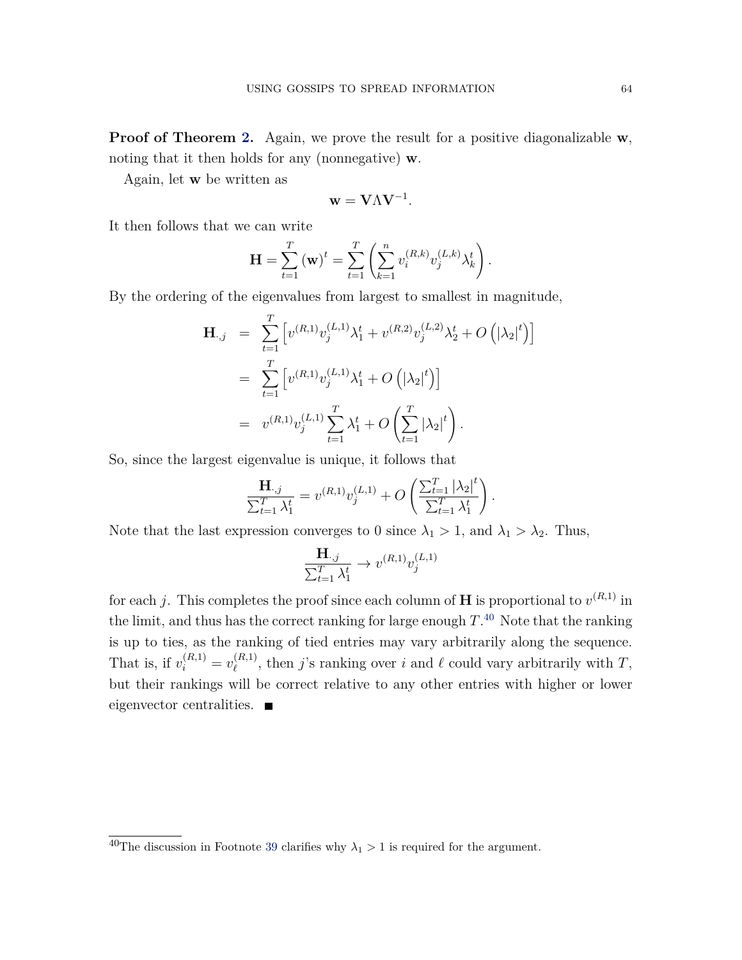**Proof of Theorem [2.](#page-25-0)** Again, we prove the result for a positive diagonalizable **w**, noting that it then holds for any (nonnegative) **w**.

Again, let **w** be written as

$$
\mathbf{w} = \mathbf{V} \Lambda \mathbf{V}^{-1}.
$$

It then follows that we can write

$$
\mathbf{H} = \sum_{t=1}^{T} (\mathbf{w})^{t} = \sum_{t=1}^{T} \left( \sum_{k=1}^{n} v_{i}^{(R,k)} v_{j}^{(L,k)} \lambda_{k}^{t} \right).
$$

By the ordering of the eigenvalues from largest to smallest in magnitude,

$$
\mathbf{H}_{\cdot,j} = \sum_{t=1}^{T} \left[ v^{(R,1)} v_j^{(L,1)} \lambda_1^t + v^{(R,2)} v_j^{(L,2)} \lambda_2^t + O\left( |\lambda_2|^t \right) \right]
$$
  
\n
$$
= \sum_{t=1}^{T} \left[ v^{(R,1)} v_j^{(L,1)} \lambda_1^t + O\left( |\lambda_2|^t \right) \right]
$$
  
\n
$$
= v^{(R,1)} v_j^{(L,1)} \sum_{t=1}^{T} \lambda_1^t + O\left( \sum_{t=1}^{T} |\lambda_2|^t \right).
$$

So, since the largest eigenvalue is unique, it follows that

$$
\frac{\mathbf{H}_{\cdot,j}}{\sum_{t=1}^{T} \lambda_1^t} = v^{(R,1)} v_j^{(L,1)} + O\left(\frac{\sum_{t=1}^{T} |\lambda_2|^t}{\sum_{t=1}^{T} \lambda_1^t}\right).
$$

Note that the last expression converges to 0 since  $\lambda_1 > 1$ , and  $\lambda_1 > \lambda_2$ . Thus,

$$
\frac{\mathbf{H}_{\cdot,j}}{\sum_{t=1}^T \lambda_1^t} \rightarrow v^{(R,1)} v^{(L,1)}_j
$$

for each *j*. This completes the proof since each column of **H** is proportional to  $v^{(R,1)}$  in the limit, and thus has the correct ranking for large enough *T*. [40](#page-64-0) Note that the ranking is up to ties, as the ranking of tied entries may vary arbitrarily along the sequence. That is, if  $v_i^{(R,1)} = v_\ell^{(R,1)}$  $\ell^{(R,1)}$ , then *j*'s ranking over *i* and  $\ell$  could vary arbitrarily with *T*, but their rankings will be correct relative to any other entries with higher or lower eigenvector centralities.

<span id="page-64-0"></span> $\frac{40}{10}$  The discussion in Footnote [39](#page-61-0) clarifies why  $\lambda_1 > 1$  is required for the argument.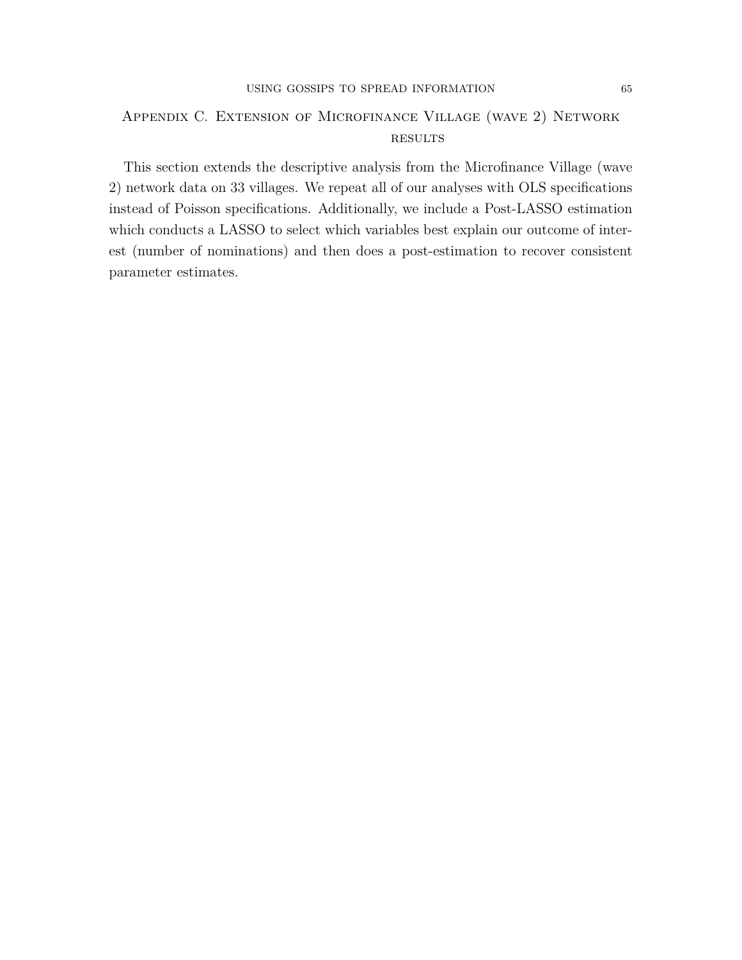#### USING GOSSIPS TO SPREAD INFORMATION 65

## Appendix C. Extension of Microfinance Village (wave 2) Network **RESULTS**

This section extends the descriptive analysis from the Microfinance Village (wave 2) network data on 33 villages. We repeat all of our analyses with OLS specifications instead of Poisson specifications. Additionally, we include a Post-LASSO estimation which conducts a LASSO to select which variables best explain our outcome of interest (number of nominations) and then does a post-estimation to recover consistent parameter estimates.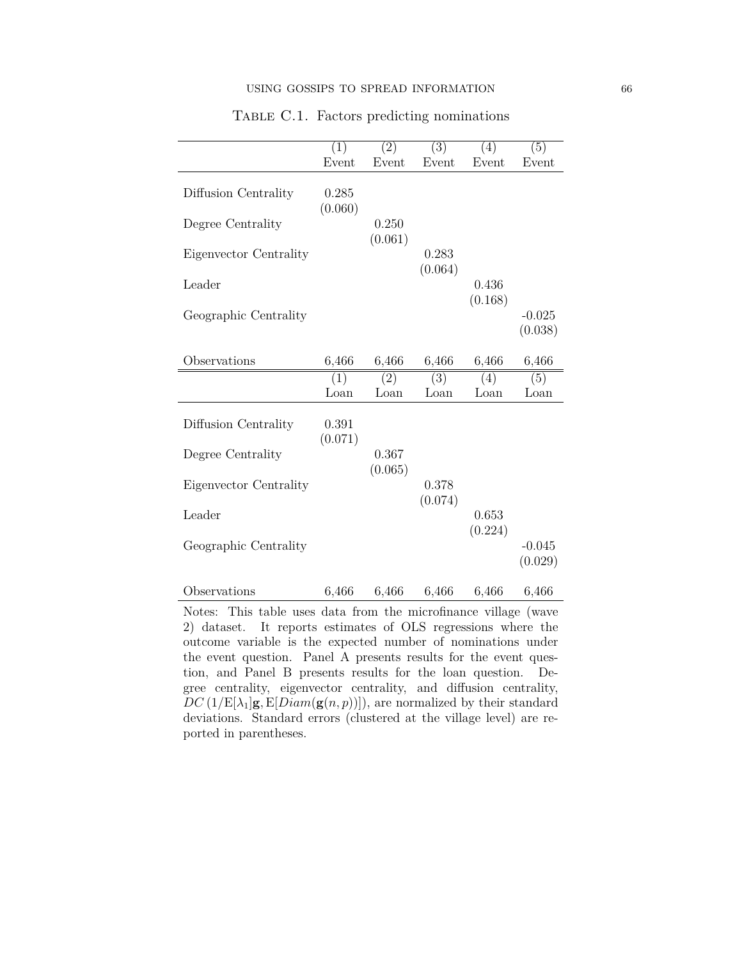|                        | (1)              | (2)              | $\overline{(3)}$ | (4)              | (5)                 |
|------------------------|------------------|------------------|------------------|------------------|---------------------|
|                        | Event            | Event            | Event            | Event            | Event               |
| Diffusion Centrality   | 0.285<br>(0.060) |                  |                  |                  |                     |
| Degree Centrality      |                  | 0.250<br>(0.061) |                  |                  |                     |
| Eigenvector Centrality |                  |                  | 0.283<br>(0.064) |                  |                     |
| Leader                 |                  |                  |                  | 0.436<br>(0.168) |                     |
| Geographic Centrality  |                  |                  |                  |                  | $-0.025$<br>(0.038) |
| Observations           | 6,466            | 6,466            | 6,466            | 6,466            | 6,466               |
|                        | (1)              | $\overline{(2)}$ | $\overline{(3)}$ | $\overline{(4)}$ | $\overline{(5)}$    |
|                        | Loan             | Loan             | Loan             | Loan             | Loan                |
| Diffusion Centrality   |                  |                  |                  |                  |                     |
|                        | 0.391<br>(0.071) |                  |                  |                  |                     |
| Degree Centrality      |                  | 0.367<br>(0.065) |                  |                  |                     |
| Eigenvector Centrality |                  |                  | 0.378            |                  |                     |
| Leader                 |                  |                  | (0.074)          | 0.653            |                     |
| Geographic Centrality  |                  |                  |                  | (0.224)          | $-0.045$<br>(0.029) |

Table C.1. Factors predicting nominations

Notes: This table uses data from the microfinance village (wave 2) dataset. It reports estimates of OLS regressions where the outcome variable is the expected number of nominations under the event question. Panel A presents results for the event question, and Panel B presents results for the loan question. Degree centrality, eigenvector centrality, and diffusion centrality,  $DC$  (1/E[ $\lambda_1$ ]**g**, E[ $Diam(\mathbf{g}(n, p))$ ]), are normalized by their standard deviations. Standard errors (clustered at the village level) are reported in parentheses.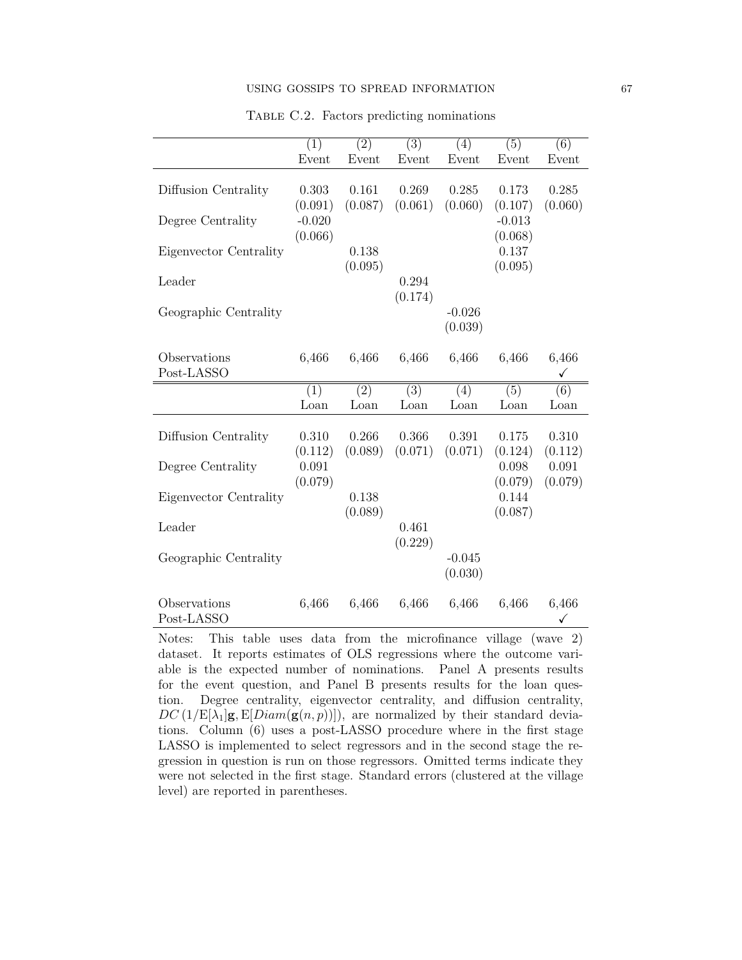|                        | (1)      | $\overline{(2)}$ | $\overline{(3)}$ | $\overline{(4)}$ | $\overline{(5)}$ | $\overline{(6)}$ |
|------------------------|----------|------------------|------------------|------------------|------------------|------------------|
|                        | Event    | Event            | Event            | Event            | Event            | Event            |
|                        |          |                  |                  |                  |                  |                  |
| Diffusion Centrality   | 0.303    | 0.161            | 0.269            | 0.285            | 0.173            | 0.285            |
|                        | (0.091)  | (0.087)          | (0.061)          | (0.060)          | (0.107)          | (0.060)          |
| Degree Centrality      | $-0.020$ |                  |                  |                  | $-0.013$         |                  |
|                        | (0.066)  |                  |                  |                  | (0.068)          |                  |
| Eigenvector Centrality |          | 0.138            |                  |                  | 0.137            |                  |
|                        |          | (0.095)          |                  |                  | (0.095)          |                  |
| Leader                 |          |                  | 0.294            |                  |                  |                  |
|                        |          |                  | (0.174)          |                  |                  |                  |
| Geographic Centrality  |          |                  |                  | $-0.026$         |                  |                  |
|                        |          |                  |                  | (0.039)          |                  |                  |
|                        |          |                  |                  |                  |                  |                  |
| Observations           | 6,466    | 6,466            | 6,466            | 6,466            | 6,466            | 6,466            |
| Post-LASSO             |          |                  |                  |                  |                  | ✓                |
|                        | (1)      | (2)              | (3)              | (4)              | $\overline{(5)}$ | (6)              |
|                        | Loan     | Loan             | Loan             | Loan             | Loan             | Loan             |
|                        |          |                  |                  |                  |                  |                  |
| Diffusion Centrality   | 0.310    | 0.266            | 0.366            | 0.391            | 0.175            | 0.310            |
|                        |          |                  |                  |                  |                  |                  |
|                        |          |                  |                  |                  |                  |                  |
|                        | (0.112)  | (0.089)          | (0.071)          | (0.071)          | (0.124)          | (0.112)          |
| Degree Centrality      | 0.091    |                  |                  |                  | 0.098            | 0.091            |
|                        | (0.079)  |                  |                  |                  | (0.079)          | (0.079)          |
| Eigenvector Centrality |          | 0.138            |                  |                  | 0.144            |                  |
|                        |          | (0.089)          |                  |                  | (0.087)          |                  |
| Leader                 |          |                  | 0.461            |                  |                  |                  |
|                        |          |                  | (0.229)          |                  |                  |                  |
| Geographic Centrality  |          |                  |                  | $-0.045$         |                  |                  |
|                        |          |                  |                  | (0.030)          |                  |                  |
| Observations           | 6,466    | 6,466            | 6,466            | 6,466            | 6,466            | 6,466            |

Table C.2. Factors predicting nominations

Notes: This table uses data from the microfinance village (wave 2) dataset. It reports estimates of OLS regressions where the outcome variable is the expected number of nominations. Panel A presents results for the event question, and Panel B presents results for the loan question. Degree centrality, eigenvector centrality, and diffusion centrality,  $DC(1/E[\lambda_1]g, E[Diam(g(n, p))])$ , are normalized by their standard deviations. Column (6) uses a post-LASSO procedure where in the first stage LASSO is implemented to select regressors and in the second stage the regression in question is run on those regressors. Omitted terms indicate they were not selected in the first stage. Standard errors (clustered at the village level) are reported in parentheses.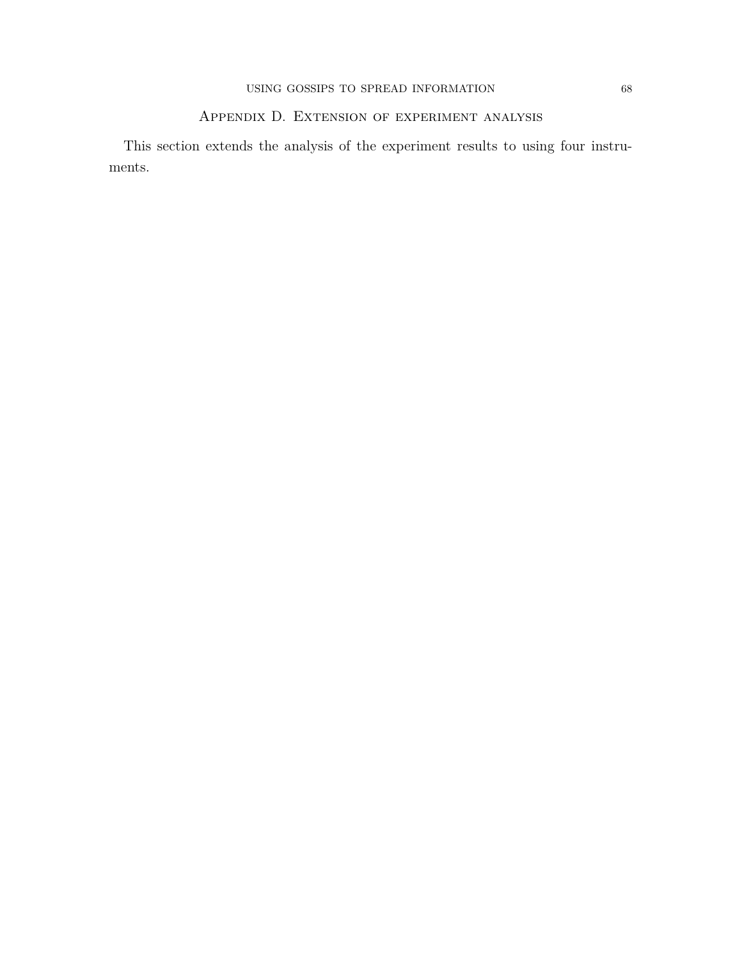### Appendix D. Extension of experiment analysis

This section extends the analysis of the experiment results to using four instruments.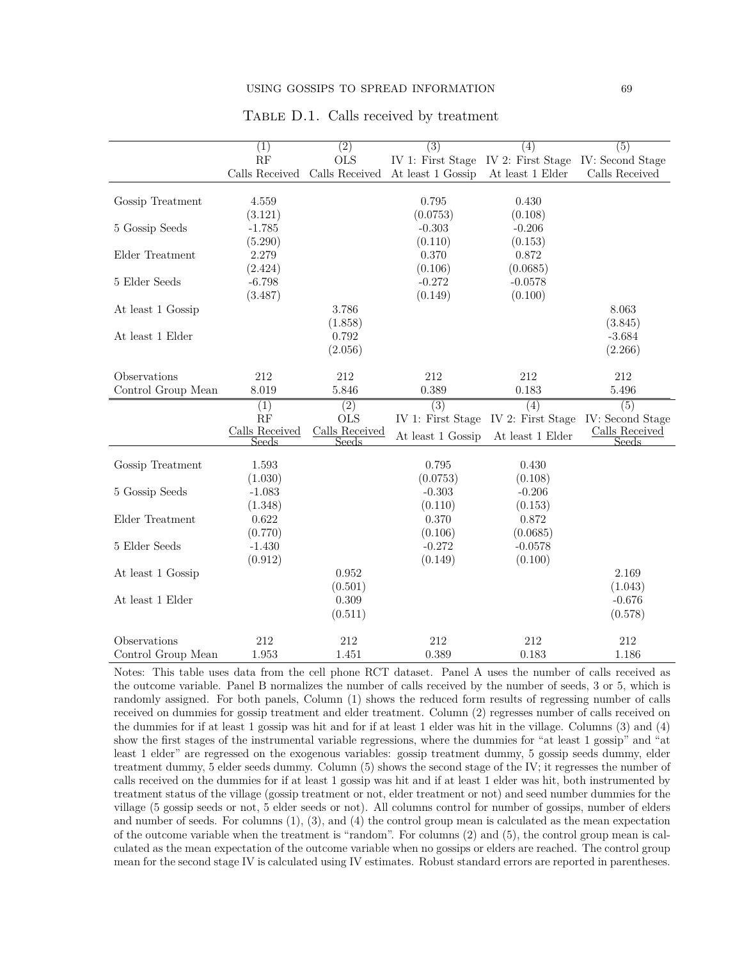|                    | (1)                     | $\overline{(2)}$        | $\overline{(3)}$  | (4)               | $\overline{(5)}$<br>IV: Second Stage |
|--------------------|-------------------------|-------------------------|-------------------|-------------------|--------------------------------------|
|                    | RF                      | <b>OLS</b>              | IV 1: First Stage | IV 2: First Stage |                                      |
|                    | Calls Received          | Calls Received          | At least 1 Gossip | At least 1 Elder  | Calls Received                       |
|                    |                         |                         |                   |                   |                                      |
| Gossip Treatment   | 4.559                   |                         | 0.795             | 0.430             |                                      |
|                    | (3.121)                 |                         | (0.0753)          | (0.108)           |                                      |
| 5 Gossip Seeds     | $-1.785$                |                         | $-0.303$          | $-0.206$          |                                      |
|                    | (5.290)                 |                         | (0.110)           | (0.153)           |                                      |
| Elder Treatment    | 2.279                   |                         | 0.370             | 0.872             |                                      |
|                    | (2.424)                 |                         | (0.106)           | (0.0685)          |                                      |
| 5 Elder Seeds      | $-6.798$                |                         | $-0.272$          | $-0.0578$         |                                      |
|                    | (3.487)                 |                         | (0.149)           | (0.100)           |                                      |
| At least 1 Gossip  |                         | 3.786                   |                   |                   | 8.063                                |
|                    |                         | (1.858)                 |                   |                   | (3.845)                              |
| At least 1 Elder   |                         | 0.792                   |                   |                   | $-3.684$                             |
|                    |                         | (2.056)                 |                   |                   | (2.266)                              |
|                    |                         |                         |                   |                   |                                      |
| Observations       | 212                     | 212                     | 212               | 212               | 212                                  |
| Control Group Mean | 8.019                   | 5.846                   | 0.389             | 0.183             | 5.496                                |
|                    |                         |                         |                   |                   |                                      |
|                    |                         |                         |                   |                   |                                      |
|                    | (1)                     | (2)                     | (3)               | (4)               | (5)                                  |
|                    | RF                      | <b>OLS</b>              | IV 1: First Stage | IV 2: First Stage | IV: Second Stage                     |
|                    | Calls Received<br>Seeds | Calls Received<br>Seeds | At least 1 Gossip | At least 1 Elder  | Calls Received<br>Seeds              |
|                    |                         |                         |                   |                   |                                      |
| Gossip Treatment   | 1.593                   |                         | 0.795             | 0.430             |                                      |
|                    | (1.030)                 |                         | (0.0753)          | (0.108)           |                                      |
| 5 Gossip Seeds     | $-1.083$                |                         | $-0.303$          | $-0.206$          |                                      |
|                    | (1.348)                 |                         | (0.110)           | (0.153)           |                                      |
| Elder Treatment    | 0.622                   |                         | 0.370             | 0.872             |                                      |
|                    | (0.770)                 |                         | (0.106)           | (0.0685)          |                                      |
| 5 Elder Seeds      | $-1.430$                |                         | $-0.272$          | $-0.0578$         |                                      |
|                    | (0.912)                 |                         | (0.149)           | (0.100)           |                                      |
| At least 1 Gossip  |                         | 0.952                   |                   |                   | 2.169                                |
|                    |                         | (0.501)                 |                   |                   | (1.043)                              |
| At least 1 Elder   |                         | 0.309                   |                   |                   | $-0.676$                             |
|                    |                         |                         |                   |                   |                                      |
|                    |                         | (0.511)                 |                   |                   | (0.578)                              |
| Observations       | 212                     | 212                     | 212               | 212               | 212                                  |

Table D.1. Calls received by treatment

Notes: This table uses data from the cell phone RCT dataset. Panel A uses the number of calls received as the outcome variable. Panel B normalizes the number of calls received by the number of seeds, 3 or 5, which is randomly assigned. For both panels, Column (1) shows the reduced form results of regressing number of calls received on dummies for gossip treatment and elder treatment. Column (2) regresses number of calls received on the dummies for if at least 1 gossip was hit and for if at least 1 elder was hit in the village. Columns (3) and (4) show the first stages of the instrumental variable regressions, where the dummies for "at least 1 gossip" and "at least 1 elder" are regressed on the exogenous variables: gossip treatment dummy, 5 gossip seeds dummy, elder treatment dummy, 5 elder seeds dummy. Column (5) shows the second stage of the IV; it regresses the number of calls received on the dummies for if at least 1 gossip was hit and if at least 1 elder was hit, both instrumented by treatment status of the village (gossip treatment or not, elder treatment or not) and seed number dummies for the village (5 gossip seeds or not, 5 elder seeds or not). All columns control for number of gossips, number of elders and number of seeds. For columns (1), (3), and (4) the control group mean is calculated as the mean expectation of the outcome variable when the treatment is "random". For columns (2) and (5), the control group mean is calculated as the mean expectation of the outcome variable when no gossips or elders are reached. The control group mean for the second stage IV is calculated using IV estimates. Robust standard errors are reported in parentheses.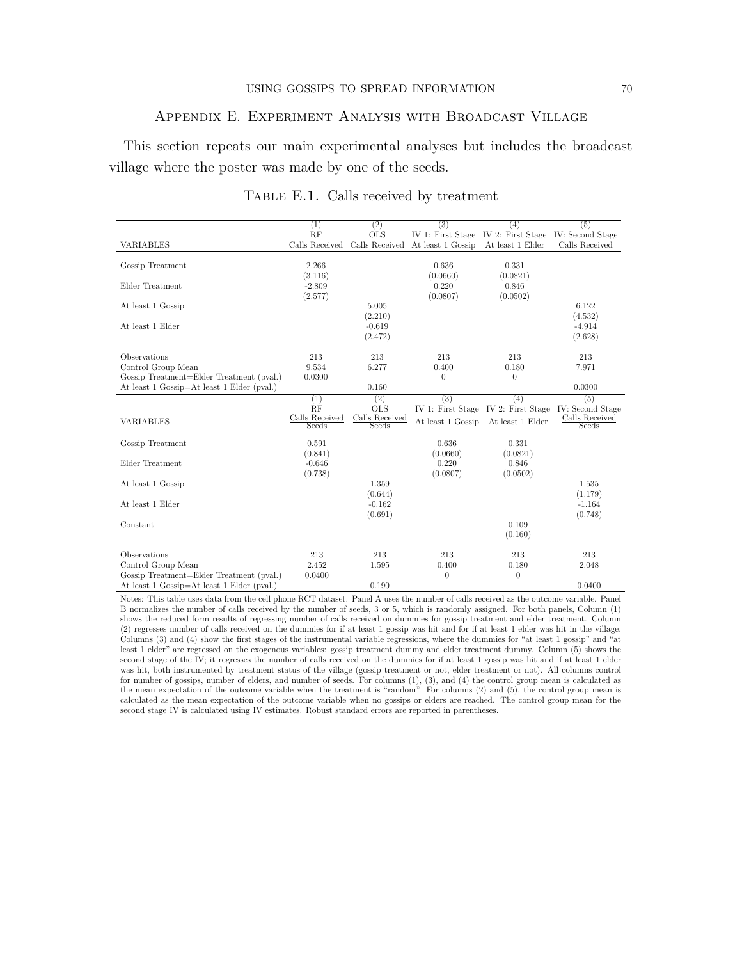#### USING GOSSIPS TO SPREAD INFORMATION 70

### Appendix E. Experiment Analysis with Broadcast Village

This section repeats our main experimental analyses but includes the broadcast village where the poster was made by one of the seeds.

|                                            | (1)            | (2)            | $\overline{(3)}$  | (4)                                 | (5)                     |
|--------------------------------------------|----------------|----------------|-------------------|-------------------------------------|-------------------------|
|                                            | RF             | <b>OLS</b>     | IV 1: First Stage | IV 2: First Stage IV: Second Stage  |                         |
| VARIABLES                                  | Calls Received | Calls Received | At least 1 Gossip | At least 1 Elder                    | Calls Received          |
|                                            |                |                |                   |                                     |                         |
| Gossip Treatment                           | 2.266          |                | 0.636             | 0.331                               |                         |
| Elder Treatment                            | (3.116)        |                | (0.0660)          | (0.0821)                            |                         |
|                                            | $-2.809$       |                | 0.220             | 0.846                               |                         |
| At least 1 Gossip                          | (2.577)        | 5.005          | (0.0807)          | (0.0502)                            | 6.122                   |
|                                            |                | (2.210)        |                   |                                     | (4.532)                 |
| At least 1 Elder                           |                | $-0.619$       |                   |                                     | $-4.914$                |
|                                            |                | (2.472)        |                   |                                     | (2.628)                 |
|                                            |                |                |                   |                                     |                         |
| Observations                               | 213            | 213            | 213               | 213                                 | 213                     |
| Control Group Mean                         | 9.534          | 6.277          | 0.400             | 0.180                               | 7.971                   |
| Gossip Treatment=Elder Treatment (pval.)   | 0.0300         |                | $\overline{0}$    | $\theta$                            |                         |
| At least 1 Gossip=At least 1 Elder (pval.) |                | 0.160          |                   |                                     | 0.0300                  |
|                                            | (1)            | (2)            | (3)               | (4)                                 | (5)                     |
|                                            | RF             | <b>OLS</b>     |                   | IV 1: First Stage IV 2: First Stage | <b>IV:</b> Second Stage |
| VARIABLES                                  | Calls Received | Calls Received | At least 1 Gossip | At least 1 Elder                    | Calls Received          |
|                                            | Seeds          | Seeds          |                   |                                     | Seeds                   |
| Gossip Treatment                           | 0.591          |                | 0.636             | 0.331                               |                         |
|                                            | (0.841)        |                | (0.0660)          | (0.0821)                            |                         |
| Elder Treatment                            | $-0.646$       |                | 0.220             | 0.846                               |                         |
|                                            | (0.738)        |                | (0.0807)          | (0.0502)                            |                         |
| At least 1 Gossip                          |                | 1.359          |                   |                                     | 1.535                   |
|                                            |                | (0.644)        |                   |                                     | (1.179)                 |
| At least 1 Elder                           |                | $-0.162$       |                   |                                     | $-1.164$                |
|                                            |                | (0.691)        |                   |                                     | (0.748)                 |
| Constant                                   |                |                |                   | 0.109                               |                         |
|                                            |                |                |                   | (0.160)                             |                         |
|                                            |                |                |                   |                                     |                         |
| Observations                               | 213            | 213            | 213               | 213                                 | 213                     |
| Control Group Mean                         | 2.452          | 1.595          | 0.400             | 0.180                               | 2.048                   |
| Gossip Treatment=Elder Treatment (pval.)   | 0.0400         |                | $\boldsymbol{0}$  | 0                                   |                         |
| At least 1 Gossip=At least 1 Elder (pval.) |                | 0.190          |                   |                                     | 0.0400                  |

#### Table E.1. Calls received by treatment

Notes: This table uses data from the cell phone RCT dataset. Panel A uses the number of calls received as the outcome variable. Panel B normalizes the number of calls received by the number of seeds, 3 or 5, which is randomly assigned. For both panels, Column (1) shows the reduced form results of regressing number of calls received on dummies for gossip treatment and elder treatment. Column (2) regresses number of calls received on the dummies for if at least 1 gossip was hit and for if at least 1 elder was hit in the village. Columns (3) and (4) show the first stages of the instrumental variable regressions, where the dummies for "at least 1 gossip" and "at least 1 elder" are regressed on the exogenous variables: gossip treatment dummy and elder treatment dummy. Column (5) shows the second stage of the IV; it regresses the number of calls received on the dummies for if at least 1 gossip was hit and if at least 1 elder was hit, both instrumented by treatment status of the village (gossip treatment or not, elder treatment or not). All columns control for number of gossips, number of elders, and number of seeds. For columns (1), (3), and (4) the control group mean is calculated as the mean expectation of the outcome variable when the treatment is "random". For columns (2) and (5), the control group mean is calculated as the mean expectation of the outcome variable when no gossips or elders are reached. The control group mean for the second stage IV is calculated using IV estimates. Robust standard errors are reported in parentheses.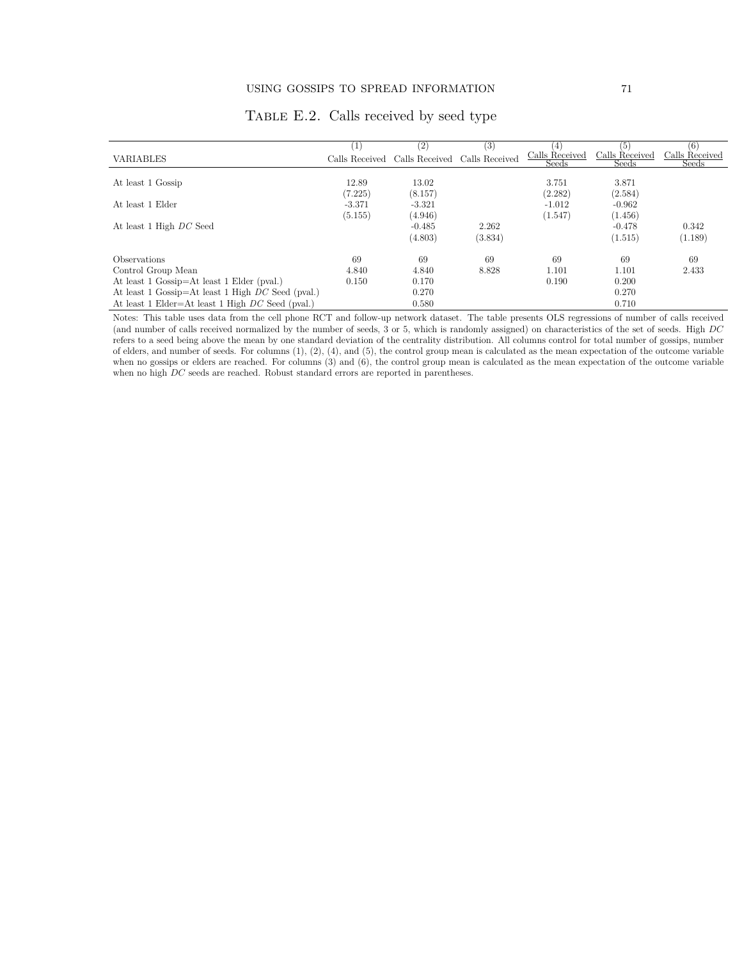|                                                   | $\perp$  | $\left( 2\right)$             | (3)            | 4                       | (5)                            | (6)                     |
|---------------------------------------------------|----------|-------------------------------|----------------|-------------------------|--------------------------------|-------------------------|
| <b>VARIABLES</b>                                  |          | Calls Received Calls Received | Calls Received | Calls Received<br>Seeds | Calls Received<br><b>Seeds</b> | Calls Received<br>Seeds |
|                                                   |          |                               |                |                         |                                |                         |
| At least 1 Gossip                                 | 12.89    | 13.02                         |                | 3.751                   | 3.871                          |                         |
|                                                   | (7.225)  | (8.157)                       |                | (2.282)                 | (2.584)                        |                         |
| At least 1 Elder                                  | $-3.371$ | $-3.321$                      |                | $-1.012$                | $-0.962$                       |                         |
|                                                   | (5.155)  | (4.946)                       |                | (1.547)                 | (1.456)                        |                         |
| At least 1 High DC Seed                           |          | $-0.485$                      | 2.262          |                         | $-0.478$                       | 0.342                   |
|                                                   |          | (4.803)                       | (3.834)        |                         | (1.515)                        | (1.189)                 |
| Observations                                      | 69       | 69                            | 69             | 69                      | 69                             | 69                      |
| Control Group Mean                                | 4.840    | 4.840                         | 8.828          | 1.101                   | 1.101                          | 2.433                   |
| At least 1 Gossip=At least 1 Elder (pval.)        | 0.150    | 0.170                         |                | 0.190                   | 0.200                          |                         |
| At least 1 Gossip=At least 1 High DC Seed (pval.) |          | 0.270                         |                |                         | 0.270                          |                         |
| At least 1 Elder=At least 1 High DC Seed (pval.)  |          | 0.580                         |                |                         | 0.710                          |                         |

## TABLE E.2. Calls received by seed type

Notes: This table uses data from the cell phone RCT and follow-up network dataset. The table presents OLS regressions of number of calls received (and number of calls received normalized by the number of seeds, 3 or 5, which is randomly assigned) on characteristics of the set of seeds. High *DC* refers to a seed being above the mean by one standard deviation of the centrality distribution. All columns control for total number of gossips, number of elders, and number of seeds. For columns (1), (2), (4), and (5), the control group mean is calculated as the mean expectation of the outcome variable when no gossips or elders are reached. For columns (3) and (6), the control group mean is calculated as the mean expectation of the outcome variable when no high  $\cal DC$  seeds are reached. Robust standard errors are reported in parentheses.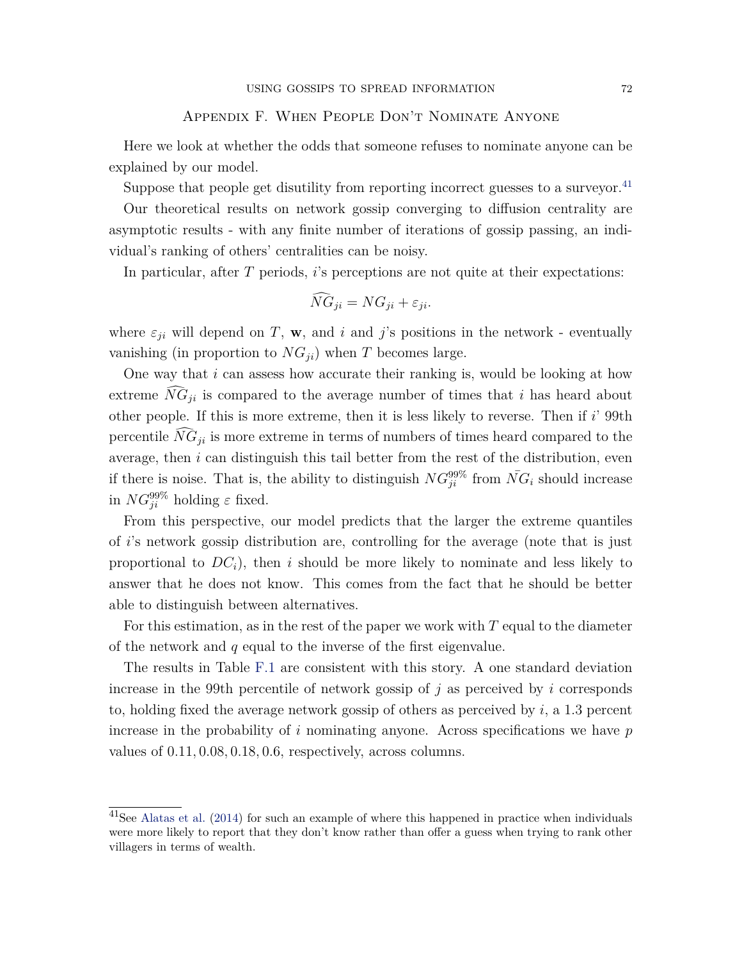## Appendix F. When People Don't Nominate Anyone

Here we look at whether the odds that someone refuses to nominate anyone can be explained by our model.

Suppose that people get disutility from reporting incorrect guesses to a survey  $s<sup>41</sup>$  $s<sup>41</sup>$  $s<sup>41</sup>$ 

Our theoretical results on network gossip converging to diffusion centrality are asymptotic results - with any finite number of iterations of gossip passing, an individual's ranking of others' centralities can be noisy.

In particular, after *T* periods, *i*'s perceptions are not quite at their expectations:

$$
\widehat{N}\widehat{G}_{ji} = NG_{ji} + \varepsilon_{ji}.
$$

where  $\varepsilon_{ji}$  will depend on *T*, **w**, and *i* and *j*'s positions in the network - eventually vanishing (in proportion to  $NG_{ji}$ ) when *T* becomes large.

One way that *i* can assess how accurate their ranking is, would be looking at how extreme  $\widehat{NG}_{ji}$  is compared to the average number of times that *i* has heard about other people. If this is more extreme, then it is less likely to reverse. Then if *i*' 99th percentile  $\widehat{NG}_{ji}$  is more extreme in terms of numbers of times heard compared to the average, then *i* can distinguish this tail better from the rest of the distribution, even if there is noise. That is, the ability to distinguish  $NG_{ji}^{99\%}$  from  $\bar{NG}_i$  should increase in  $NG_{ji}^{99\%}$  holding  $\varepsilon$  fixed.

From this perspective, our model predicts that the larger the extreme quantiles of *i*'s network gossip distribution are, controlling for the average (note that is just proportional to  $DC_i$ , then *i* should be more likely to nominate and less likely to answer that he does not know. This comes from the fact that he should be better able to distinguish between alternatives.

For this estimation, as in the rest of the paper we work with *T* equal to the diameter of the network and *q* equal to the inverse of the first eigenvalue.

The results in Table [F.1](#page-73-0) are consistent with this story. A one standard deviation increase in the 99th percentile of network gossip of *j* as perceived by *i* corresponds to, holding fixed the average network gossip of others as perceived by *i*, a 1.3 percent increase in the probability of *i* nominating anyone. Across specifications we have *p* values of 0*.*11*,* 0*.*08*,* 0*.*18*,* 0*.*6, respectively, across columns.

<span id="page-72-0"></span><sup>41</sup>See [Alatas et al.](#page-37-0) [\(2014\)](#page-37-0) for such an example of where this happened in practice when individuals were more likely to report that they don't know rather than offer a guess when trying to rank other villagers in terms of wealth.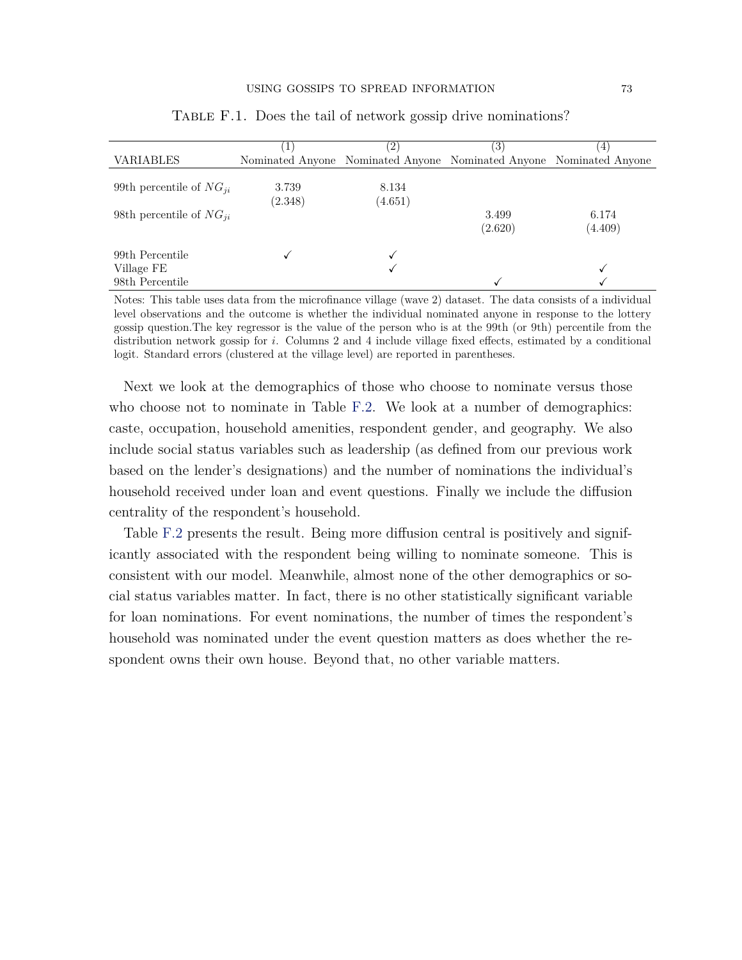<span id="page-73-0"></span>

|                              |         | '2,                                                                 | 5       | $\pm$   |
|------------------------------|---------|---------------------------------------------------------------------|---------|---------|
| VARIABLES                    |         | Nominated Anyone Nominated Anyone Nominated Anyone Nominated Anyone |         |         |
|                              |         |                                                                     |         |         |
| 99th percentile of $NG_{ii}$ | 3.739   | 8.134                                                               |         |         |
|                              | (2.348) | (4.651)                                                             |         |         |
| 98th percentile of $NG_{ii}$ |         |                                                                     | 3.499   | 6.174   |
|                              |         |                                                                     | (2.620) | (4.409) |
|                              |         |                                                                     |         |         |
| 99th Percentile              |         |                                                                     |         |         |
| Village FE                   |         |                                                                     |         |         |
| 98th Percentile              |         |                                                                     |         |         |

TABLE F.1. Does the tail of network gossip drive nominations?

Notes: This table uses data from the microfinance village (wave 2) dataset. The data consists of a individual level observations and the outcome is whether the individual nominated anyone in response to the lottery gossip question.The key regressor is the value of the person who is at the 99th (or 9th) percentile from the distribution network gossip for *i*. Columns 2 and 4 include village fixed effects, estimated by a conditional logit. Standard errors (clustered at the village level) are reported in parentheses.

Next we look at the demographics of those who choose to nominate versus those who choose not to nominate in Table [F.2.](#page-74-0) We look at a number of demographics: caste, occupation, household amenities, respondent gender, and geography. We also include social status variables such as leadership (as defined from our previous work based on the lender's designations) and the number of nominations the individual's household received under loan and event questions. Finally we include the diffusion centrality of the respondent's household.

Table [F.2](#page-74-0) presents the result. Being more diffusion central is positively and significantly associated with the respondent being willing to nominate someone. This is consistent with our model. Meanwhile, almost none of the other demographics or social status variables matter. In fact, there is no other statistically significant variable for loan nominations. For event nominations, the number of times the respondent's household was nominated under the event question matters as does whether the respondent owns their own house. Beyond that, no other variable matters.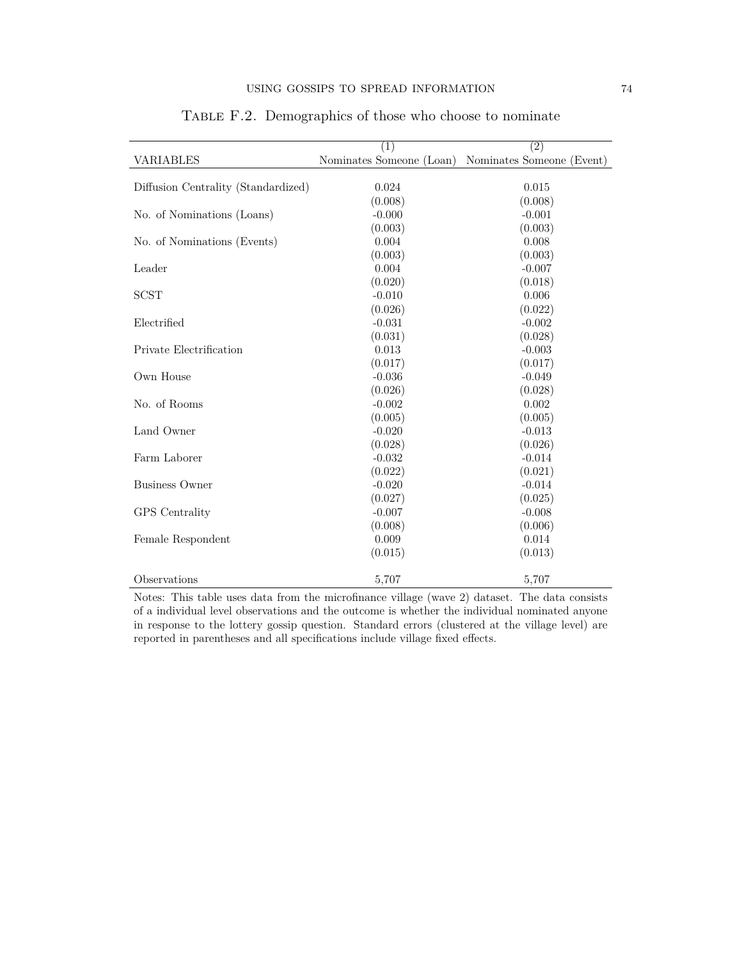<span id="page-74-0"></span>

|                                     | (1)                      | $\overline{(2)}$          |
|-------------------------------------|--------------------------|---------------------------|
| <b>VARIABLES</b>                    | Nominates Someone (Loan) | Nominates Someone (Event) |
|                                     |                          |                           |
| Diffusion Centrality (Standardized) | 0.024                    | 0.015                     |
|                                     | (0.008)                  | (0.008)                   |
| No. of Nominations (Loans)          | $-0.000$                 | $-0.001$                  |
|                                     | (0.003)                  | (0.003)                   |
| No. of Nominations (Events)         | 0.004                    | 0.008                     |
|                                     | (0.003)                  | (0.003)                   |
| Leader                              | 0.004                    | $-0.007$                  |
|                                     | (0.020)                  | (0.018)                   |
| <b>SCST</b>                         | $-0.010$                 | 0.006                     |
|                                     | (0.026)                  | (0.022)                   |
| Electrified                         | $-0.031$                 | $-0.002$                  |
|                                     | (0.031)                  | (0.028)                   |
| Private Electrification             | 0.013                    | $-0.003$                  |
|                                     | (0.017)                  | (0.017)                   |
| Own House                           | $-0.036$                 | $-0.049$                  |
|                                     | (0.026)                  | (0.028)                   |
| No. of Rooms                        | $-0.002$                 | 0.002                     |
|                                     | (0.005)                  | (0.005)                   |
| Land Owner                          | $-0.020$                 | $-0.013$                  |
|                                     | (0.028)                  | (0.026)                   |
| Farm Laborer                        | $-0.032$                 | $-0.014$                  |
|                                     | (0.022)                  | (0.021)                   |
| <b>Business Owner</b>               | $-0.020$                 | $-0.014$                  |
|                                     | (0.027)                  | (0.025)                   |
| <b>GPS</b> Centrality               | $-0.007$                 | $-0.008$                  |
|                                     | (0.008)                  | (0.006)                   |
| Female Respondent                   | 0.009                    | 0.014                     |
|                                     | (0.015)                  | (0.013)                   |
|                                     |                          |                           |
| Observations                        | 5,707                    | 5,707                     |

Table F.2. Demographics of those who choose to nominate

Notes: This table uses data from the microfinance village (wave 2) dataset. The data consists of a individual level observations and the outcome is whether the individual nominated anyone in response to the lottery gossip question. Standard errors (clustered at the village level) are reported in parentheses and all specifications include village fixed effects.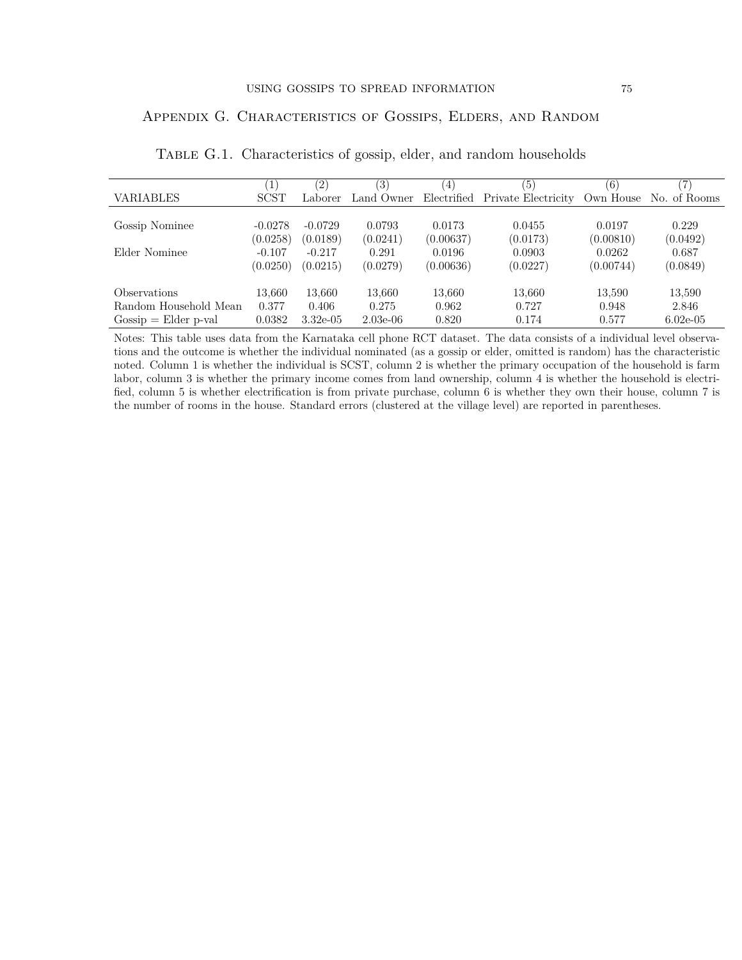## Appendix G. Characteristics of Gossips, Elders, and Random

|                        |           | (2)         | (3)        | $\left(4\right)$ | (5)                             | (6)       |                        |
|------------------------|-----------|-------------|------------|------------------|---------------------------------|-----------|------------------------|
| VARIABLES              | SCST      | Laborer     | Land Owner |                  | Electrified Private Electricity |           | Own House No. of Rooms |
|                        |           |             |            |                  |                                 |           |                        |
| Gossip Nominee         | $-0.0278$ | $-0.0729$   | 0.0793     | 0.0173           | 0.0455                          | 0.0197    | 0.229                  |
|                        | (0.0258)  | (0.0189)    | (0.0241)   | (0.00637)        | (0.0173)                        | (0.00810) | (0.0492)               |
| Elder Nominee          | $-0.107$  | $-0.217$    | 0.291      | 0.0196           | 0.0903                          | 0.0262    | 0.687                  |
|                        | (0.0250)  | (0.0215)    | (0.0279)   | (0.00636)        | (0.0227)                        | (0.00744) | (0.0849)               |
|                        |           |             |            |                  |                                 |           |                        |
| <i>Observations</i>    | 13.660    | 13,660      | 13,660     | 13,660           | 13,660                          | 13,590    | 13,590                 |
| Random Household Mean  | 0.377     | 0.406       | 0.275      | 0.962            | 0.727                           | 0.948     | 2.846                  |
| $Gossip = Elder p-val$ | 0.0382    | $3.32e-0.5$ | $2.03e-06$ | 0.820            | 0.174                           | 0.577     | $6.02e-0.5$            |

TABLE G.1. Characteristics of gossip, elder, and random households

Notes: This table uses data from the Karnataka cell phone RCT dataset. The data consists of a individual level observations and the outcome is whether the individual nominated (as a gossip or elder, omitted is random) has the characteristic noted. Column 1 is whether the individual is SCST, column 2 is whether the primary occupation of the household is farm labor, column 3 is whether the primary income comes from land ownership, column 4 is whether the household is electrified, column 5 is whether electrification is from private purchase, column 6 is whether they own their house, column 7 is the number of rooms in the house. Standard errors (clustered at the village level) are reported in parentheses.